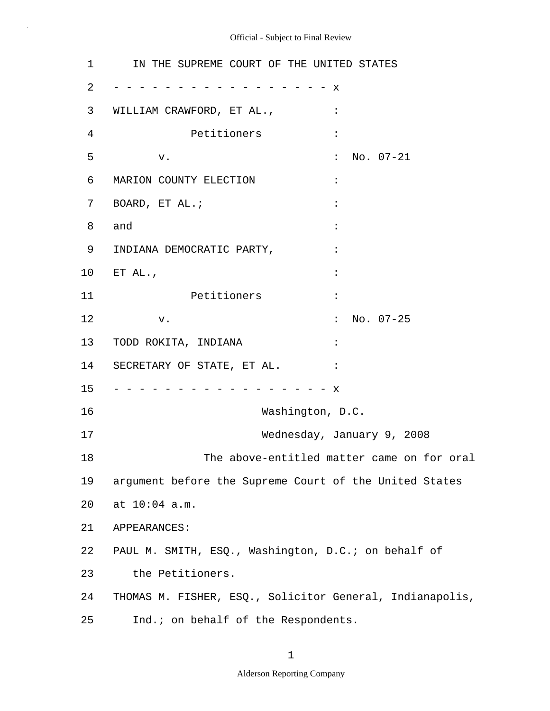$\bar{z}$ 

| $\mathbf 1$ | IN THE SUPREME COURT OF THE UNITED STATES                |                                            |
|-------------|----------------------------------------------------------|--------------------------------------------|
| 2           |                                                          | $\mathbf x$                                |
| 3           | WILLIAM CRAWFORD, ET AL.,                                | $\ddot{\cdot}$                             |
| 4           | Petitioners                                              | $\ddot{\cdot}$                             |
| 5           | v.                                                       | $\ddot{\cdot}$<br>$No. 07-21$              |
| 6           | MARION COUNTY ELECTION                                   | $\ddot{\cdot}$                             |
| 7           | BOARD, ET AL.;                                           |                                            |
| 8           | and                                                      |                                            |
| 9           | INDIANA DEMOCRATIC PARTY,                                |                                            |
| $10 \,$     | ET $AL.$                                                 |                                            |
| 11          | Petitioners                                              | $\ddot{\cdot}$                             |
| 12          | v.                                                       | No. 07-25<br>$\ddot{\cdot}$                |
| 13          | TODD ROKITA, INDIANA                                     |                                            |
| 14          | SECRETARY OF STATE, ET AL.                               |                                            |
| 15          |                                                          | X.                                         |
| 16          | Washington, D.C.                                         |                                            |
| 17          |                                                          | Wednesday, January 9, 2008                 |
| 18          |                                                          | The above-entitled matter came on for oral |
| 19          | argument before the Supreme Court of the United States   |                                            |
| 20          | at 10:04 a.m.                                            |                                            |
| 21          | APPEARANCES:                                             |                                            |
| 22          | PAUL M. SMITH, ESQ., Washington, D.C.; on behalf of      |                                            |
| 23          | the Petitioners.                                         |                                            |
| 24          | THOMAS M. FISHER, ESQ., Solicitor General, Indianapolis, |                                            |
| 25          | Ind.; on behalf of the Respondents.                      |                                            |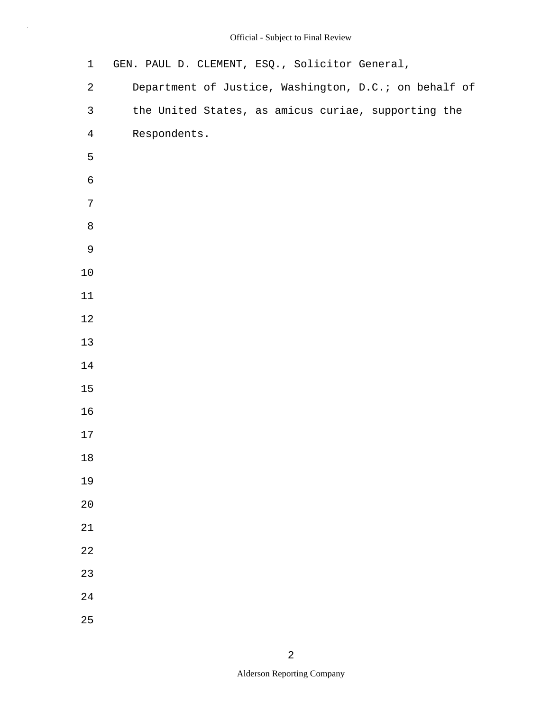| $\mathbf 1$      | GEN. PAUL D. CLEMENT, ESQ., Solicitor General,        |
|------------------|-------------------------------------------------------|
| $\boldsymbol{2}$ | Department of Justice, Washington, D.C.; on behalf of |
| $\mathsf{3}$     | the United States, as amicus curiae, supporting the   |
| $\overline{4}$   | Respondents.                                          |
| 5                |                                                       |
| $\epsilon$       |                                                       |
| $\overline{7}$   |                                                       |
| $\,8\,$          |                                                       |
| $\mathsf 9$      |                                                       |
| $10\,$           |                                                       |
| 11               |                                                       |
| $12$             |                                                       |
| $13$             |                                                       |
| 14               |                                                       |
| $15\,$           |                                                       |
| 16               |                                                       |
| $17$             |                                                       |
| $18\,$           |                                                       |
| 19               |                                                       |
| 20               |                                                       |
| 21               |                                                       |
| 22               |                                                       |
| 23               |                                                       |
| 24               |                                                       |
| 25               |                                                       |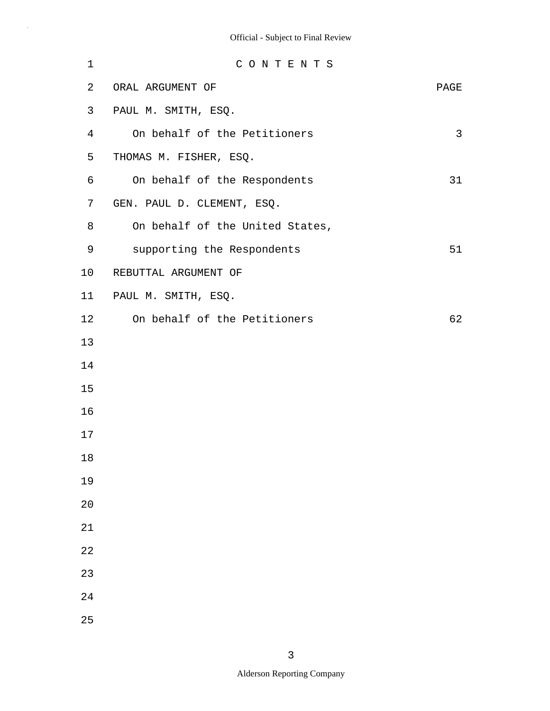| $\mathbf 1$    | CONTENTS                        |      |
|----------------|---------------------------------|------|
| 2              | ORAL ARGUMENT OF                | PAGE |
| 3              | PAUL M. SMITH, ESQ.             |      |
| $\overline{4}$ | On behalf of the Petitioners    | 3    |
| 5              | THOMAS M. FISHER, ESQ.          |      |
| 6              | On behalf of the Respondents    | 31   |
| 7              | GEN. PAUL D. CLEMENT, ESQ.      |      |
| 8              | On behalf of the United States, |      |
| 9              | supporting the Respondents      | 51   |
| 10             | REBUTTAL ARGUMENT OF            |      |
| 11             | PAUL M. SMITH, ESQ.             |      |
| 12             | On behalf of the Petitioners    | 62   |
| 13             |                                 |      |
| 14             |                                 |      |
| 15             |                                 |      |
| 16             |                                 |      |
| 17             |                                 |      |
| 18             |                                 |      |
| 19             |                                 |      |
| 20             |                                 |      |
| 21             |                                 |      |
| 22             |                                 |      |
| 23             |                                 |      |
| 24             |                                 |      |
| 25             |                                 |      |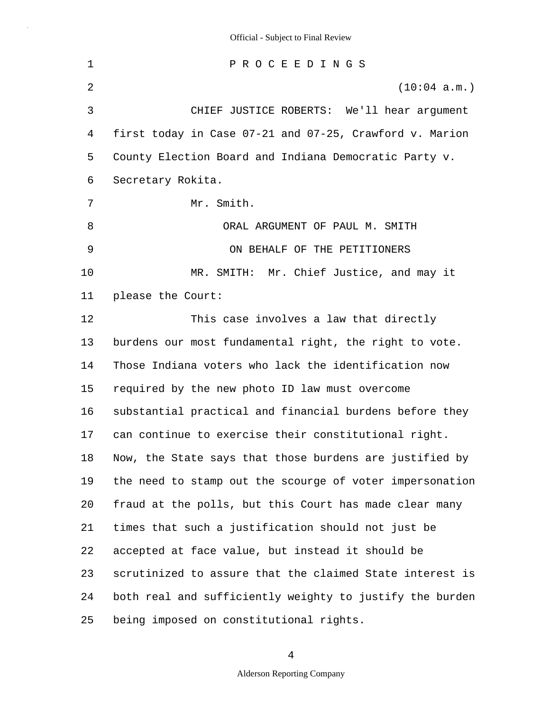1 2 3 4 5 6 7 8 9 10 11 12 13 14 15 16 17 18 19 20 21 22 23 24 25 P R O C E E D I N G S (10:04 a.m.) CHIEF JUSTICE ROBERTS: We'll hear argument first today in Case 07-21 and 07-25, Crawford v. Marion County Election Board and Indiana Democratic Party v. Secretary Rokita. Mr. Smith. ORAL ARGUMENT OF PAUL M. SMITH ON BEHALF OF THE PETITIONERS MR. SMITH: Mr. Chief Justice, and may it please the Court: This case involves a law that directly burdens our most fundamental right, the right to vote. Those Indiana voters who lack the identification now required by the new photo ID law must overcome substantial practical and financial burdens before they can continue to exercise their constitutional right. Now, the State says that those burdens are justified by the need to stamp out the scourge of voter impersonation fraud at the polls, but this Court has made clear many times that such a justification should not just be accepted at face value, but instead it should be scrutinized to assure that the claimed State interest is both real and sufficiently weighty to justify the burden being imposed on constitutional rights.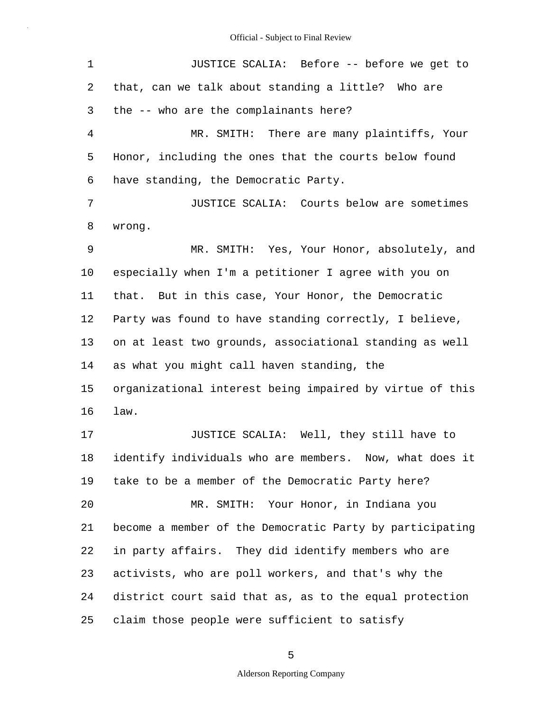| $\mathbf 1$    | JUSTICE SCALIA: Before -- before we get to               |
|----------------|----------------------------------------------------------|
| 2              | that, can we talk about standing a little? Who are       |
| 3              | the -- who are the complainants here?                    |
| $\overline{4}$ | MR. SMITH: There are many plaintiffs, Your               |
| 5              | Honor, including the ones that the courts below found    |
| 6              | have standing, the Democratic Party.                     |
| 7              | JUSTICE SCALIA: Courts below are sometimes               |
| 8              | wrong.                                                   |
| 9              | MR. SMITH: Yes, Your Honor, absolutely, and              |
| 10             | especially when I'm a petitioner I agree with you on     |
| 11             | that. But in this case, Your Honor, the Democratic       |
| $12 \,$        | Party was found to have standing correctly, I believe,   |
| 13             | on at least two grounds, associational standing as well  |
| 14             | as what you might call haven standing, the               |
| 15             | organizational interest being impaired by virtue of this |
| 16             | law.                                                     |
| 17             | JUSTICE SCALIA: Well, they still have to                 |
| 18             | identify individuals who are members. Now, what does it  |
| 19             | take to be a member of the Democratic Party here?        |
| 20             | MR. SMITH: Your Honor, in Indiana you                    |
| 21             | become a member of the Democratic Party by participating |
| 22             | in party affairs. They did identify members who are      |
| 23             | activists, who are poll workers, and that's why the      |
| 24             | district court said that as, as to the equal protection  |
| 25             | claim those people were sufficient to satisfy            |

5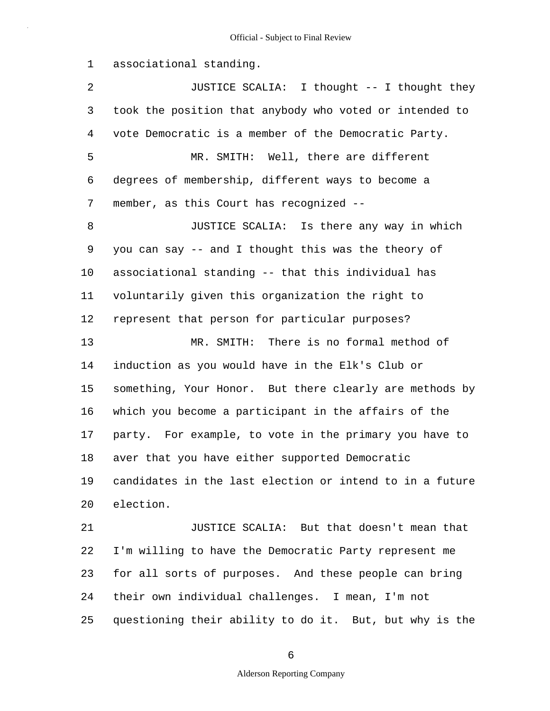1 associational standing.

25

2 3 4 5 6 7 8 9 10 11 12 13 14 15 16 17 18 19 20 21 22 23 24 JUSTICE SCALIA: I thought -- I thought they took the position that anybody who voted or intended to vote Democratic is a member of the Democratic Party. MR. SMITH: Well, there are different degrees of membership, different ways to become a member, as this Court has recognized -- JUSTICE SCALIA: Is there any way in which you can say -- and I thought this was the theory of associational standing -- that this individual has voluntarily given this organization the right to represent that person for particular purposes? MR. SMITH: There is no formal method of induction as you would have in the Elk's Club or something, Your Honor. But there clearly are methods by which you become a participant in the affairs of the party. For example, to vote in the primary you have to aver that you have either supported Democratic candidates in the last election or intend to in a future election. JUSTICE SCALIA: But that doesn't mean that I'm willing to have the Democratic Party represent me for all sorts of purposes. And these people can bring their own individual challenges. I mean, I'm not

questioning their ability to do it. But, but why is the

## 6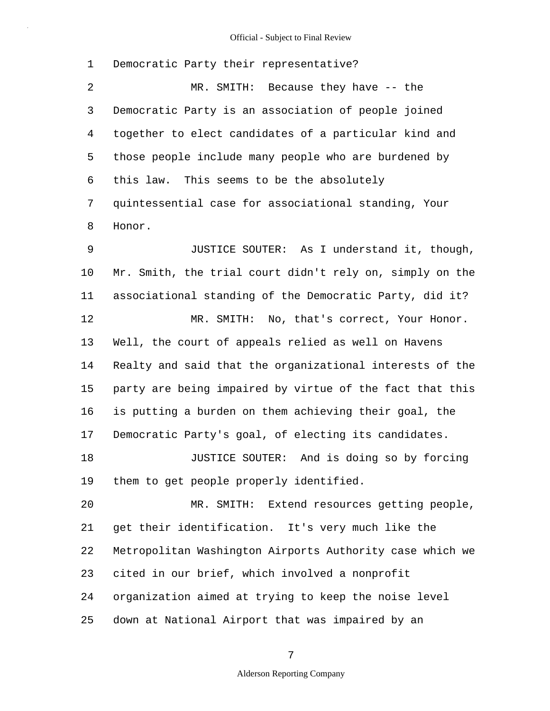1 2 3 4 5 6 7 8 9 10 11 12 13 14 15 16 17 18 19 20 21 22 23 24 25 Democratic Party their representative? MR. SMITH: Because they have -- the Democratic Party is an association of people joined together to elect candidates of a particular kind and those people include many people who are burdened by this law. This seems to be the absolutely quintessential case for associational standing, Your Honor. JUSTICE SOUTER: As I understand it, though, Mr. Smith, the trial court didn't rely on, simply on the associational standing of the Democratic Party, did it? MR. SMITH: No, that's correct, Your Honor. Well, the court of appeals relied as well on Havens Realty and said that the organizational interests of the party are being impaired by virtue of the fact that this is putting a burden on them achieving their goal, the Democratic Party's goal, of electing its candidates. JUSTICE SOUTER: And is doing so by forcing them to get people properly identified. MR. SMITH: Extend resources getting people, get their identification. It's very much like the Metropolitan Washington Airports Authority case which we cited in our brief, which involved a nonprofit organization aimed at trying to keep the noise level down at National Airport that was impaired by an

7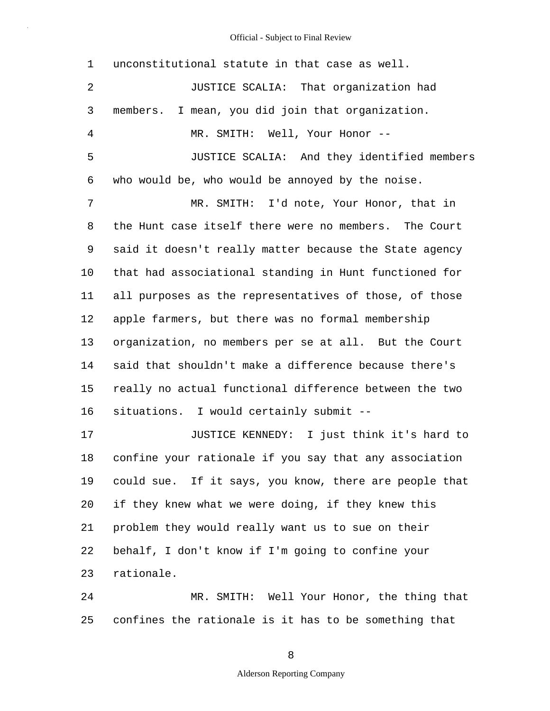| $\mathbf 1$    | unconstitutional statute in that case as well.         |
|----------------|--------------------------------------------------------|
| 2              | JUSTICE SCALIA: That organization had                  |
| 3              | I mean, you did join that organization.<br>members.    |
| $\overline{4}$ | MR. SMITH: Well, Your Honor --                         |
| 5              | JUSTICE SCALIA: And they identified members            |
| 6              | who would be, who would be annoyed by the noise.       |
| 7              | MR. SMITH: I'd note, Your Honor, that in               |
| 8              | the Hunt case itself there were no members. The Court  |
| 9              | said it doesn't really matter because the State agency |
| 10             | that had associational standing in Hunt functioned for |
| 11             | all purposes as the representatives of those, of those |
| 12             | apple farmers, but there was no formal membership      |
| 13             | organization, no members per se at all. But the Court  |
| 14             | said that shouldn't make a difference because there's  |
| 15             | really no actual functional difference between the two |
| 16             | situations. I would certainly submit --                |
| 17             | JUSTICE KENNEDY: I just think it's hard to             |
| 18             | confine your rationale if you say that any association |
| 19             | could sue. If it says, you know, there are people that |
| 20             | if they knew what we were doing, if they knew this     |
| 21             | problem they would really want us to sue on their      |
| 22             | behalf, I don't know if I'm going to confine your      |
| 23             | rationale.                                             |
| 24             | MR. SMITH: Well Your Honor, the thing that             |
| 25             | confines the rationale is it has to be something that  |

8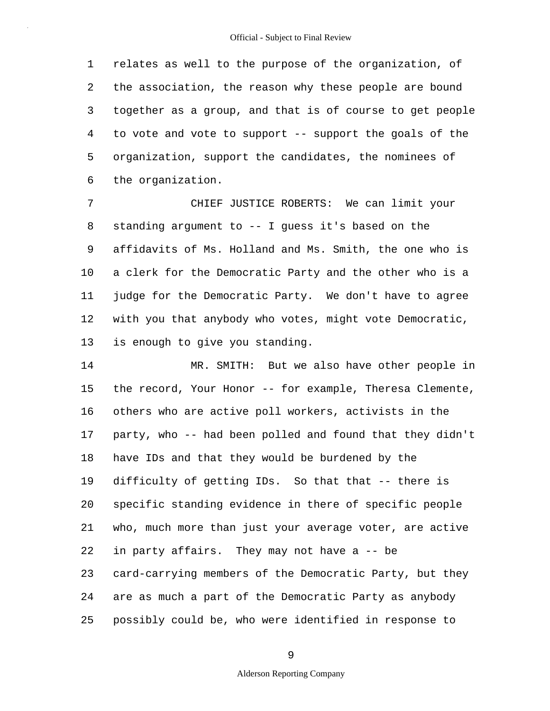1 2 3 4 5 6 relates as well to the purpose of the organization, of the association, the reason why these people are bound together as a group, and that is of course to get people to vote and vote to support -- support the goals of the organization, support the candidates, the nominees of the organization.

7 8 9 10 11 12 13 CHIEF JUSTICE ROBERTS: We can limit your standing argument to -- I guess it's based on the affidavits of Ms. Holland and Ms. Smith, the one who is a clerk for the Democratic Party and the other who is a judge for the Democratic Party. We don't have to agree with you that anybody who votes, might vote Democratic, is enough to give you standing.

14 15 16 17 18 19 20 21 22 23 24 25 MR. SMITH: But we also have other people in the record, Your Honor -- for example, Theresa Clemente, others who are active poll workers, activists in the party, who -- had been polled and found that they didn't have IDs and that they would be burdened by the difficulty of getting IDs. So that that -- there is specific standing evidence in there of specific people who, much more than just your average voter, are active in party affairs. They may not have a -- be card-carrying members of the Democratic Party, but they are as much a part of the Democratic Party as anybody possibly could be, who were identified in response to

9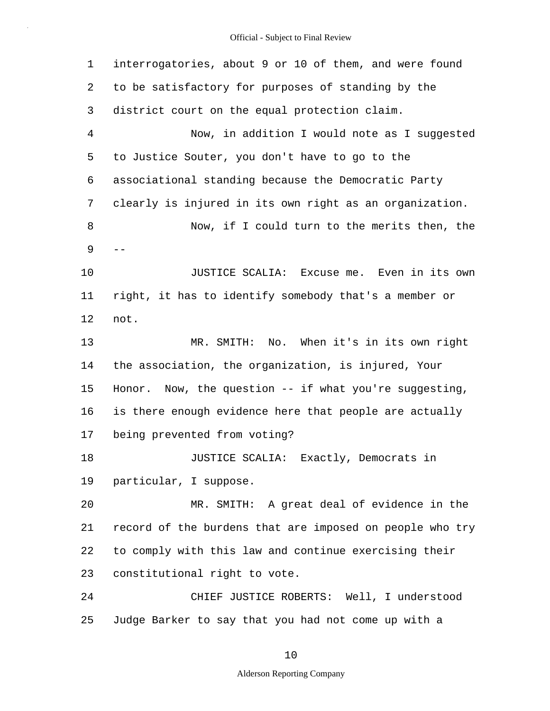1 2 3 4 5 6 7 8  $9 - -$ 10 11 12 13 14 15 16 17 18 19 20 21 22 23 24 25 interrogatories, about 9 or 10 of them, and were found to be satisfactory for purposes of standing by the district court on the equal protection claim. Now, in addition I would note as I suggested to Justice Souter, you don't have to go to the associational standing because the Democratic Party clearly is injured in its own right as an organization. Now, if I could turn to the merits then, the JUSTICE SCALIA: Excuse me. Even in its own right, it has to identify somebody that's a member or not. MR. SMITH: No. When it's in its own right the association, the organization, is injured, Your Honor. Now, the question -- if what you're suggesting, is there enough evidence here that people are actually being prevented from voting? JUSTICE SCALIA: Exactly, Democrats in particular, I suppose. MR. SMITH: A great deal of evidence in the record of the burdens that are imposed on people who try to comply with this law and continue exercising their constitutional right to vote. CHIEF JUSTICE ROBERTS: Well, I understood Judge Barker to say that you had not come up with a

10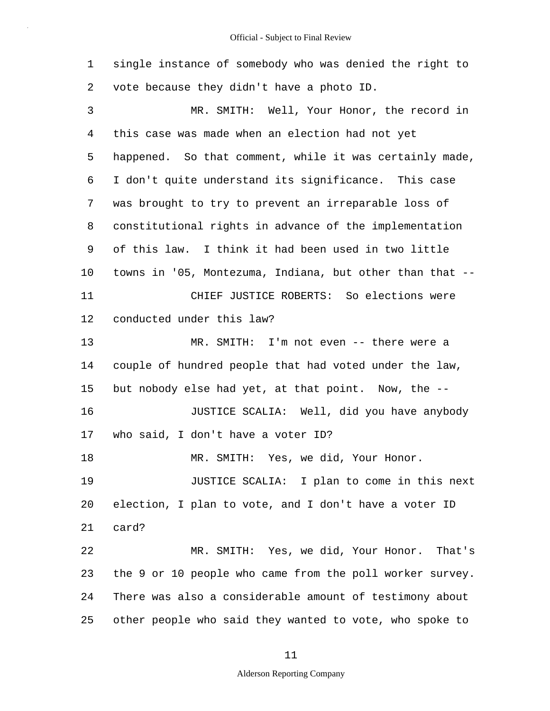1 2 3 4 5 6 7 8 9 10 11 12 13 14 15 16 17 18 19 20 21 22 23 24 25 single instance of somebody who was denied the right to vote because they didn't have a photo ID. MR. SMITH: Well, Your Honor, the record in this case was made when an election had not yet happened. So that comment, while it was certainly made, I don't quite understand its significance. This case was brought to try to prevent an irreparable loss of constitutional rights in advance of the implementation of this law. I think it had been used in two little towns in '05, Montezuma, Indiana, but other than that -- CHIEF JUSTICE ROBERTS: So elections were conducted under this law? MR. SMITH: I'm not even -- there were a couple of hundred people that had voted under the law, but nobody else had yet, at that point. Now, the -- JUSTICE SCALIA: Well, did you have anybody who said, I don't have a voter ID? MR. SMITH: Yes, we did, Your Honor. JUSTICE SCALIA: I plan to come in this next election, I plan to vote, and I don't have a voter ID card? MR. SMITH: Yes, we did, Your Honor. That's the 9 or 10 people who came from the poll worker survey. There was also a considerable amount of testimony about other people who said they wanted to vote, who spoke to

#### 11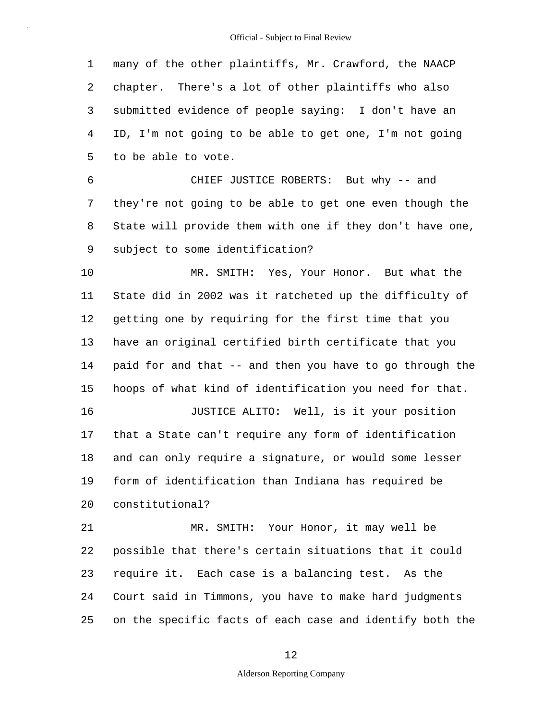1 2 3 4 5 many of the other plaintiffs, Mr. Crawford, the NAACP chapter. There's a lot of other plaintiffs who also submitted evidence of people saying: I don't have an ID, I'm not going to be able to get one, I'm not going to be able to vote.

6 7 8 9 CHIEF JUSTICE ROBERTS: But why -- and they're not going to be able to get one even though the State will provide them with one if they don't have one, subject to some identification?

10 11 12 13 14 15 16 MR. SMITH: Yes, Your Honor. But what the State did in 2002 was it ratcheted up the difficulty of getting one by requiring for the first time that you have an original certified birth certificate that you paid for and that -- and then you have to go through the hoops of what kind of identification you need for that. JUSTICE ALITO: Well, is it your position

17 18 19 20 that a State can't require any form of identification and can only require a signature, or would some lesser form of identification than Indiana has required be constitutional?

21 22 23 24 25 MR. SMITH: Your Honor, it may well be possible that there's certain situations that it could require it. Each case is a balancing test. As the Court said in Timmons, you have to make hard judgments on the specific facts of each case and identify both the

#### 12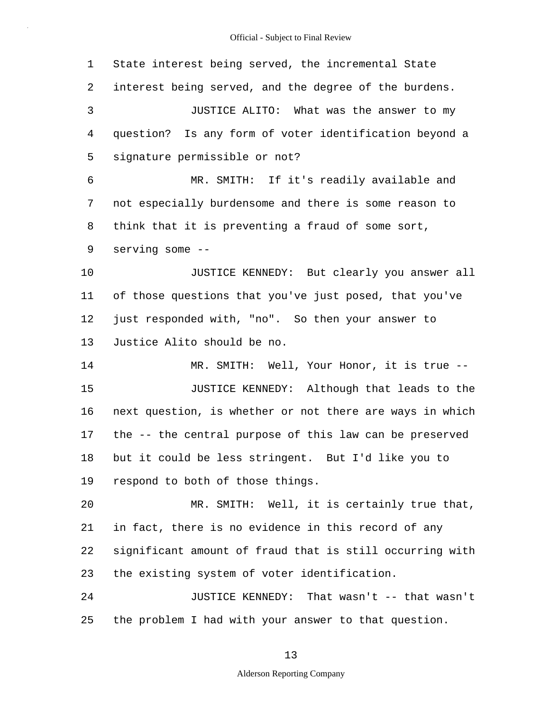1 2 3 4 5 6 7 8 9 10 11 12 13 14 15 16 17 18 19 20 21 22 23 24 25 State interest being served, the incremental State interest being served, and the degree of the burdens. JUSTICE ALITO: What was the answer to my question? Is any form of voter identification beyond a signature permissible or not? MR. SMITH: If it's readily available and not especially burdensome and there is some reason to think that it is preventing a fraud of some sort, serving some -- JUSTICE KENNEDY: But clearly you answer all of those questions that you've just posed, that you've just responded with, "no". So then your answer to Justice Alito should be no. MR. SMITH: Well, Your Honor, it is true -- JUSTICE KENNEDY: Although that leads to the next question, is whether or not there are ways in which the -- the central purpose of this law can be preserved but it could be less stringent. But I'd like you to respond to both of those things. MR. SMITH: Well, it is certainly true that, in fact, there is no evidence in this record of any significant amount of fraud that is still occurring with the existing system of voter identification. JUSTICE KENNEDY: That wasn't -- that wasn't the problem I had with your answer to that question.

13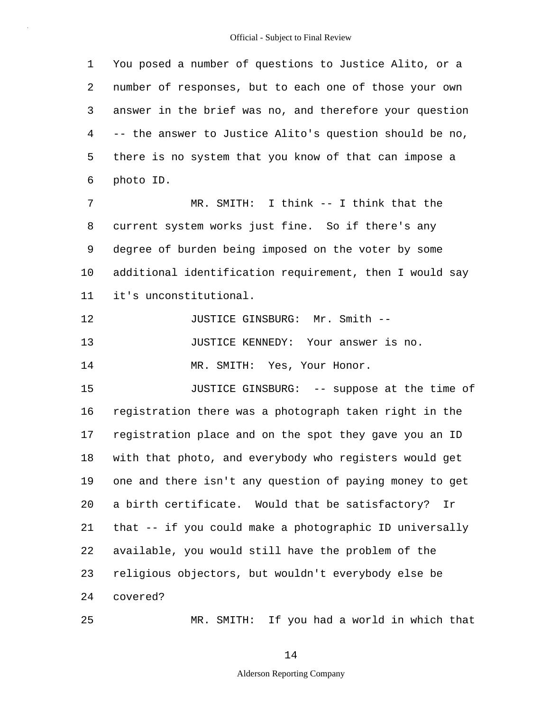1 2 3 4 5 6 7 8 9 10 11 12 13 14 15 16 17 18 19 20 21 22 23 24 You posed a number of questions to Justice Alito, or a number of responses, but to each one of those your own answer in the brief was no, and therefore your question -- the answer to Justice Alito's question should be no, there is no system that you know of that can impose a photo ID. MR. SMITH: I think -- I think that the current system works just fine. So if there's any degree of burden being imposed on the voter by some additional identification requirement, then I would say it's unconstitutional. JUSTICE GINSBURG: Mr. Smith -- JUSTICE KENNEDY: Your answer is no. MR. SMITH: Yes, Your Honor. JUSTICE GINSBURG: -- suppose at the time of registration there was a photograph taken right in the registration place and on the spot they gave you an ID with that photo, and everybody who registers would get one and there isn't any question of paying money to get a birth certificate. Would that be satisfactory? Ir that -- if you could make a photographic ID universally available, you would still have the problem of the religious objectors, but wouldn't everybody else be covered?

MR. SMITH: If you had a world in which that

14

25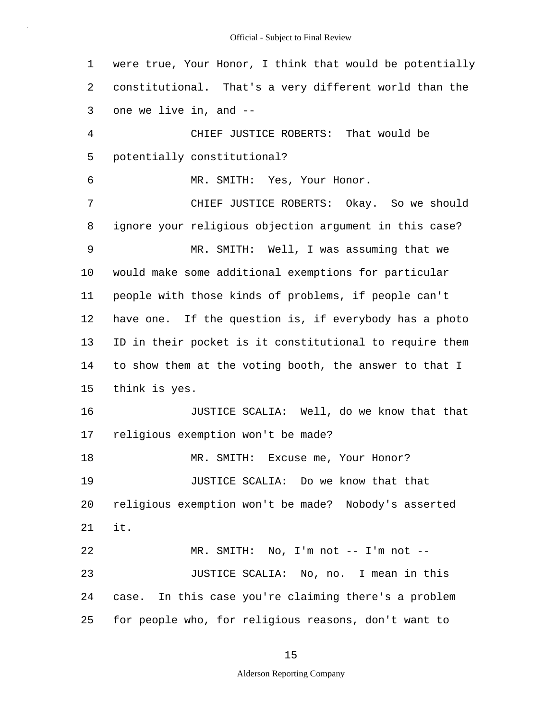1 2 3 4 5 6 7 8 9 10 11 12 13 14 15 16 17 18 19 20 21 22 23 24 25 were true, Your Honor, I think that would be potentially constitutional. That's a very different world than the one we live in, and -- CHIEF JUSTICE ROBERTS: That would be potentially constitutional? MR. SMITH: Yes, Your Honor. CHIEF JUSTICE ROBERTS: Okay. So we should ignore your religious objection argument in this case? MR. SMITH: Well, I was assuming that we would make some additional exemptions for particular people with those kinds of problems, if people can't have one. If the question is, if everybody has a photo ID in their pocket is it constitutional to require them to show them at the voting booth, the answer to that I think is yes. JUSTICE SCALIA: Well, do we know that that religious exemption won't be made? MR. SMITH: Excuse me, Your Honor? JUSTICE SCALIA: Do we know that that religious exemption won't be made? Nobody's asserted it. case. MR. SMITH: No, I'm not -- I'm not -- JUSTICE SCALIA: No, no. I mean in this In this case you're claiming there's a problem for people who, for religious reasons, don't want to

15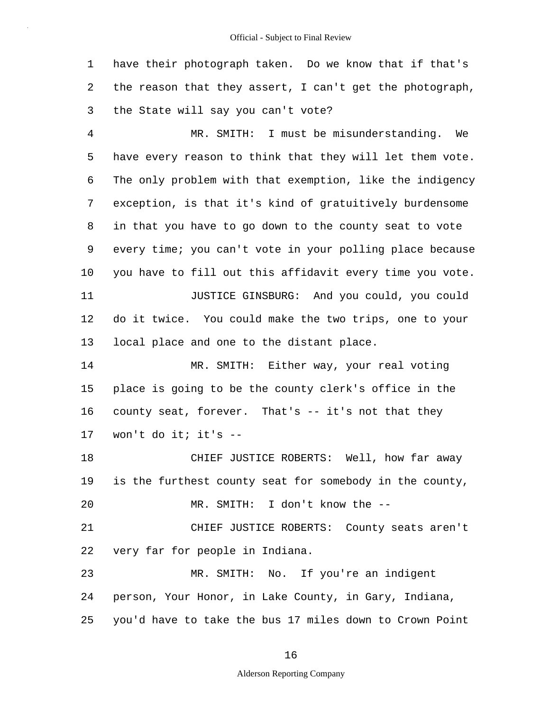1 2 3 have their photograph taken. Do we know that if that's the reason that they assert, I can't get the photograph, the State will say you can't vote?

4 5 6 7 8 9 10 11 12 13 14 MR. SMITH: I must be misunderstanding. We have every reason to think that they will let them vote. The only problem with that exemption, like the indigency exception, is that it's kind of gratuitively burdensome in that you have to go down to the county seat to vote every time; you can't vote in your polling place because you have to fill out this affidavit every time you vote. JUSTICE GINSBURG: And you could, you could do it twice. You could make the two trips, one to your local place and one to the distant place. MR. SMITH: Either way, your real voting

15 16 17 place is going to be the county clerk's office in the county seat, forever. That's -- it's not that they won't do it; it's --

18 19 20 CHIEF JUSTICE ROBERTS: Well, how far away is the furthest county seat for somebody in the county, MR. SMITH: I don't know the --

21 22 CHIEF JUSTICE ROBERTS: County seats aren't very far for people in Indiana.

23 24 25 MR. SMITH: No. If you're an indigent person, Your Honor, in Lake County, in Gary, Indiana, you'd have to take the bus 17 miles down to Crown Point

16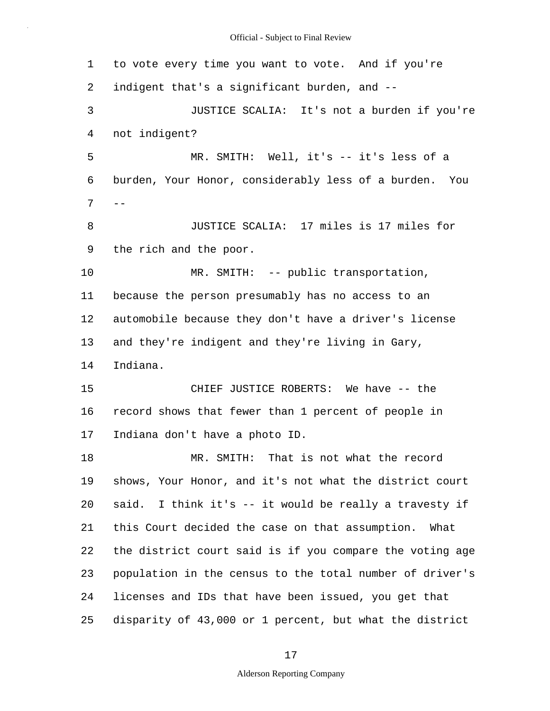1 2 3 4 5 6  $7 - -$ 8 9 10 11 12 13 14 15 16 17 18 19 20 21 22 23 24 25 to vote every time you want to vote. And if you're indigent that's a significant burden, and -- JUSTICE SCALIA: It's not a burden if you're not indigent? MR. SMITH: Well, it's -- it's less of a burden, Your Honor, considerably less of a burden. You JUSTICE SCALIA: 17 miles is 17 miles for the rich and the poor. MR. SMITH: -- public transportation, because the person presumably has no access to an automobile because they don't have a driver's license and they're indigent and they're living in Gary, Indiana. CHIEF JUSTICE ROBERTS: We have -- the record shows that fewer than 1 percent of people in Indiana don't have a photo ID. MR. SMITH: That is not what the record shows, Your Honor, and it's not what the district court said. I think it's -- it would be really a travesty if this Court decided the case on that assumption. What the district court said is if you compare the voting age population in the census to the total number of driver's licenses and IDs that have been issued, you get that disparity of 43,000 or 1 percent, but what the district

17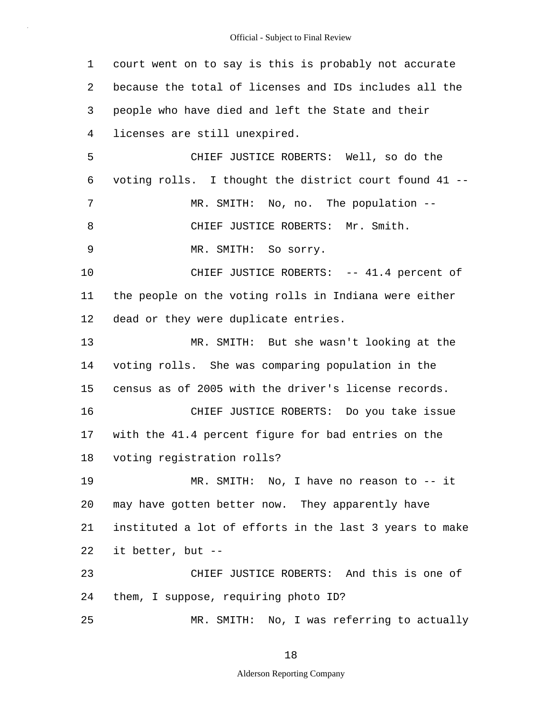1 2 3 4 5 6 7 8 9 10 11 12 13 14 15 16 17 18 19 20 21 22 23 24 25 court went on to say is this is probably not accurate because the total of licenses and IDs includes all the people who have died and left the State and their licenses are still unexpired. CHIEF JUSTICE ROBERTS: Well, so do the voting rolls. I thought the district court found 41 -- MR. SMITH: No, no. The population -- CHIEF JUSTICE ROBERTS: Mr. Smith. MR. SMITH: So sorry. CHIEF JUSTICE ROBERTS: -- 41.4 percent of the people on the voting rolls in Indiana were either dead or they were duplicate entries. MR. SMITH: But she wasn't looking at the voting rolls. She was comparing population in the census as of 2005 with the driver's license records. CHIEF JUSTICE ROBERTS: Do you take issue with the 41.4 percent figure for bad entries on the voting registration rolls? MR. SMITH: No, I have no reason to -- it may have gotten better now. They apparently have instituted a lot of efforts in the last 3 years to make it better, but -- CHIEF JUSTICE ROBERTS: And this is one of them, I suppose, requiring photo ID? MR. SMITH: No, I was referring to actually

18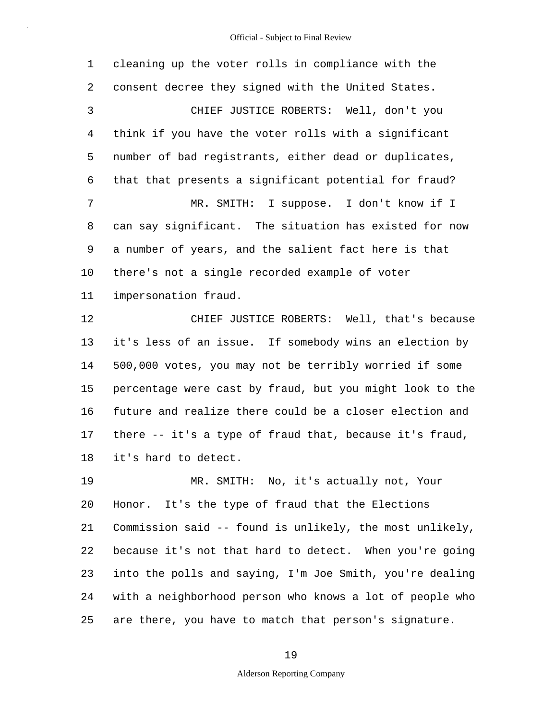1 2 3 4 5 6 7 8 9 10 11 12 13 14 15 16 17 18 19 20 21 22 cleaning up the voter rolls in compliance with the consent decree they signed with the United States. CHIEF JUSTICE ROBERTS: Well, don't you think if you have the voter rolls with a significant number of bad registrants, either dead or duplicates, that that presents a significant potential for fraud? MR. SMITH: I suppose. I don't know if I can say significant. The situation has existed for now a number of years, and the salient fact here is that there's not a single recorded example of voter impersonation fraud. CHIEF JUSTICE ROBERTS: Well, that's because it's less of an issue. If somebody wins an election by 500,000 votes, you may not be terribly worried if some percentage were cast by fraud, but you might look to the future and realize there could be a closer election and there -- it's a type of fraud that, because it's fraud, it's hard to detect. MR. SMITH: No, it's actually not, Your Honor. It's the type of fraud that the Elections Commission said -- found is unlikely, the most unlikely, because it's not that hard to detect. When you're going

24 25 with a neighborhood person who knows a lot of people who are there, you have to match that person's signature.

23

### 19

into the polls and saying, I'm Joe Smith, you're dealing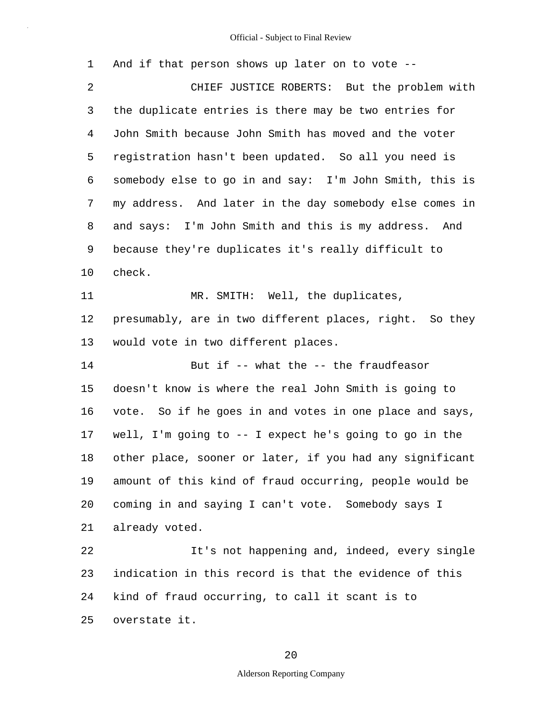| 1  | And if that person shows up later on to vote --          |
|----|----------------------------------------------------------|
| 2  | CHIEF JUSTICE ROBERTS: But the problem with              |
| 3  | the duplicate entries is there may be two entries for    |
| 4  | John Smith because John Smith has moved and the voter    |
| 5  | registration hasn't been updated. So all you need is     |
| 6  | somebody else to go in and say: I'm John Smith, this is  |
| 7  | my address. And later in the day somebody else comes in  |
| 8  | and says: I'm John Smith and this is my address. And     |
| 9  | because they're duplicates it's really difficult to      |
| 10 | check.                                                   |
| 11 | MR. SMITH: Well, the duplicates,                         |
| 12 | presumably, are in two different places, right. So they  |
| 13 | would vote in two different places.                      |
| 14 | But if -- what the -- the fraudfeasor                    |
| 15 | doesn't know is where the real John Smith is going to    |
| 16 | vote. So if he goes in and votes in one place and says,  |
| 17 | well, I'm going to -- I expect he's going to go in the   |
| 18 | other place, sooner or later, if you had any significant |
| 19 | amount of this kind of fraud occurring, people would be  |
| 20 | coming in and saying I can't vote. Somebody says I       |
| 21 | already voted.                                           |
| 22 | It's not happening and, indeed, every single             |
| 23 | indication in this record is that the evidence of this   |
| 24 | kind of fraud occurring, to call it scant is to          |
| 25 | overstate it.                                            |

# 20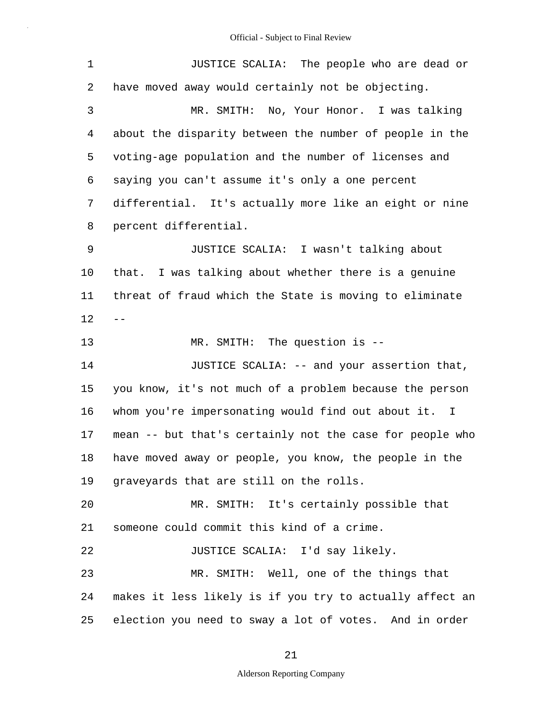| $\mathbf 1$ | JUSTICE SCALIA: The people who are dead or               |
|-------------|----------------------------------------------------------|
| 2           | have moved away would certainly not be objecting.        |
| 3           | MR. SMITH: No, Your Honor. I was talking                 |
| 4           | about the disparity between the number of people in the  |
| 5           | voting-age population and the number of licenses and     |
| 6           | saying you can't assume it's only a one percent          |
| 7           | differential. It's actually more like an eight or nine   |
| 8           | percent differential.                                    |
| 9           | JUSTICE SCALIA: I wasn't talking about                   |
| 10          | that. I was talking about whether there is a genuine     |
| 11          | threat of fraud which the State is moving to eliminate   |
| 12          |                                                          |
| 13          | MR. SMITH: The question is --                            |
| 14          | JUSTICE SCALIA: -- and your assertion that,              |
| 15          | you know, it's not much of a problem because the person  |
| 16          | whom you're impersonating would find out about it. I     |
| 17          | mean -- but that's certainly not the case for people who |
| 18          | have moved away or people, you know, the people in the   |
| 19          | graveyards that are still on the rolls.                  |
| 20          | MR. SMITH: It's certainly possible that                  |
| 21          | someone could commit this kind of a crime.               |
| 22          | JUSTICE SCALIA: I'd say likely.                          |
| 23          | MR. SMITH: Well, one of the things that                  |
| 24          | makes it less likely is if you try to actually affect an |
| 25          | election you need to sway a lot of votes. And in order   |

21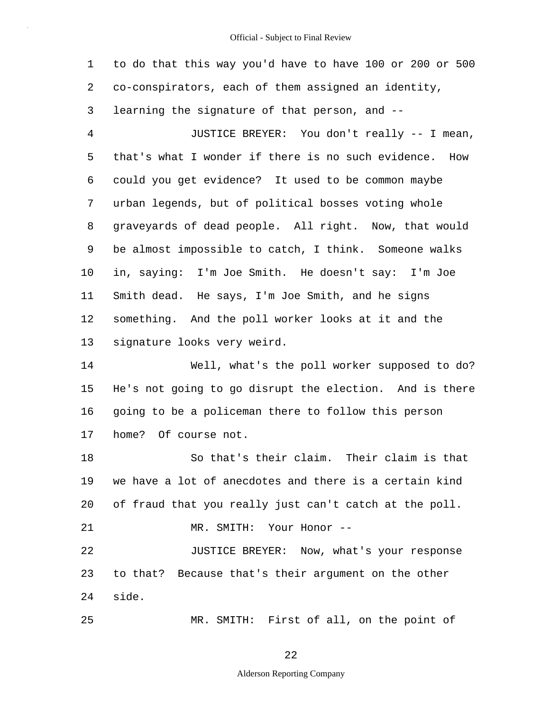1 2 3 4 5 6 7 8 9 10 11 12 13 14 15 16 17 18 19 20 21 22 23 24 25 to do that this way you'd have to have 100 or 200 or 500 co-conspirators, each of them assigned an identity, learning the signature of that person, and -- JUSTICE BREYER: You don't really -- I mean, that's what I wonder if there is no such evidence. How could you get evidence? It used to be common maybe urban legends, but of political bosses voting whole graveyards of dead people. All right. Now, that would be almost impossible to catch, I think. Someone walks in, saying: I'm Joe Smith. He doesn't say: I'm Joe Smith dead. He says, I'm Joe Smith, and he signs something. And the poll worker looks at it and the signature looks very weird. Well, what's the poll worker supposed to do? He's not going to go disrupt the election. And is there going to be a policeman there to follow this person home? Of course not. So that's their claim. Their claim is that we have a lot of anecdotes and there is a certain kind of fraud that you really just can't catch at the poll. MR. SMITH: Your Honor -- JUSTICE BREYER: Now, what's your response to that? Because that's their argument on the other side. MR. SMITH: First of all, on the point of

22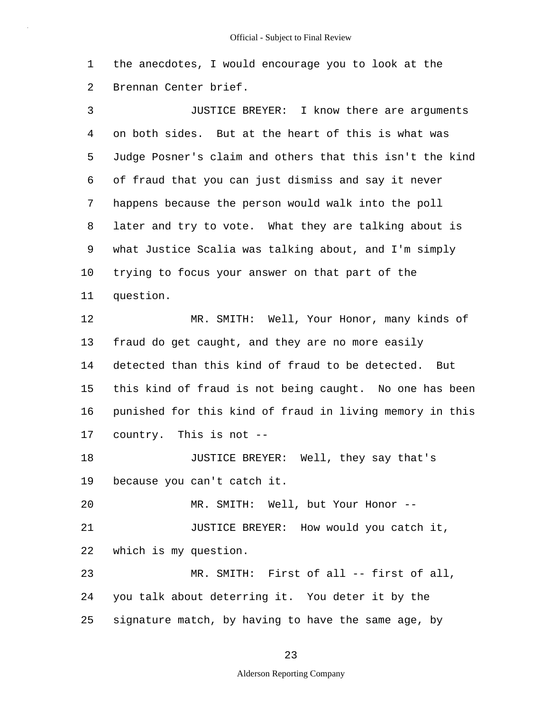1 2 the anecdotes, I would encourage you to look at the Brennan Center brief.

3 4 5 6 7 8 9 10 11 12 13 14 15 16 17 18 19 20 21 22 23 24 25 JUSTICE BREYER: I know there are arguments on both sides. But at the heart of this is what was Judge Posner's claim and others that this isn't the kind of fraud that you can just dismiss and say it never happens because the person would walk into the poll later and try to vote. What they are talking about is what Justice Scalia was talking about, and I'm simply trying to focus your answer on that part of the question. MR. SMITH: Well, Your Honor, many kinds of fraud do get caught, and they are no more easily detected than this kind of fraud to be detected. But this kind of fraud is not being caught. No one has been punished for this kind of fraud in living memory in this country. This is not -- JUSTICE BREYER: Well, they say that's because you can't catch it. MR. SMITH: Well, but Your Honor -- JUSTICE BREYER: How would you catch it, which is my question. MR. SMITH: First of all -- first of all, you talk about deterring it. You deter it by the signature match, by having to have the same age, by

#### 23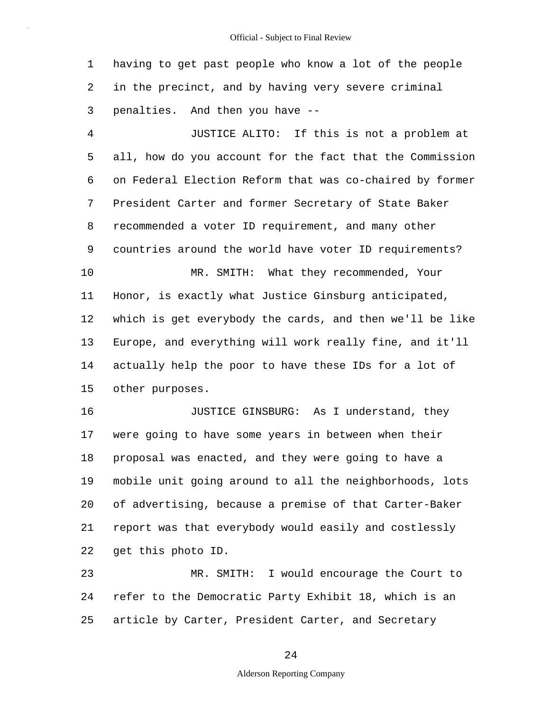1 2 3 having to get past people who know a lot of the people in the precinct, and by having very severe criminal penalties. And then you have --

4 5 6 7 8 9 10 11 12 13 14 15 JUSTICE ALITO: If this is not a problem at all, how do you account for the fact that the Commission on Federal Election Reform that was co-chaired by former President Carter and former Secretary of State Baker recommended a voter ID requirement, and many other countries around the world have voter ID requirements? MR. SMITH: What they recommended, Your Honor, is exactly what Justice Ginsburg anticipated, which is get everybody the cards, and then we'll be like Europe, and everything will work really fine, and it'll actually help the poor to have these IDs for a lot of other purposes.

16 17 18 19 20 21 22 JUSTICE GINSBURG: As I understand, they were going to have some years in between when their proposal was enacted, and they were going to have a mobile unit going around to all the neighborhoods, lots of advertising, because a premise of that Carter-Baker report was that everybody would easily and costlessly get this photo ID.

23 24 25 MR. SMITH: I would encourage the Court to refer to the Democratic Party Exhibit 18, which is an article by Carter, President Carter, and Secretary

24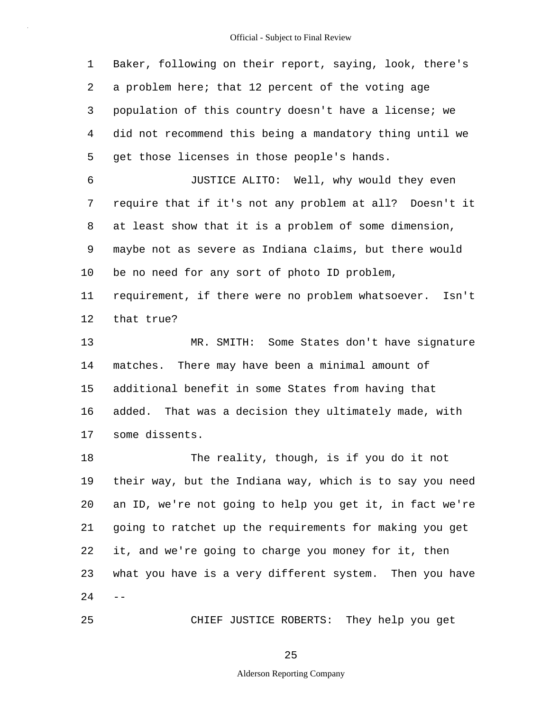1 2 3 4 5 6 7 8 9 10 11 12 13 14 15 16 17 18 19 20 21 22 23  $24 - -$ 25 Baker, following on their report, saying, look, there's a problem here; that 12 percent of the voting age population of this country doesn't have a license; we did not recommend this being a mandatory thing until we get those licenses in those people's hands. JUSTICE ALITO: Well, why would they even require that if it's not any problem at all? Doesn't it at least show that it is a problem of some dimension, maybe not as severe as Indiana claims, but there would be no need for any sort of photo ID problem, requirement, if there were no problem whatsoever. Isn't that true? MR. SMITH: Some States don't have signature matches. There may have been a minimal amount of additional benefit in some States from having that added. That was a decision they ultimately made, with some dissents. The reality, though, is if you do it not their way, but the Indiana way, which is to say you need an ID, we're not going to help you get it, in fact we're going to ratchet up the requirements for making you get it, and we're going to charge you money for it, then what you have is a very different system. Then you have CHIEF JUSTICE ROBERTS: They help you get

25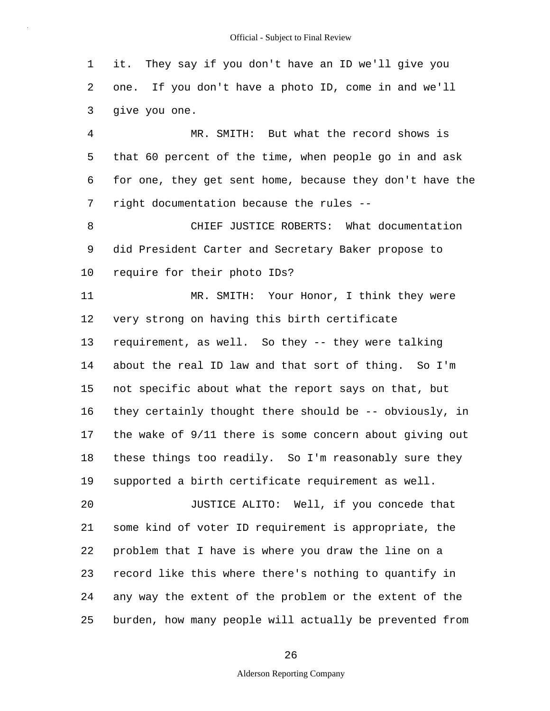1 2 3 it. They say if you don't have an ID we'll give you one. If you don't have a photo ID, come in and we'll give you one.

4 5 6 7 MR. SMITH: But what the record shows is that 60 percent of the time, when people go in and ask for one, they get sent home, because they don't have the right documentation because the rules --

8 9 10 CHIEF JUSTICE ROBERTS: What documentation did President Carter and Secretary Baker propose to require for their photo IDs?

11 12 13 14 15 16 17 18 19 20 21 22 23 24 MR. SMITH: Your Honor, I think they were very strong on having this birth certificate requirement, as well. So they -- they were talking about the real ID law and that sort of thing. So I'm not specific about what the report says on that, but they certainly thought there should be -- obviously, in the wake of 9/11 there is some concern about giving out these things too readily. So I'm reasonably sure they supported a birth certificate requirement as well. JUSTICE ALITO: Well, if you concede that some kind of voter ID requirement is appropriate, the problem that I have is where you draw the line on a record like this where there's nothing to quantify in any way the extent of the problem or the extent of the

25 burden, how many people will actually be prevented from

26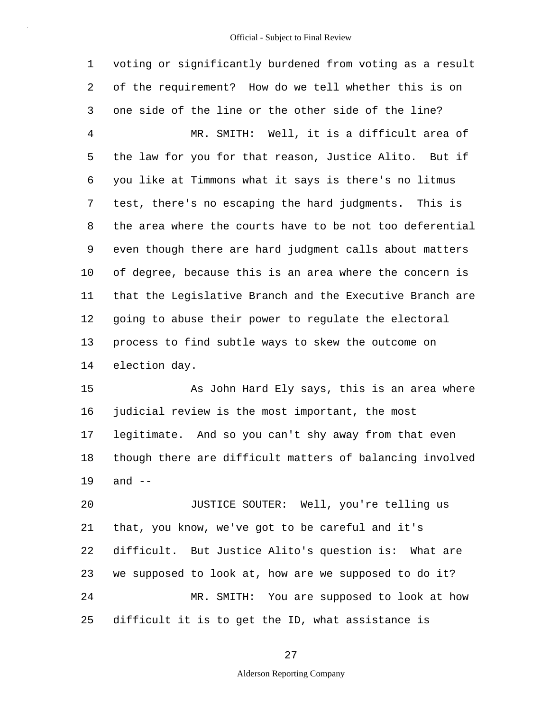1 2 3 4 5 6 7 8 9 10 11 12 13 14 voting or significantly burdened from voting as a result of the requirement? How do we tell whether this is on one side of the line or the other side of the line? MR. SMITH: Well, it is a difficult area of the law for you for that reason, Justice Alito. But if you like at Timmons what it says is there's no litmus test, there's no escaping the hard judgments. This is the area where the courts have to be not too deferential even though there are hard judgment calls about matters of degree, because this is an area where the concern is that the Legislative Branch and the Executive Branch are going to abuse their power to regulate the electoral process to find subtle ways to skew the outcome on election day.

15 16 17 18 19 As John Hard Ely says, this is an area where judicial review is the most important, the most legitimate. And so you can't shy away from that even though there are difficult matters of balancing involved and  $--$ 

20 21 22 23 24 25 JUSTICE SOUTER: Well, you're telling us that, you know, we've got to be careful and it's difficult. But Justice Alito's question is: What are we supposed to look at, how are we supposed to do it? MR. SMITH: You are supposed to look at how difficult it is to get the ID, what assistance is

27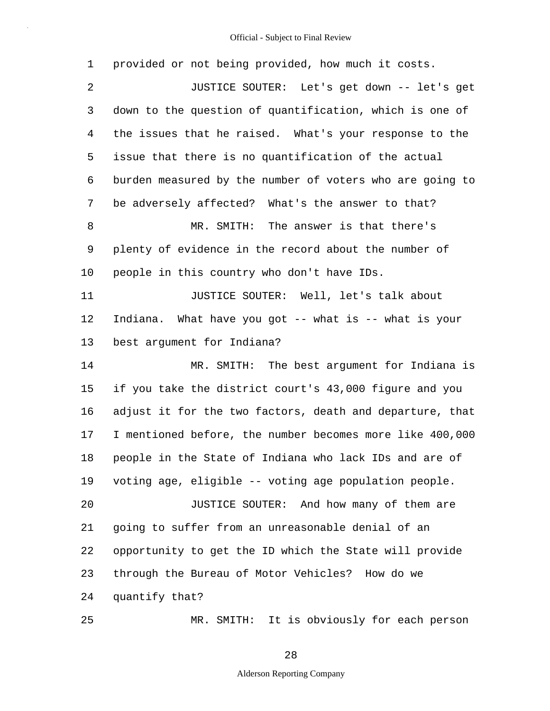| $\mathbf 1$ | provided or not being provided, how much it costs.       |
|-------------|----------------------------------------------------------|
| 2           | JUSTICE SOUTER: Let's get down -- let's get              |
| 3           | down to the question of quantification, which is one of  |
| 4           | the issues that he raised. What's your response to the   |
| 5           | issue that there is no quantification of the actual      |
| 6           | burden measured by the number of voters who are going to |
| 7           | be adversely affected? What's the answer to that?        |
| 8           | MR. SMITH: The answer is that there's                    |
| 9           | plenty of evidence in the record about the number of     |
| 10          | people in this country who don't have IDs.               |
| 11          | JUSTICE SOUTER: Well, let's talk about                   |
| 12          | Indiana. What have you got -- what is -- what is your    |
| 13          | best argument for Indiana?                               |
| 14          | MR. SMITH: The best argument for Indiana is              |
| 15          | if you take the district court's 43,000 figure and you   |
| 16          | adjust it for the two factors, death and departure, that |
| 17          | I mentioned before, the number becomes more like 400,000 |
| 18          | people in the State of Indiana who lack IDs and are of   |
| 19          | voting age, eligible -- voting age population people.    |
| 20          | JUSTICE SOUTER: And how many of them are                 |
| 21          | going to suffer from an unreasonable denial of an        |
| 22          | opportunity to get the ID which the State will provide   |
| 23          | through the Bureau of Motor Vehicles? How do we          |
| 24          | quantify that?                                           |
| 25          | MR. SMITH: It is obviously for each person               |

28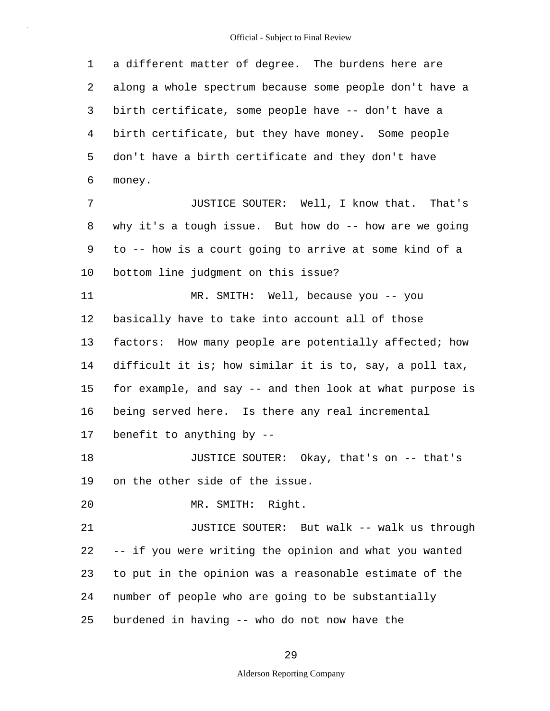1 2 3 4 5 6 7 8 9 10 11 12 13 14 15 16 17 18 19 20 21 22 23 24 a different matter of degree. The burdens here are along a whole spectrum because some people don't have a birth certificate, some people have -- don't have a birth certificate, but they have money. Some people don't have a birth certificate and they don't have money. JUSTICE SOUTER: Well, I know that. That's why it's a tough issue. But how do -- how are we going to -- how is a court going to arrive at some kind of a bottom line judgment on this issue? MR. SMITH: Well, because you -- you basically have to take into account all of those factors: How many people are potentially affected; how difficult it is; how similar it is to, say, a poll tax, for example, and say -- and then look at what purpose is being served here. Is there any real incremental benefit to anything by -- JUSTICE SOUTER: Okay, that's on -- that's on the other side of the issue. MR. SMITH: Right. JUSTICE SOUTER: But walk -- walk us through -- if you were writing the opinion and what you wanted to put in the opinion was a reasonable estimate of the number of people who are going to be substantially

25 burdened in having -- who do not now have the

29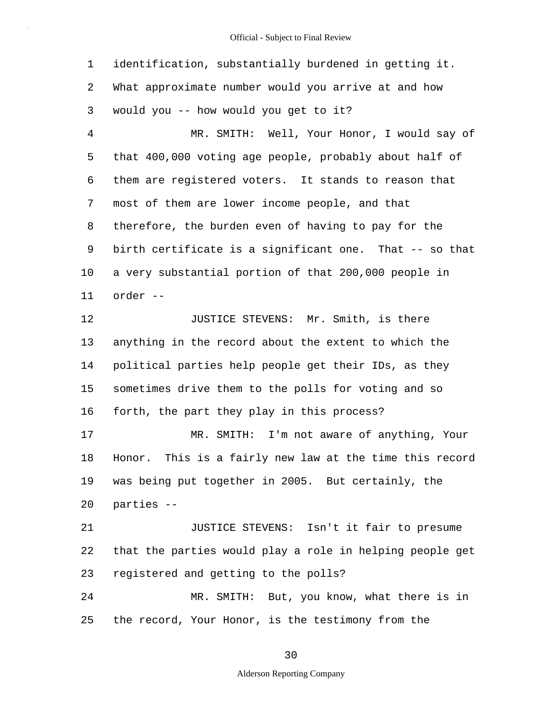1 2 3 4 5 6 7 8 9 10 11 12 13 14 15 16 17 18 19 20 21 22 23 24 25 identification, substantially burdened in getting it. What approximate number would you arrive at and how would you -- how would you get to it? MR. SMITH: Well, Your Honor, I would say of that 400,000 voting age people, probably about half of them are registered voters. It stands to reason that most of them are lower income people, and that therefore, the burden even of having to pay for the birth certificate is a significant one. That -- so that a very substantial portion of that 200,000 people in order -- JUSTICE STEVENS: Mr. Smith, is there anything in the record about the extent to which the political parties help people get their IDs, as they sometimes drive them to the polls for voting and so forth, the part they play in this process? MR. SMITH: I'm not aware of anything, Your Honor. This is a fairly new law at the time this record was being put together in 2005. But certainly, the parties -- JUSTICE STEVENS: Isn't it fair to presume that the parties would play a role in helping people get registered and getting to the polls? MR. SMITH: But, you know, what there is in the record, Your Honor, is the testimony from the

30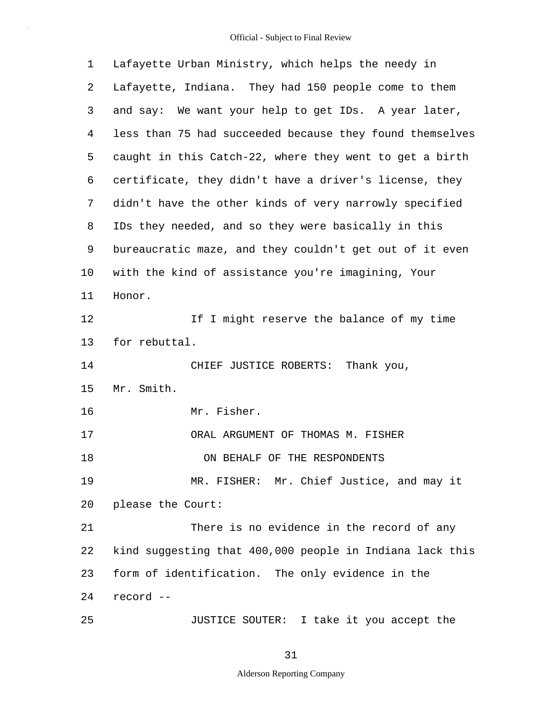| 1  | Lafayette Urban Ministry, which helps the needy in       |
|----|----------------------------------------------------------|
| 2  | Lafayette, Indiana. They had 150 people come to them     |
| 3  | and say: We want your help to get IDs. A year later,     |
| 4  | less than 75 had succeeded because they found themselves |
| 5  | caught in this Catch-22, where they went to get a birth  |
| 6  | certificate, they didn't have a driver's license, they   |
| 7  | didn't have the other kinds of very narrowly specified   |
| 8  | IDs they needed, and so they were basically in this      |
| 9  | bureaucratic maze, and they couldn't get out of it even  |
| 10 | with the kind of assistance you're imagining, Your       |
| 11 | Honor.                                                   |
| 12 | If I might reserve the balance of my time                |
| 13 | for rebuttal.                                            |
| 14 | CHIEF JUSTICE ROBERTS: Thank you,                        |
| 15 | Mr. Smith.                                               |
| 16 | Mr. Fisher.                                              |
| 17 | ORAL ARGUMENT OF THOMAS M. FISHER                        |
| 18 | ON BEHALF OF THE RESPONDENTS                             |
| 19 | MR. FISHER: Mr. Chief Justice, and may it                |
| 20 | please the Court:                                        |
| 21 | There is no evidence in the record of any                |
| 22 | kind suggesting that 400,000 people in Indiana lack this |
| 23 | form of identification. The only evidence in the         |
| 24 | record --                                                |
| 25 | JUSTICE SOUTER: I take it you accept the                 |

31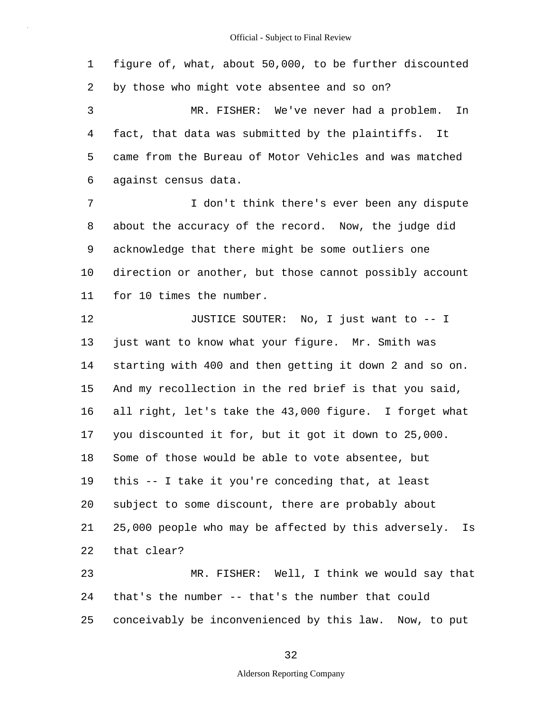1 2 3 4 5 figure of, what, about 50,000, to be further discounted by those who might vote absentee and so on? MR. FISHER: We've never had a problem. In fact, that data was submitted by the plaintiffs. It came from the Bureau of Motor Vehicles and was matched

6 against census data.

7 8 9 10 11 I don't think there's ever been any dispute about the accuracy of the record. Now, the judge did acknowledge that there might be some outliers one direction or another, but those cannot possibly account for 10 times the number.

12 13 14 15 16 17 18 19 20 21 22 23 JUSTICE SOUTER: No, I just want to -- I just want to know what your figure. Mr. Smith was starting with 400 and then getting it down 2 and so on. And my recollection in the red brief is that you said, all right, let's take the 43,000 figure. I forget what you discounted it for, but it got it down to 25,000. Some of those would be able to vote absentee, but this -- I take it you're conceding that, at least subject to some discount, there are probably about 25,000 people who may be affected by this adversely. Is that clear? MR. FISHER: Well, I think we would say that

24 25 that's the number -- that's the number that could conceivably be inconvenienced by this law. Now, to put

#### 32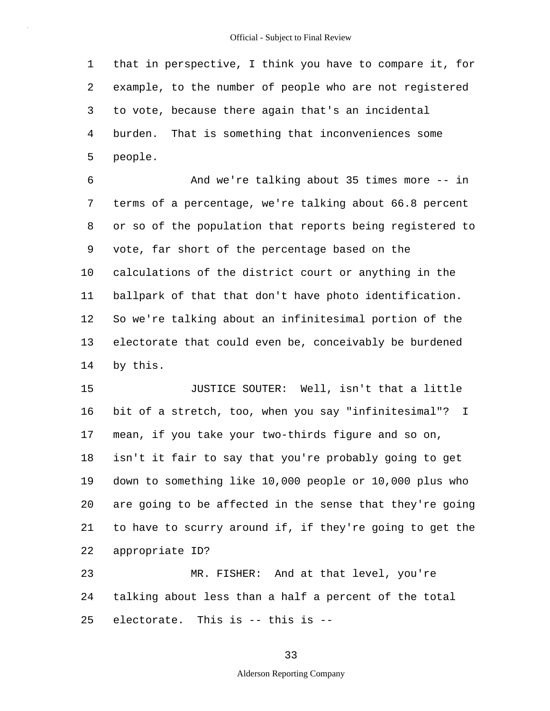1 2 3 4 5 that in perspective, I think you have to compare it, for example, to the number of people who are not registered to vote, because there again that's an incidental burden. That is something that inconveniences some people.

6 7 8 9 10 11 12 13 14 And we're talking about 35 times more -- in terms of a percentage, we're talking about 66.8 percent or so of the population that reports being registered to vote, far short of the percentage based on the calculations of the district court or anything in the ballpark of that that don't have photo identification. So we're talking about an infinitesimal portion of the electorate that could even be, conceivably be burdened by this.

15 16 17 18 19 20 21 22 JUSTICE SOUTER: Well, isn't that a little bit of a stretch, too, when you say "infinitesimal"? I mean, if you take your two-thirds figure and so on, isn't it fair to say that you're probably going to get down to something like 10,000 people or 10,000 plus who are going to be affected in the sense that they're going to have to scurry around if, if they're going to get the appropriate ID?

23 24 25 MR. FISHER: And at that level, you're talking about less than a half a percent of the total electorate. This is -- this is --

33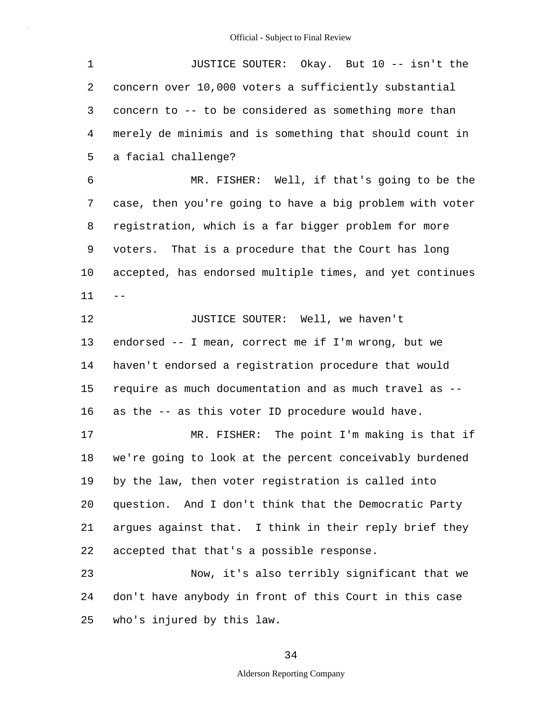| $\mathbf 1$ | JUSTICE SOUTER: Okay. But 10 -- isn't the                |
|-------------|----------------------------------------------------------|
| 2           | concern over 10,000 voters a sufficiently substantial    |
| 3           | concern to -- to be considered as something more than    |
| 4           | merely de minimis and is something that should count in  |
| 5           | a facial challenge?                                      |
| 6           | MR. FISHER: Well, if that's going to be the              |
| 7           | case, then you're going to have a big problem with voter |
| 8           | registration, which is a far bigger problem for more     |
| 9           | voters. That is a procedure that the Court has long      |
| 10          | accepted, has endorsed multiple times, and yet continues |
| 11          | --                                                       |
| 12          | JUSTICE SOUTER: Well, we haven't                         |
| 13          | endorsed -- I mean, correct me if I'm wrong, but we      |
| 14          | haven't endorsed a registration procedure that would     |
| 15          | require as much documentation and as much travel as --   |
| 16          | as the -- as this voter ID procedure would have.         |
| 17          | MR. FISHER: The point I'm making is that if              |
| 18          | we're going to look at the percent conceivably burdened  |
| 19          | by the law, then voter registration is called into       |
| 20          | question. And I don't think that the Democratic Party    |
| 21          | argues against that. I think in their reply brief they   |
| 22          | accepted that that's a possible response.                |
| 23          | Now, it's also terribly significant that we              |
| 24          | don't have anybody in front of this Court in this case   |
| 25          | who's injured by this law.                               |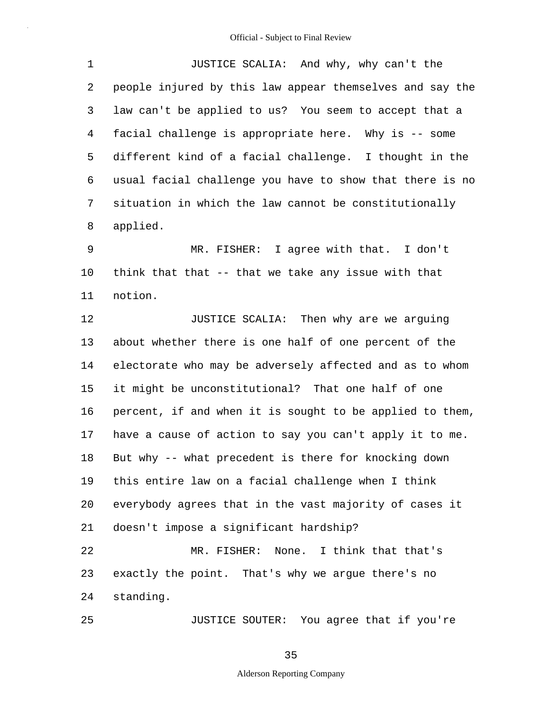|              | JUSTICE SCALIA: And why, why can't the                     |
|--------------|------------------------------------------------------------|
| $\mathbf{2}$ | people injured by this law appear themselves and say the   |
| $\mathbf{3}$ | law can't be applied to us? You seem to accept that a      |
| $4 \quad$    | facial challenge is appropriate here. Why is -- some       |
|              | 5 different kind of a facial challenge. I thought in the   |
|              | 6 usual facial challenge you have to show that there is no |
| 7            | situation in which the law cannot be constitutionally      |
| 8            | applied.                                                   |

9 10 11 MR. FISHER: I agree with that. I don't think that that  $-$ - that we take any issue with that notion.

12 13 14 15 16 17 18 19 20 21 22 23 24 JUSTICE SCALIA: Then why are we arguing about whether there is one half of one percent of the electorate who may be adversely affected and as to whom it might be unconstitutional? That one half of one percent, if and when it is sought to be applied to them, have a cause of action to say you can't apply it to me. But why -- what precedent is there for knocking down this entire law on a facial challenge when I think everybody agrees that in the vast majority of cases it doesn't impose a significant hardship? MR. FISHER: None. I think that that's exactly the point. That's why we argue there's no standing.

JUSTICE SOUTER: You agree that if you're

35

25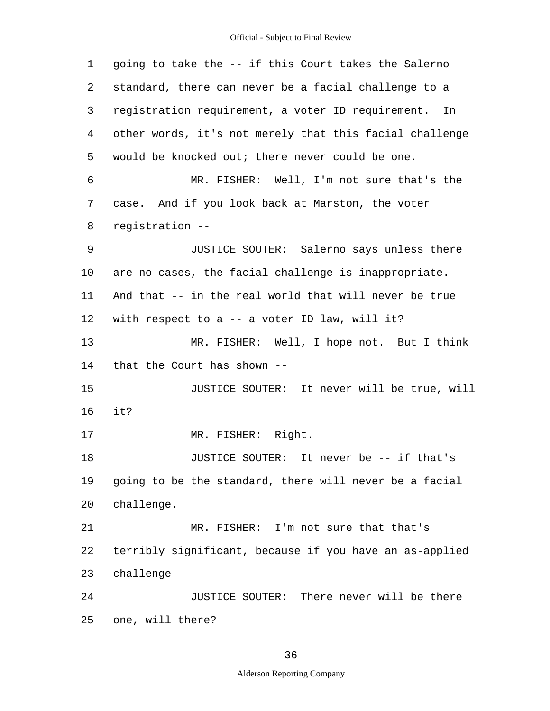| 1  | going to take the -- if this Court takes the Salerno    |
|----|---------------------------------------------------------|
| 2  | standard, there can never be a facial challenge to a    |
| 3  | registration requirement, a voter ID requirement. In    |
| 4  | other words, it's not merely that this facial challenge |
| 5  | would be knocked out; there never could be one.         |
| 6  | MR. FISHER: Well, I'm not sure that's the               |
| 7  | case. And if you look back at Marston, the voter        |
| 8  | registration --                                         |
| 9  | JUSTICE SOUTER: Salerno says unless there               |
| 10 | are no cases, the facial challenge is inappropriate.    |
| 11 | And that -- in the real world that will never be true   |
| 12 | with respect to a -- a voter ID law, will it?           |
| 13 | MR. FISHER: Well, I hope not. But I think               |
| 14 | that the Court has shown --                             |
| 15 | JUSTICE SOUTER: It never will be true, will             |
| 16 | it?                                                     |
| 17 | MR. FISHER: Right.                                      |
| 18 | JUSTICE SOUTER: It never be -- if that's                |
| 19 | going to be the standard, there will never be a facial  |
| 20 | challenge.                                              |
| 21 | MR. FISHER: I'm not sure that that's                    |
| 22 | terribly significant, because if you have an as-applied |
| 23 | challenge --                                            |
| 24 | JUSTICE SOUTER: There never will be there               |
| 25 | one, will there?                                        |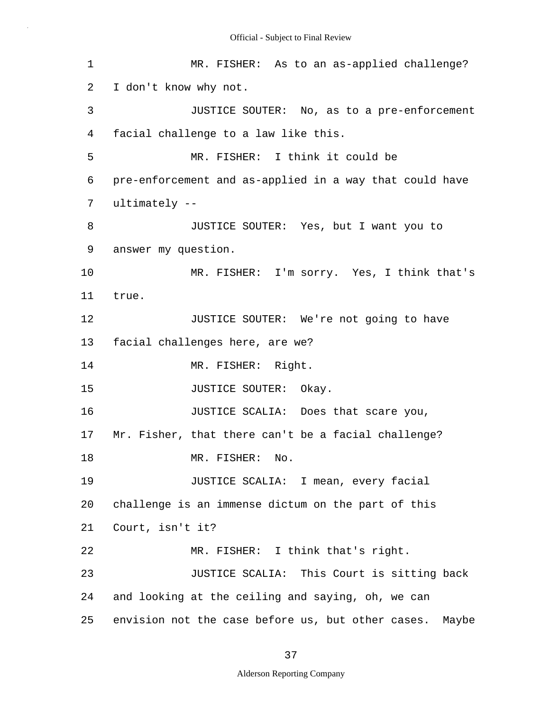| $\mathbf 1$ | MR. FISHER: As to an as-applied challenge?              |  |  |  |  |  |  |
|-------------|---------------------------------------------------------|--|--|--|--|--|--|
| 2           | I don't know why not.                                   |  |  |  |  |  |  |
| 3           | JUSTICE SOUTER: No, as to a pre-enforcement             |  |  |  |  |  |  |
| 4           | facial challenge to a law like this.                    |  |  |  |  |  |  |
| 5           | MR. FISHER: I think it could be                         |  |  |  |  |  |  |
| 6           | pre-enforcement and as-applied in a way that could have |  |  |  |  |  |  |
| 7           | ultimately --                                           |  |  |  |  |  |  |
| 8           | JUSTICE SOUTER: Yes, but I want you to                  |  |  |  |  |  |  |
| 9           | answer my question.                                     |  |  |  |  |  |  |
| 10          | MR. FISHER: I'm sorry. Yes, I think that's              |  |  |  |  |  |  |
| 11          | true.                                                   |  |  |  |  |  |  |
| 12          | JUSTICE SOUTER: We're not going to have                 |  |  |  |  |  |  |
| 13          | facial challenges here, are we?                         |  |  |  |  |  |  |
| 14          | MR. FISHER: Right.                                      |  |  |  |  |  |  |
| 15          | JUSTICE SOUTER: Okay.                                   |  |  |  |  |  |  |
| 16          | JUSTICE SCALIA: Does that scare you,                    |  |  |  |  |  |  |
| 17          | Mr. Fisher, that there can't be a facial challenge?     |  |  |  |  |  |  |
| 18          | MR. FISHER: No.                                         |  |  |  |  |  |  |
| 19          | JUSTICE SCALIA: I mean, every facial                    |  |  |  |  |  |  |
| 20          | challenge is an immense dictum on the part of this      |  |  |  |  |  |  |
| 21          | Court, isn't it?                                        |  |  |  |  |  |  |
| 22          | MR. FISHER: I think that's right.                       |  |  |  |  |  |  |
| 23          | JUSTICE SCALIA: This Court is sitting back              |  |  |  |  |  |  |
| 24          | and looking at the ceiling and saying, oh, we can       |  |  |  |  |  |  |
| 25          | envision not the case before us, but other cases. Maybe |  |  |  |  |  |  |

# 37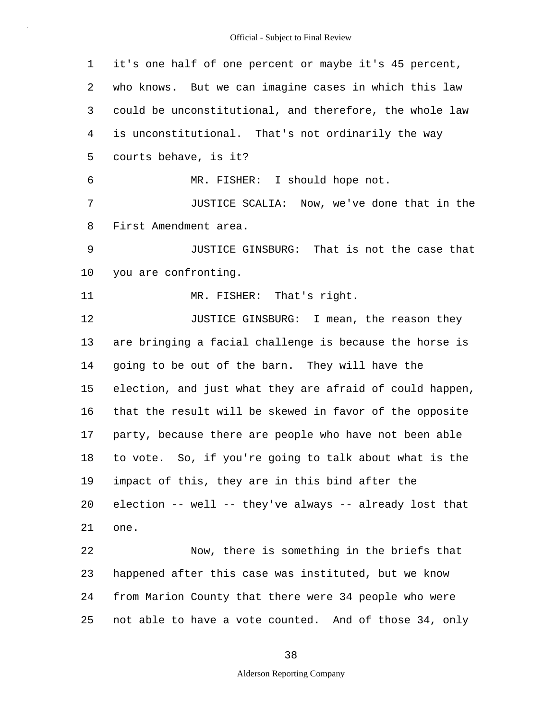1 2 3 4 5 6 7 8 9 10 11 12 13 14 15 16 17 18 19 20 21 22 23 24 25 it's one half of one percent or maybe it's 45 percent, who knows. But we can imagine cases in which this law could be unconstitutional, and therefore, the whole law is unconstitutional. That's not ordinarily the way courts behave, is it? MR. FISHER: I should hope not. JUSTICE SCALIA: Now, we've done that in the First Amendment area. JUSTICE GINSBURG: That is not the case that you are confronting. MR. FISHER: That's right. JUSTICE GINSBURG: I mean, the reason they are bringing a facial challenge is because the horse is going to be out of the barn. They will have the election, and just what they are afraid of could happen, that the result will be skewed in favor of the opposite party, because there are people who have not been able to vote. So, if you're going to talk about what is the impact of this, they are in this bind after the election -- well -- they've always -- already lost that one. Now, there is something in the briefs that happened after this case was instituted, but we know from Marion County that there were 34 people who were not able to have a vote counted. And of those 34, only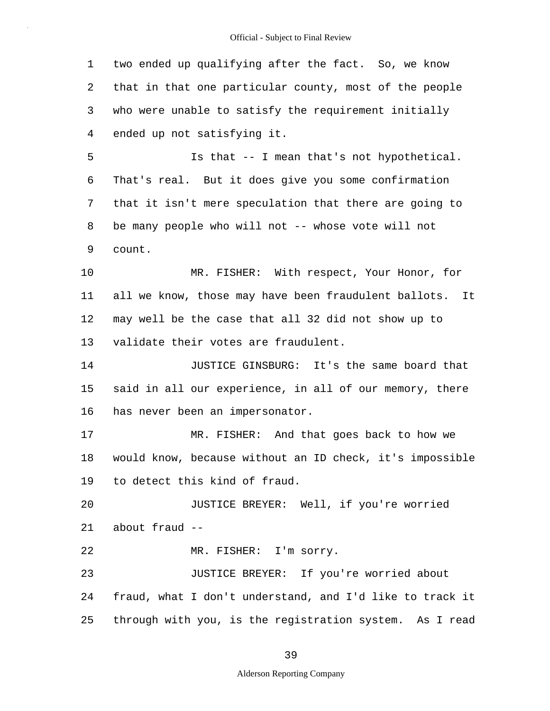1 2 3 4 two ended up qualifying after the fact. So, we know that in that one particular county, most of the people who were unable to satisfy the requirement initially ended up not satisfying it.

5 6 7 8 9 Is that -- I mean that's not hypothetical. That's real. But it does give you some confirmation that it isn't mere speculation that there are going to be many people who will not -- whose vote will not count.

10 11 12 13 MR. FISHER: With respect, Your Honor, for all we know, those may have been fraudulent ballots. It may well be the case that all 32 did not show up to validate their votes are fraudulent.

14 15 16 JUSTICE GINSBURG: It's the same board that said in all our experience, in all of our memory, there has never been an impersonator.

17 18 19 MR. FISHER: And that goes back to how we would know, because without an ID check, it's impossible to detect this kind of fraud.

20 21 JUSTICE BREYER: Well, if you're worried about fraud --

22 MR. FISHER: I'm sorry.

23 24 25 JUSTICE BREYER: If you're worried about fraud, what I don't understand, and I'd like to track it through with you, is the registration system. As I read

39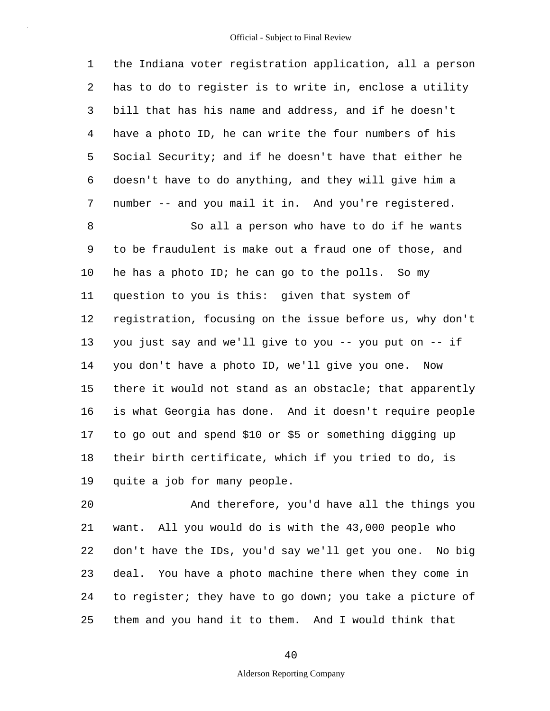1 2 3 4 5 6 7 the Indiana voter registration application, all a person has to do to register is to write in, enclose a utility bill that has his name and address, and if he doesn't have a photo ID, he can write the four numbers of his Social Security; and if he doesn't have that either he doesn't have to do anything, and they will give him a number -- and you mail it in. And you're registered.

8 9 10 11 12 13 14 15 16 17 18 19 So all a person who have to do if he wants to be fraudulent is make out a fraud one of those, and he has a photo ID; he can go to the polls. So my question to you is this: given that system of registration, focusing on the issue before us, why don't you just say and we'll give to you -- you put on -- if you don't have a photo ID, we'll give you one. Now there it would not stand as an obstacle; that apparently is what Georgia has done. And it doesn't require people to go out and spend \$10 or \$5 or something digging up their birth certificate, which if you tried to do, is quite a job for many people.

20 21 22 23 24 25 And therefore, you'd have all the things you want. All you would do is with the 43,000 people who don't have the IDs, you'd say we'll get you one. No big deal. You have a photo machine there when they come in to register; they have to go down; you take a picture of them and you hand it to them. And I would think that

40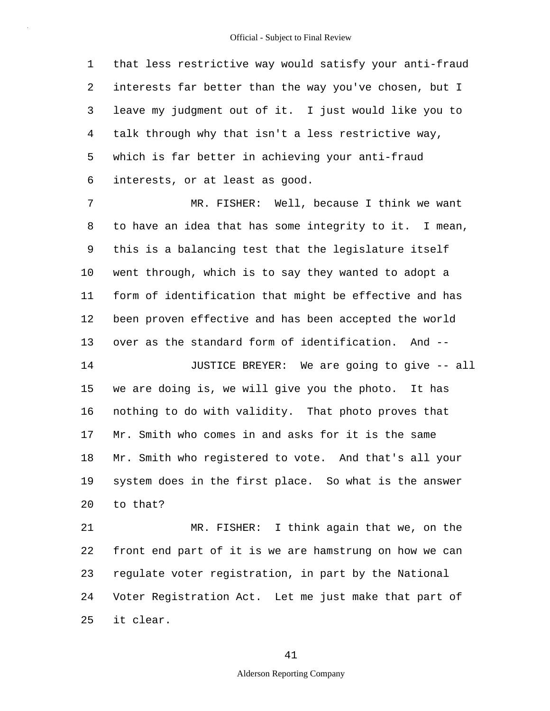1 2 3 4 5 6 that less restrictive way would satisfy your anti-fraud interests far better than the way you've chosen, but I leave my judgment out of it. I just would like you to talk through why that isn't a less restrictive way, which is far better in achieving your anti-fraud interests, or at least as good.

7 8 9 10 11 12 13 MR. FISHER: Well, because I think we want to have an idea that has some integrity to it. I mean, this is a balancing test that the legislature itself went through, which is to say they wanted to adopt a form of identification that might be effective and has been proven effective and has been accepted the world over as the standard form of identification. And --

14 15 16 17 18 19 20 JUSTICE BREYER: We are going to give -- all we are doing is, we will give you the photo. It has nothing to do with validity. That photo proves that Mr. Smith who comes in and asks for it is the same Mr. Smith who registered to vote. And that's all your system does in the first place. So what is the answer to that?

21 22 23 24 25 MR. FISHER: I think again that we, on the front end part of it is we are hamstrung on how we can regulate voter registration, in part by the National Voter Registration Act. Let me just make that part of it clear.

#### 41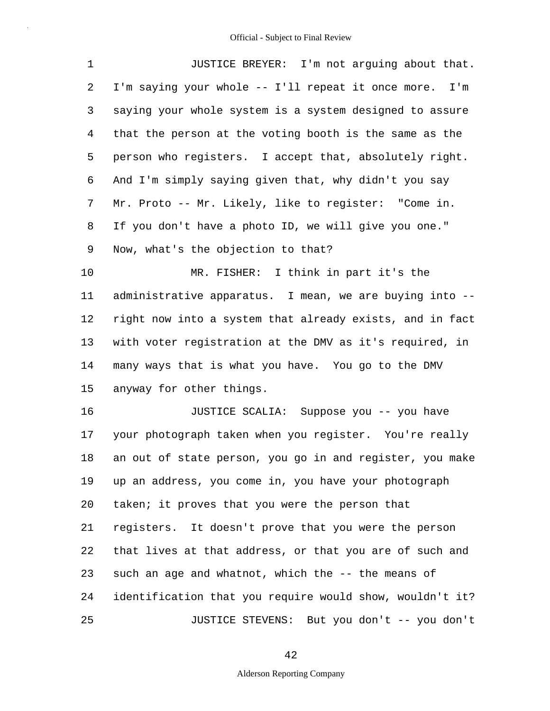| $\mathbf 1$    | JUSTICE BREYER: I'm not arguing about that.              |  |  |  |  |  |
|----------------|----------------------------------------------------------|--|--|--|--|--|
| $\overline{2}$ | I'm saying your whole -- I'll repeat it once more. I'm   |  |  |  |  |  |
| 3              | saying your whole system is a system designed to assure  |  |  |  |  |  |
| $\overline{4}$ | that the person at the voting booth is the same as the   |  |  |  |  |  |
| 5              | person who registers. I accept that, absolutely right.   |  |  |  |  |  |
| 6              | And I'm simply saying given that, why didn't you say     |  |  |  |  |  |
| 7              | Mr. Proto -- Mr. Likely, like to register: "Come in.     |  |  |  |  |  |
| 8              | If you don't have a photo ID, we will give you one."     |  |  |  |  |  |
| 9              | Now, what's the objection to that?                       |  |  |  |  |  |
| 10             | MR. FISHER: I think in part it's the                     |  |  |  |  |  |
| 11             | administrative apparatus. I mean, we are buying into --  |  |  |  |  |  |
| 12             | right now into a system that already exists, and in fact |  |  |  |  |  |
| 13             | with voter registration at the DMV as it's required, in  |  |  |  |  |  |
| 14             | many ways that is what you have. You go to the DMV       |  |  |  |  |  |
| 15             | anyway for other things.                                 |  |  |  |  |  |
| 16             | JUSTICE SCALIA: Suppose you -- you have                  |  |  |  |  |  |
| 17             | your photograph taken when you register. You're really   |  |  |  |  |  |
| 18             | an out of state person, you go in and register, you make |  |  |  |  |  |
| 19             | up an address, you come in, you have your photograph     |  |  |  |  |  |
| 20             | taken; it proves that you were the person that           |  |  |  |  |  |
| 21             | registers. It doesn't prove that you were the person     |  |  |  |  |  |
| 22             | that lives at that address, or that you are of such and  |  |  |  |  |  |
| 23             | such an age and whatnot, which the -- the means of       |  |  |  |  |  |
| 24             | identification that you require would show, wouldn't it? |  |  |  |  |  |
| 25             | JUSTICE STEVENS: But you don't -- you don't              |  |  |  |  |  |

42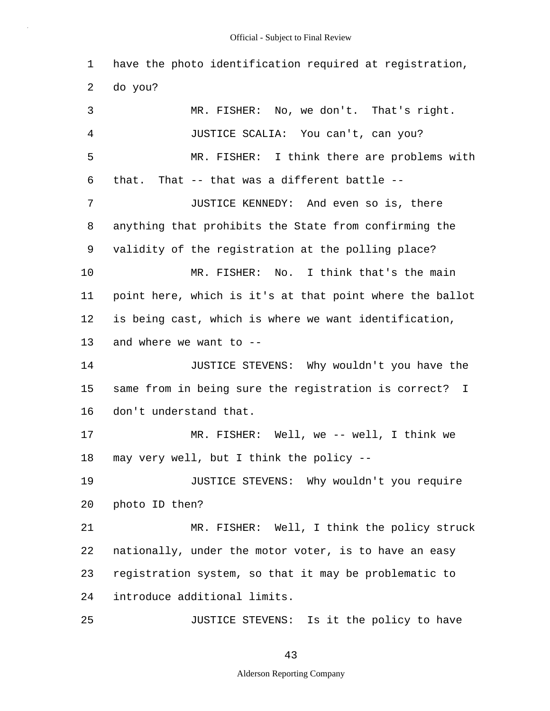1 2 have the photo identification required at registration, do you?

3 4 5 6 7 8 9 10 11 12 13 14 15 16 17 18 19 20 21 22 23 24 25 MR. FISHER: No, we don't. That's right. JUSTICE SCALIA: You can't, can you? MR. FISHER: I think there are problems with that. That -- that was a different battle -- JUSTICE KENNEDY: And even so is, there anything that prohibits the State from confirming the validity of the registration at the polling place? MR. FISHER: No. I think that's the main point here, which is it's at that point where the ballot is being cast, which is where we want identification, and where we want to -- JUSTICE STEVENS: Why wouldn't you have the same from in being sure the registration is correct? I don't understand that. MR. FISHER: Well, we -- well, I think we may very well, but I think the policy -- JUSTICE STEVENS: Why wouldn't you require photo ID then? MR. FISHER: Well, I think the policy struck nationally, under the motor voter, is to have an easy registration system, so that it may be problematic to introduce additional limits. JUSTICE STEVENS: Is it the policy to have

43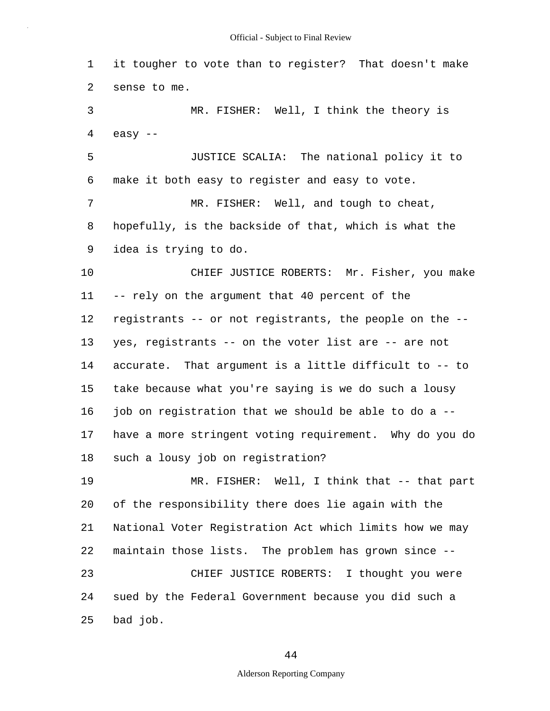1 2 3 4 5 6 7 8 9 10 11 12 13 14 15 16 17 18 19 20 21 22 23 24 25 it tougher to vote than to register? That doesn't make sense to me. MR. FISHER: Well, I think the theory is easy -- JUSTICE SCALIA: The national policy it to make it both easy to register and easy to vote. MR. FISHER: Well, and tough to cheat, hopefully, is the backside of that, which is what the idea is trying to do. CHIEF JUSTICE ROBERTS: Mr. Fisher, you make -- rely on the argument that 40 percent of the registrants -- or not registrants, the people on the - yes, registrants -- on the voter list are -- are not accurate. That argument is a little difficult to -- to take because what you're saying is we do such a lousy job on registration that we should be able to do a - have a more stringent voting requirement. Why do you do such a lousy job on registration? MR. FISHER: Well, I think that -- that part of the responsibility there does lie again with the National Voter Registration Act which limits how we may maintain those lists. The problem has grown since -- CHIEF JUSTICE ROBERTS: I thought you were sued by the Federal Government because you did such a bad job.

44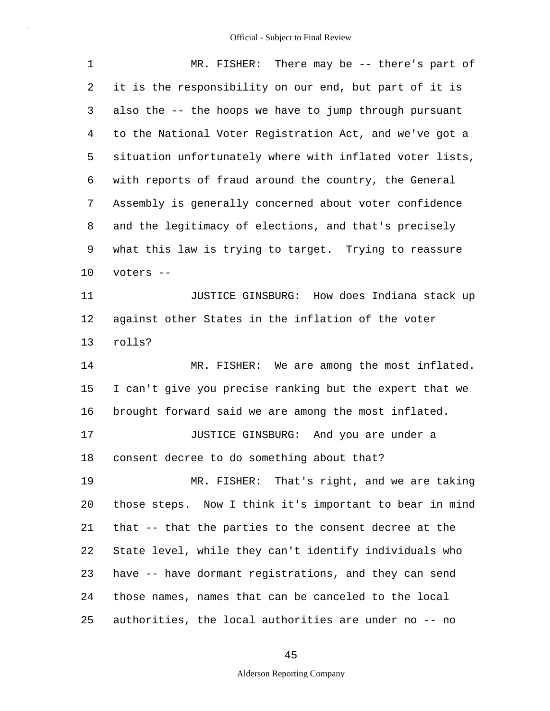| $\mathbf 1$ | MR. FISHER: There may be -- there's part of              |  |  |  |  |  |  |
|-------------|----------------------------------------------------------|--|--|--|--|--|--|
| 2           | it is the responsibility on our end, but part of it is   |  |  |  |  |  |  |
| 3           | also the -- the hoops we have to jump through pursuant   |  |  |  |  |  |  |
| 4           | to the National Voter Registration Act, and we've got a  |  |  |  |  |  |  |
| 5           | situation unfortunately where with inflated voter lists, |  |  |  |  |  |  |
| 6           | with reports of fraud around the country, the General    |  |  |  |  |  |  |
| 7           | Assembly is generally concerned about voter confidence   |  |  |  |  |  |  |
| 8           | and the legitimacy of elections, and that's precisely    |  |  |  |  |  |  |
| 9           | what this law is trying to target. Trying to reassure    |  |  |  |  |  |  |
| 10          | voters --                                                |  |  |  |  |  |  |
| 11          | JUSTICE GINSBURG: How does Indiana stack up              |  |  |  |  |  |  |
| 12          | against other States in the inflation of the voter       |  |  |  |  |  |  |
| 13          | rolls?                                                   |  |  |  |  |  |  |
| 14          | MR. FISHER: We are among the most inflated.              |  |  |  |  |  |  |
| 15          | I can't give you precise ranking but the expert that we  |  |  |  |  |  |  |
| 16          | brought forward said we are among the most inflated.     |  |  |  |  |  |  |
| 17          | JUSTICE GINSBURG: And you are under a                    |  |  |  |  |  |  |
| 18          | consent decree to do something about that?               |  |  |  |  |  |  |
| 19          | MR. FISHER: That's right, and we are taking              |  |  |  |  |  |  |
| 20          | those steps. Now I think it's important to bear in mind  |  |  |  |  |  |  |
| 21          | that -- that the parties to the consent decree at the    |  |  |  |  |  |  |
| 22          | State level, while they can't identify individuals who   |  |  |  |  |  |  |
| 23          | have -- have dormant registrations, and they can send    |  |  |  |  |  |  |
| 24          | those names, names that can be canceled to the local     |  |  |  |  |  |  |
| 25          | authorities, the local authorities are under no -- no    |  |  |  |  |  |  |

45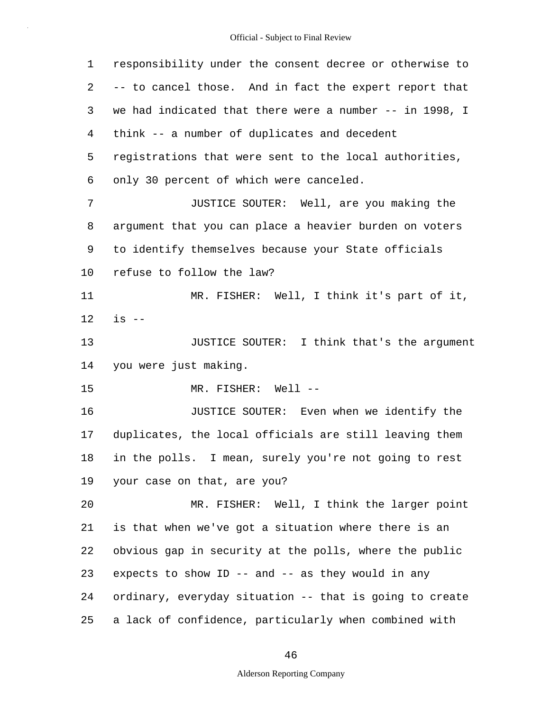| $\mathbf 1$ | responsibility under the consent decree or otherwise to |  |  |  |  |  |
|-------------|---------------------------------------------------------|--|--|--|--|--|
| 2           | -- to cancel those. And in fact the expert report that  |  |  |  |  |  |
| 3           | we had indicated that there were a number -- in 1998, I |  |  |  |  |  |
| 4           | think -- a number of duplicates and decedent            |  |  |  |  |  |
| 5           | registrations that were sent to the local authorities,  |  |  |  |  |  |
| 6           | only 30 percent of which were canceled.                 |  |  |  |  |  |
| 7           | JUSTICE SOUTER: Well, are you making the                |  |  |  |  |  |
| 8           | argument that you can place a heavier burden on voters  |  |  |  |  |  |
| 9           | to identify themselves because your State officials     |  |  |  |  |  |
| $10 \,$     | refuse to follow the law?                               |  |  |  |  |  |
| 11          | MR. FISHER: Well, I think it's part of it,              |  |  |  |  |  |
| 12          | $is$ --                                                 |  |  |  |  |  |
| 13          | JUSTICE SOUTER: I think that's the argument             |  |  |  |  |  |
| 14          | you were just making.                                   |  |  |  |  |  |
| 15          | MR. FISHER: Well --                                     |  |  |  |  |  |
| 16          | JUSTICE SOUTER: Even when we identify the               |  |  |  |  |  |
| 17          | duplicates, the local officials are still leaving them  |  |  |  |  |  |
| 18          | in the polls. I mean, surely you're not going to rest   |  |  |  |  |  |
| 19          | your case on that, are you?                             |  |  |  |  |  |
| 20          | MR. FISHER: Well, I think the larger point              |  |  |  |  |  |
| 21          | is that when we've got a situation where there is an    |  |  |  |  |  |
| 22          | obvious gap in security at the polls, where the public  |  |  |  |  |  |
| 23          | expects to show ID -- and -- as they would in any       |  |  |  |  |  |
| 24          | ordinary, everyday situation -- that is going to create |  |  |  |  |  |
| 25          | a lack of confidence, particularly when combined with   |  |  |  |  |  |

46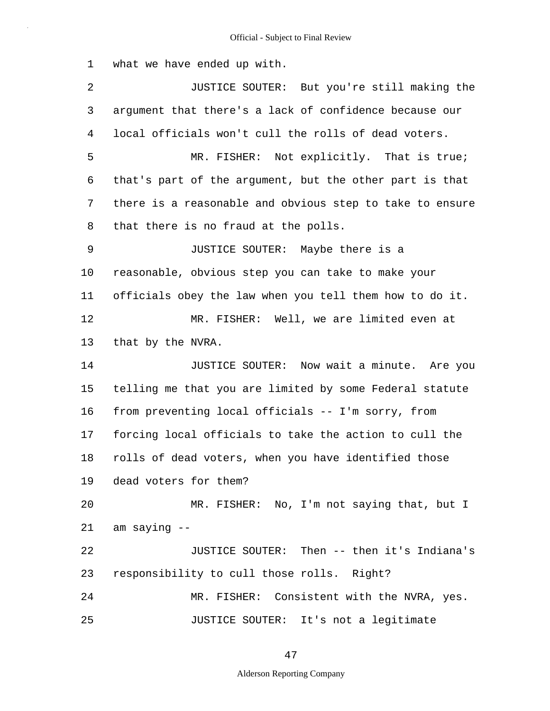1 what we have ended up with.

2 3 4 5 6 7 8 9 10 11 12 13 14 15 16 17 18 19 20 21 22 23 24 25 JUSTICE SOUTER: But you're still making the argument that there's a lack of confidence because our local officials won't cull the rolls of dead voters. MR. FISHER: Not explicitly. That is true; that's part of the argument, but the other part is that there is a reasonable and obvious step to take to ensure that there is no fraud at the polls. JUSTICE SOUTER: Maybe there is a reasonable, obvious step you can take to make your officials obey the law when you tell them how to do it. MR. FISHER: Well, we are limited even at that by the NVRA. JUSTICE SOUTER: Now wait a minute. Are you telling me that you are limited by some Federal statute from preventing local officials -- I'm sorry, from forcing local officials to take the action to cull the rolls of dead voters, when you have identified those dead voters for them? MR. FISHER: No, I'm not saying that, but I am saying -- JUSTICE SOUTER: Then -- then it's Indiana's responsibility to cull those rolls. Right? MR. FISHER: Consistent with the NVRA, yes. JUSTICE SOUTER: It's not a legitimate

47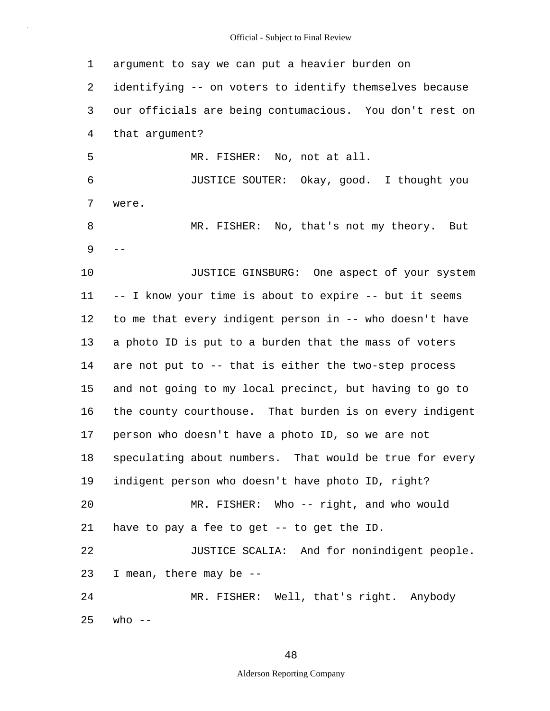1 2 3 4 5 6 7 8 9 10 11 12 13 14 15 16 17 18 19 20 21 22 23 24 25 argument to say we can put a heavier burden on identifying -- on voters to identify themselves because our officials are being contumacious. You don't rest on that argument? were. MR. FISHER: No, not at all. JUSTICE SOUT ER: Okay, good. I thought you  $-1$  MR. FISHER: No, that's not my theory. But JUSTICE GINSBURG: One aspect of your system -- I know your time is about to expire -- but it seems to me that every indigent person in -- who doesn't have a photo ID is put to a burden that the mass of voters are not put to -- that is either the two-step process and not going to my local precinct, but having to go to the county courthouse. That burden is on every indigent person who doesn't have a photo ID, so we are not speculating about numbers. That would be true for every indigent person who doesn't have photo ID, right? MR. FISHER: Who -- right, and who would have to pay a fee to get -- to get the ID. JUSTICE SCALIA: And for nonindigent people. I mean, there may be -- MR. FISHER: Well, that's right. Anybody who  $--$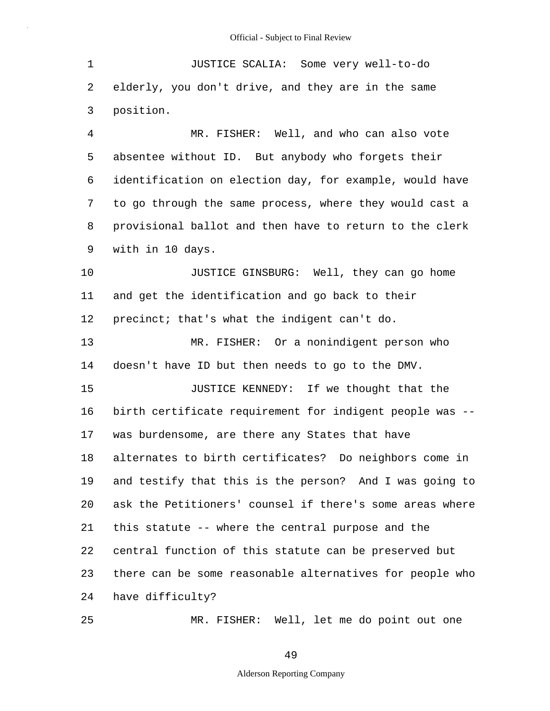| 1              | JUSTICE SCALIA: Some very well-to-do                     |  |  |  |  |  |  |
|----------------|----------------------------------------------------------|--|--|--|--|--|--|
| 2              | elderly, you don't drive, and they are in the same       |  |  |  |  |  |  |
| 3              | position.                                                |  |  |  |  |  |  |
| $\overline{4}$ | MR. FISHER: Well, and who can also vote                  |  |  |  |  |  |  |
| 5              | absentee without ID. But anybody who forgets their       |  |  |  |  |  |  |
| 6              | identification on election day, for example, would have  |  |  |  |  |  |  |
| 7              | to go through the same process, where they would cast a  |  |  |  |  |  |  |
| 8              | provisional ballot and then have to return to the clerk  |  |  |  |  |  |  |
| 9              | with in 10 days.                                         |  |  |  |  |  |  |
| 10             | JUSTICE GINSBURG: Well, they can go home                 |  |  |  |  |  |  |
| 11             | and get the identification and go back to their          |  |  |  |  |  |  |
| 12             | precinct; that's what the indigent can't do.             |  |  |  |  |  |  |
| 13             | MR. FISHER: Or a nonindigent person who                  |  |  |  |  |  |  |
| 14             | doesn't have ID but then needs to go to the DMV.         |  |  |  |  |  |  |
| 15             | JUSTICE KENNEDY: If we thought that the                  |  |  |  |  |  |  |
| 16             | birth certificate requirement for indigent people was -- |  |  |  |  |  |  |
| 17             | was burdensome, are there any States that have           |  |  |  |  |  |  |
| 18             | alternates to birth certificates? Do neighbors come in   |  |  |  |  |  |  |
| 19             | and testify that this is the person? And I was going to  |  |  |  |  |  |  |
| 20             | ask the Petitioners' counsel if there's some areas where |  |  |  |  |  |  |
| 21             | this statute -- where the central purpose and the        |  |  |  |  |  |  |
| 22             | central function of this statute can be preserved but    |  |  |  |  |  |  |
| 23             | there can be some reasonable alternatives for people who |  |  |  |  |  |  |
| 24             | have difficulty?                                         |  |  |  |  |  |  |
| 25             | MR. FISHER: Well, let me do point out one                |  |  |  |  |  |  |

MR. FISHER: Well, let me do point out one

49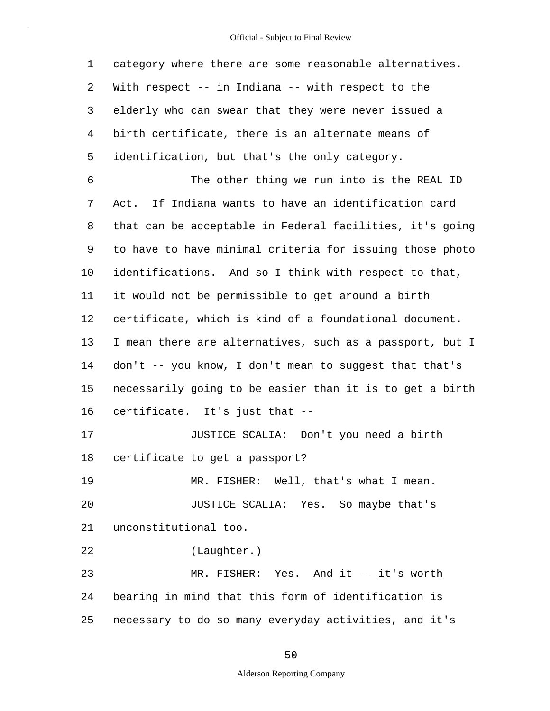1 2 3 4 5 6 7 8 9 10 11 12 13 14 15 16 17 18 19 20 21 22 23 24 25 category where there are some reasonable alternatives. With respect -- in Indiana -- with respect to the elderly who can swear that they were never issued a birth certificate, there is an alternate means of identification, but that's the only category. The other thing we run into is the REAL ID Act. If Indiana wants to have an identification card that can be acceptable in Federal facilities, it's going to have to have minimal criteria for issuing those photo identifications. And so I think with respect to that, it would not be permissible to get around a birth certificate, which is kind of a foundational document. I mean there are alternatives, such as a passport, but I don't -- you know, I don't mean to suggest that that's necessarily going to be easier than it is to get a birth certificate. It's just that -- JUSTICE SCALIA: Don't you need a birth certificate to get a passport? MR. FISHER: Well, that's what I mean. JUSTICE SCALIA: Yes. So maybe that's unconstitutional too. (Laughter.) MR. FISHER: Yes. And it -- it's worth bearing in mind that this form of identification is necessary to do so many everyday activities, and it's

50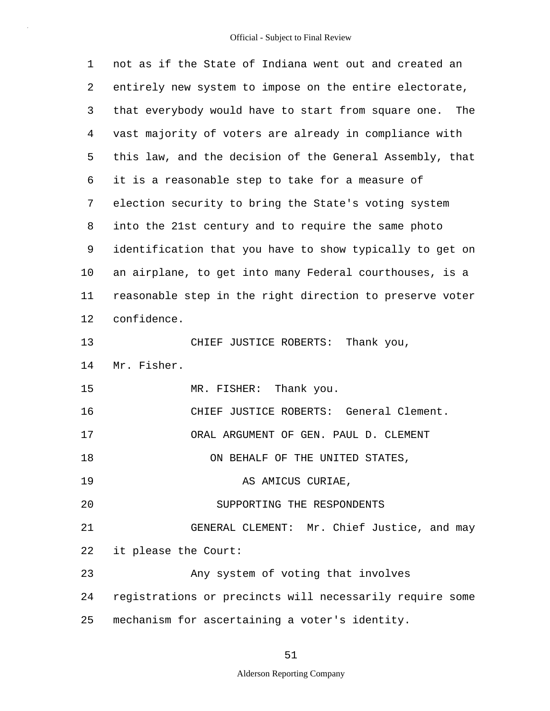| 1  | not as if the State of Indiana went out and created an     |  |  |  |  |  |
|----|------------------------------------------------------------|--|--|--|--|--|
| 2  | entirely new system to impose on the entire electorate,    |  |  |  |  |  |
| 3  | that everybody would have to start from square one.<br>The |  |  |  |  |  |
| 4  | vast majority of voters are already in compliance with     |  |  |  |  |  |
| 5  | this law, and the decision of the General Assembly, that   |  |  |  |  |  |
| 6  | it is a reasonable step to take for a measure of           |  |  |  |  |  |
| 7  | election security to bring the State's voting system       |  |  |  |  |  |
| 8  | into the 21st century and to require the same photo        |  |  |  |  |  |
| 9  | identification that you have to show typically to get on   |  |  |  |  |  |
| 10 | an airplane, to get into many Federal courthouses, is a    |  |  |  |  |  |
| 11 | reasonable step in the right direction to preserve voter   |  |  |  |  |  |
| 12 | confidence.                                                |  |  |  |  |  |
| 13 | CHIEF JUSTICE ROBERTS:<br>Thank you,                       |  |  |  |  |  |
| 14 | Mr. Fisher.                                                |  |  |  |  |  |
| 15 | MR. FISHER: Thank you.                                     |  |  |  |  |  |
| 16 | CHIEF JUSTICE ROBERTS: General Clement.                    |  |  |  |  |  |
| 17 | ORAL ARGUMENT OF GEN. PAUL D. CLEMENT                      |  |  |  |  |  |
| 18 | ON BEHALF OF THE UNITED STATES,                            |  |  |  |  |  |
| 19 | AS AMICUS CURIAE,                                          |  |  |  |  |  |
| 20 | SUPPORTING THE RESPONDENTS                                 |  |  |  |  |  |
| 21 | GENERAL CLEMENT: Mr. Chief Justice, and may                |  |  |  |  |  |
| 22 | it please the Court:                                       |  |  |  |  |  |
| 23 | Any system of voting that involves                         |  |  |  |  |  |
| 24 | registrations or precincts will necessarily require some   |  |  |  |  |  |
| 25 | mechanism for ascertaining a voter's identity.             |  |  |  |  |  |

51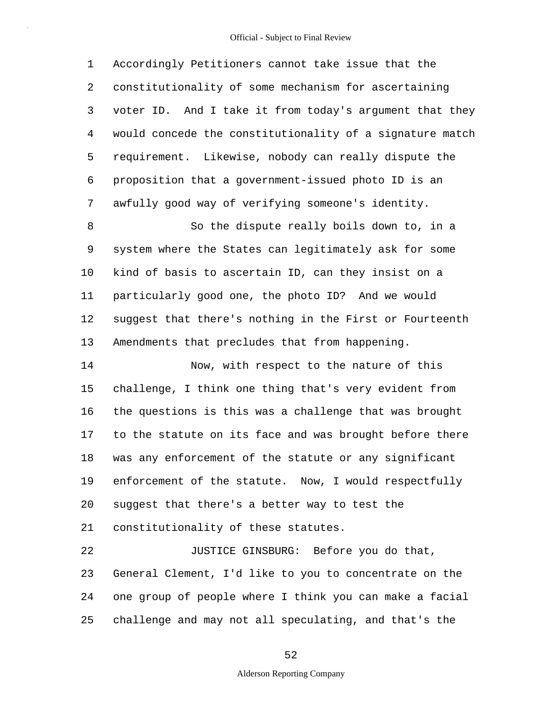1 2 3 4 5 6 7 Accordingly Petitioners cannot take issue that the constitutionality of some mechanism for ascertaining voter ID. And I take it from today's argument that they would concede the constitutionality of a signature match requirement. Likewise, nobody can really dispute the proposition that a government-issued photo ID is an awfully good way of verifying someone's identity.

8 9 10 11 12 13 So the dispute really boils down to, in a system where the States can legitimately ask for some kind of basis to ascertain ID, can they insist on a particularly good one, the photo ID? And we would suggest that there's nothing in the First or Fourteenth Amendments that precludes that from happening.

14 15 16 17 18 19 20 21 22 Now, with respect to the nature of this challenge, I think one thing that's very evident from the questions is this was a challenge that was brought to the statute on its face and was brought before there was any enforcement of the statute or any significant enforcement of the statute. Now, I would respectfully suggest that there's a better way to test the constitutionality of these statutes. JUSTICE GINSBURG: Before you do that,

23 24 25 General Clement, I'd like to you to concentrate on the one group of people where I think you can make a facial challenge and may not all speculating, and that's the

#### 52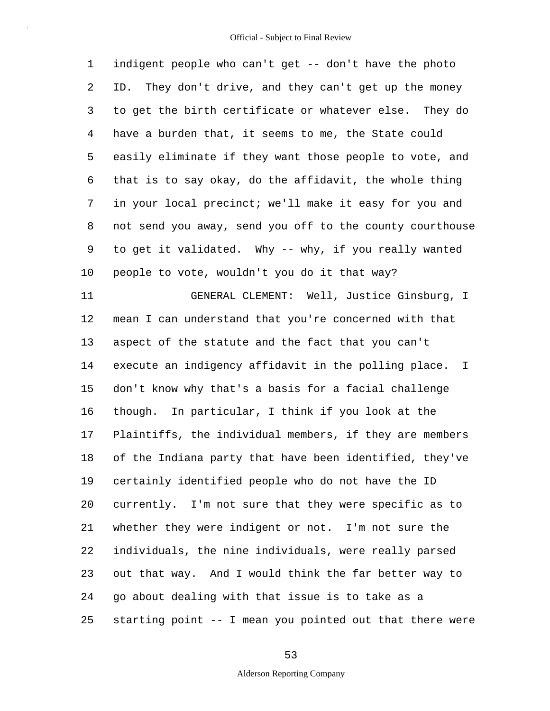1 2 3 4 5 6 7 8 9 10 11 12 13 14 15 16 17 18 19 20 21 22 23 24 25 indigent people who can't get -- don't have the photo ID. They don't drive, and they can't get up the money to get the birth certificate or whatever else. They do have a burden that, it seems to me, the State could easily eliminate if they want those people to vote, and that is to say okay, do the affidavit, the whole thing in your local precinct; we'll make it easy for you and not send you away, send you off to the county courthouse to get it validated. Why -- why, if you really wanted people to vote, wouldn't you do it that way? GENERAL CLEMENT: Well, Justice Ginsburg, I mean I can understand that you're concerned with that aspect of the statute and the fact that you can't execute an indigency affidavit in the polling place. I don't know why that's a basis for a facial challenge though. In particular, I think if you look at the Plaintiffs, the individual members, if they are members of the Indiana party that have been identified, they've certainly identified people who do not have the ID currently. I'm not sure that they were specific as to whether they were indigent or not. I'm not sure the individuals, the nine individuals, were really parsed out that way. And I would think the far better way to go about dealing with that issue is to take as a starting point -- I mean you pointed out that there were

53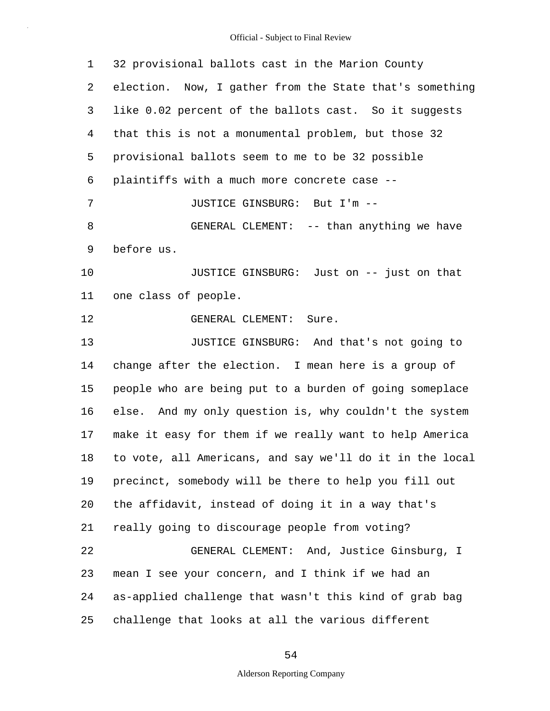1 2 3 4 5 6 7 8 9 10 11 12 13 14 15 16 17 18 19 20 21 22 23 24 25 32 provisional ballots cast in the Marion County election. Now, I gather from the State that's something like 0.02 percent of the ballots cast. So it suggests that this is not a monumental problem, but those 32 provisional ballots seem to me to be 32 possible plaintiffs with a much more concrete case -- JUSTICE GINSBURG: But I'm -- GENERAL CLEMENT: -- than anything we have before us. JUSTICE GINSBURG: Just on -- just on that one class of people. GENERAL CLEMENT: Sure. JUSTICE GINSBURG: And that's not going to change after the election. I mean here is a group of people who are being put to a burden of going someplace else. And my only question is, why couldn't the system make it easy for them if we really want to help America to vote, all Americans, and say we'll do it in the local precinct, somebody will be there to help you fill out the affidavit, instead of doing it in a way that's really going to discourage people from voting? GENERAL CLEMENT: And, Justice Ginsburg, I mean I see your concern, and I think if we had an as-applied challenge that wasn't this kind of grab bag challenge that looks at all the various different

54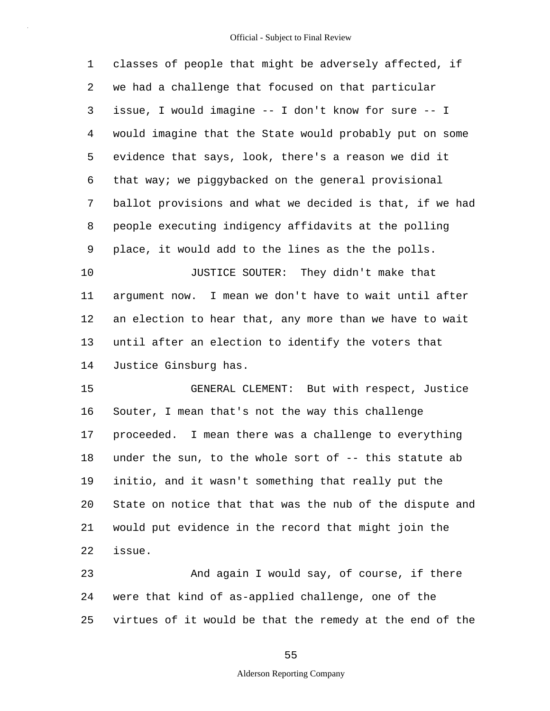| 1  | classes of people that might be adversely affected, if   |
|----|----------------------------------------------------------|
| 2  | we had a challenge that focused on that particular       |
| 3  | issue, I would imagine -- I don't know for sure -- I     |
| 4  | would imagine that the State would probably put on some  |
| 5  | evidence that says, look, there's a reason we did it     |
| 6  | that way; we piggybacked on the general provisional      |
| 7  | ballot provisions and what we decided is that, if we had |
| 8  | people executing indigency affidavits at the polling     |
| 9  | place, it would add to the lines as the the polls.       |
| 10 | JUSTICE SOUTER: They didn't make that                    |
| 11 | argument now. I mean we don't have to wait until after   |
| 12 | an election to hear that, any more than we have to wait  |
| 13 | until after an election to identify the voters that      |
| 14 | Justice Ginsburg has.                                    |
| 15 | GENERAL CLEMENT: But with respect, Justice               |
| 16 | Souter, I mean that's not the way this challenge         |
| 17 | proceeded. I mean there was a challenge to everything    |
| 18 | under the sun, to the whole sort of -- this statute ab   |
| 19 | initio, and it wasn't something that really put the      |
| 20 | State on notice that that was the nub of the dispute and |
| 21 | would put evidence in the record that might join the     |

22 issue.

23 24 25 And again I would say, of course, if there were that kind of as-applied challenge, one of the virtues of it would be that the remedy at the end of the

55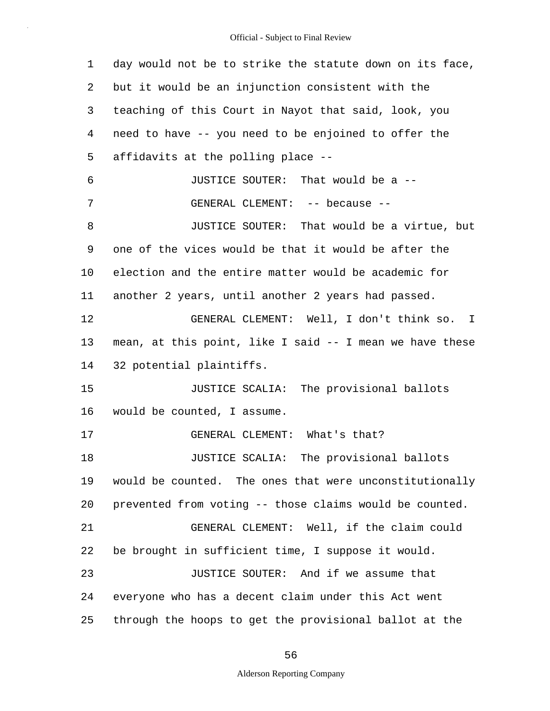1 2 3 4 5 6 7 8 9 10 11 12 13 14 15 16 17 18 19 20 21 22 23 24 25 day would not be to strike the statute down on its face, but it would be an injunction consistent with the teaching of this Court in Nayot that said, look, you need to have -- you need to be enjoined to offer the affidavits at the polling place -- JUSTICE SOUTER: That would be a -- GENERAL CLEMENT: -- because -- JUSTICE SOUTER: That would be a virtue, but one of the vices would be that it would be after the election and the entire matter would be academic for another 2 years, until another 2 years had passed. GENERAL CLEMENT: Well, I don't think so. I mean, at this point, like I said -- I mean we have these 32 potential plaintiffs. JUSTICE SCALIA: The provisional ballots would be counted, I assume. GENERAL CLEMENT: What's that? JUSTICE SCALIA: The provisional ballots would be counted. The ones that were unconstitutionally prevented from voting -- those claims would be counted. GENERAL CLEMENT: Well, if the claim could be brought in sufficient time, I suppose it would. JUSTICE SOUTER: And if we assume that everyone who has a decent claim under this Act went through the hoops to get the provisional ballot at the

56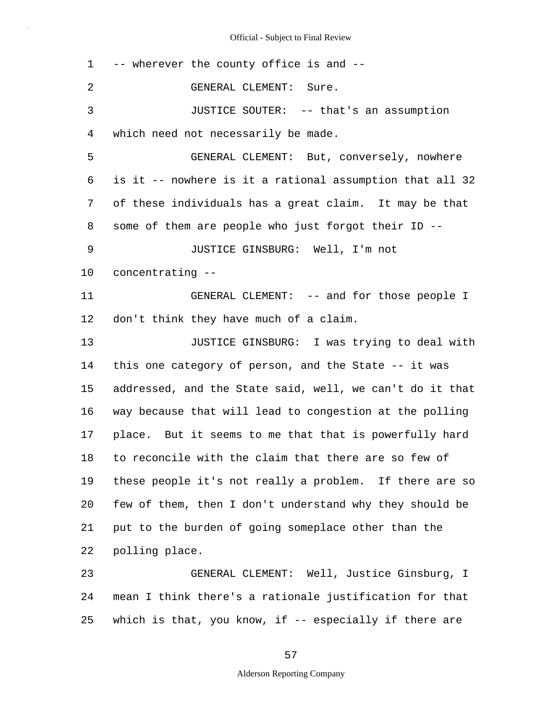| 1              | -- wherever the county office is and --                  |  |  |  |  |  |  |
|----------------|----------------------------------------------------------|--|--|--|--|--|--|
| $\overline{2}$ | GENERAL CLEMENT: Sure.                                   |  |  |  |  |  |  |
| 3              | JUSTICE SOUTER: -- that's an assumption                  |  |  |  |  |  |  |
| 4              | which need not necessarily be made.                      |  |  |  |  |  |  |
| 5              | GENERAL CLEMENT: But, conversely, nowhere                |  |  |  |  |  |  |
| 6              | is it -- nowhere is it a rational assumption that all 32 |  |  |  |  |  |  |
| 7              | of these individuals has a great claim. It may be that   |  |  |  |  |  |  |
| 8              | some of them are people who just forgot their ID --      |  |  |  |  |  |  |
| 9              | JUSTICE GINSBURG: Well, I'm not                          |  |  |  |  |  |  |
| 10             | concentrating --                                         |  |  |  |  |  |  |
| 11             | GENERAL CLEMENT: -- and for those people I               |  |  |  |  |  |  |
| 12             | don't think they have much of a claim.                   |  |  |  |  |  |  |
| 13             | JUSTICE GINSBURG: I was trying to deal with              |  |  |  |  |  |  |
| 14             | this one category of person, and the State -- it was     |  |  |  |  |  |  |
| 15             | addressed, and the State said, well, we can't do it that |  |  |  |  |  |  |
| 16             | way because that will lead to congestion at the polling  |  |  |  |  |  |  |
| 17             | place. But it seems to me that that is powerfully hard   |  |  |  |  |  |  |
| 18             | to reconcile with the claim that there are so few of     |  |  |  |  |  |  |
| 19             | these people it's not really a problem. If there are so  |  |  |  |  |  |  |
| 20             | few of them, then I don't understand why they should be  |  |  |  |  |  |  |
| 21             | put to the burden of going someplace other than the      |  |  |  |  |  |  |
| 22             | polling place.                                           |  |  |  |  |  |  |
| 23             | GENERAL CLEMENT: Well, Justice Ginsburg, I               |  |  |  |  |  |  |
| 24             | mean I think there's a rationale justification for that  |  |  |  |  |  |  |
| 25             | which is that, you know, if $-$ especially if there are  |  |  |  |  |  |  |

57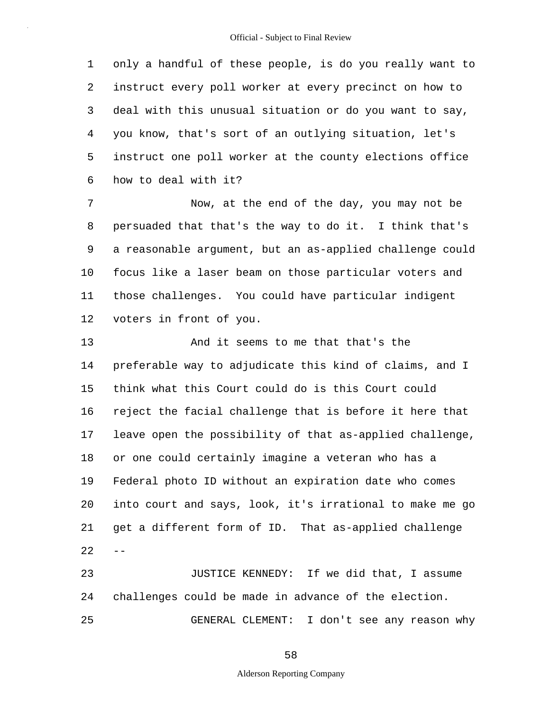1 2 3 4 5 6 only a handful of these people, is do you really want to instruct every poll worker at every precinct on how to deal with this unusual situation or do you want to say, you know, that's sort of an outlying situation, let's instruct one poll worker at the county elections office how to deal with it?

7 8 9 10 11 12 Now, at the end of the day, you may not be persuaded that that's the way to do it. I think that's a reasonable argument, but an as-applied challenge could focus like a laser beam on those particular voters and those challenges. You could have particular indigent voters in front of you.

13 14 15 16 17 18 19 20 21  $22 - -$  And it seems to me that that's the preferable way to adjudicate this kind of claims, and I think what this Court could do is this Court could reject the facial challenge that is before it here that leave open the possibility of that as-applied challenge, or one could certainly imagine a veteran who has a Federal photo ID without an expiration date who comes into court and says, look, it's irrational to make me go get a different form of ID. That as-applied challenge

23 24 25 JUSTICE KENNEDY: If we did that, I assume challenges could be made in advance of the election. GENERAL CLEMENT: I don't see any reason why

58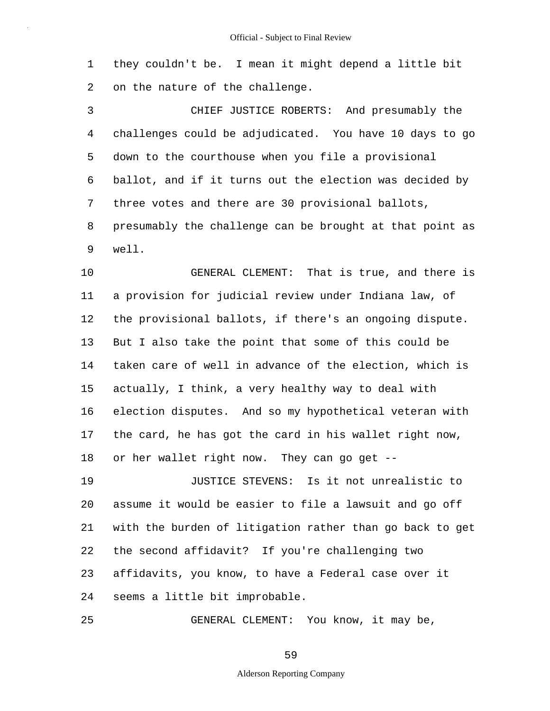1 2 they couldn't be. I mean it might depend a little bit on the nature of the challenge.

3 4 5 6 7 8 9 CHIEF JUSTICE ROBERTS: And presumably the challenges could be adjudicated. You have 10 days to go down to the courthouse when you file a provisional ballot, and if it turns out the election was decided by three votes and there are 30 provisional ballots, presumably the challenge can be brought at that point as well.

10 11 12 13 14 15 16 17 18 GENERAL CLEMENT: That is true, and there is a provision for judicial review under Indiana law, of the provisional ballots, if there's an ongoing dispute. But I also take the point that some of this could be taken care of well in advance of the election, which is actually, I think, a very healthy way to deal with election disputes. And so my hypothetical veteran with the card, he has got the card in his wallet right now, or her wallet right now. They can go get --

19 20 21 22 23 24 JUSTICE STEVENS: Is it not unrealistic to assume it would be easier to file a lawsuit and go off with the burden of litigation rather than go back to get the second affidavit? If you're challenging two affidavits, you know, to have a Federal case over it seems a little bit improbable.

25 GENERAL CLEMENT: You know, it may be,

59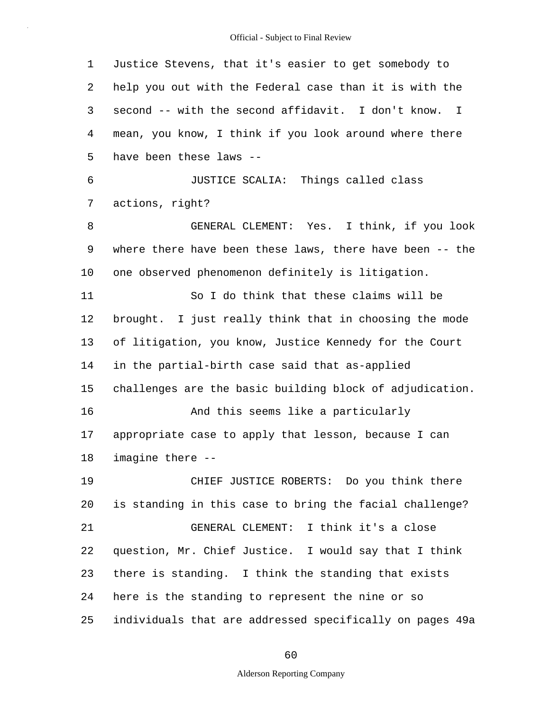1 2 3 4 5 6 7 8 9 10 11 12 13 14 15 16 17 18 19 20 21 22 23 24 25 Justice Stevens, that it's easier to get somebody to help you out with the Federal case than it is with the second -- with the second affidavit. I don't know. I mean, you know, I think if you look around where there have been these laws -- JUSTICE SCALIA: Things called class actions, right? GENERAL CLEMENT: Yes. I think, if you look where there have been these laws, there have been -- the one observed phenomenon definitely is litigation. So I do think that these claims will be brought. I just really think that in choosing the mode of litigation, you know, Justice Kennedy for the Court in the partial-birth case said that as-applied challenges are the basic building block of adjudication. And this seems like a particularly appropriate case to apply that lesson, because I can imagine there -- CHIEF JUSTICE ROBERTS: Do you think there is standing in this case to bring the facial challenge? GENERAL CLEMENT: I think it's a close question, Mr. Chief Justice. I would say that I think there is standing. I think the standing that exists here is the standing to represent the nine or so individuals that are addressed specifically on pages 49a

60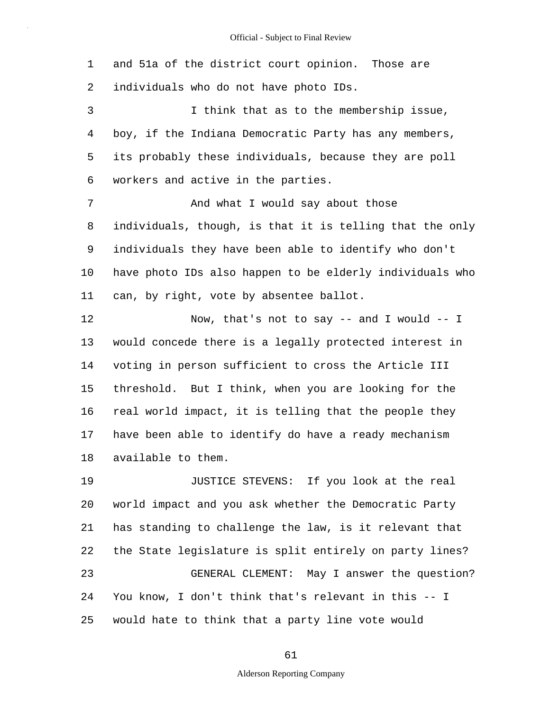1 2 and 51a of the district court opinion. Those are individuals who do not have photo IDs.

3 4 5 6 I think that as to the membership issue, boy, if the Indiana Democratic Party has any members, its probably these individuals, because they are poll workers and active in the parties.

7 8 9 10 11 And what I would say about those individuals, though, is that it is telling that the only individuals they have been able to identify who don't have photo IDs also happen to be elderly individuals who can, by right, vote by absentee ballot.

12 13 14 15 16 17 18 Now, that's not to say -- and I would -- I would concede there is a legally protected interest in voting in person sufficient to cross the Article III threshold. But I think, when you are looking for the real world impact, it is telling that the people they have been able to identify do have a ready mechanism available to them.

19 20 21 22 23 24 25 JUSTICE STEVENS: If you look at the real world impact and you ask whether the Democratic Party has standing to challenge the law, is it relevant that the State legislature is split entirely on party lines? GENERAL CLEMENT: May I answer the question? You know, I don't think that's relevant in this -- I would hate to think that a party line vote would

61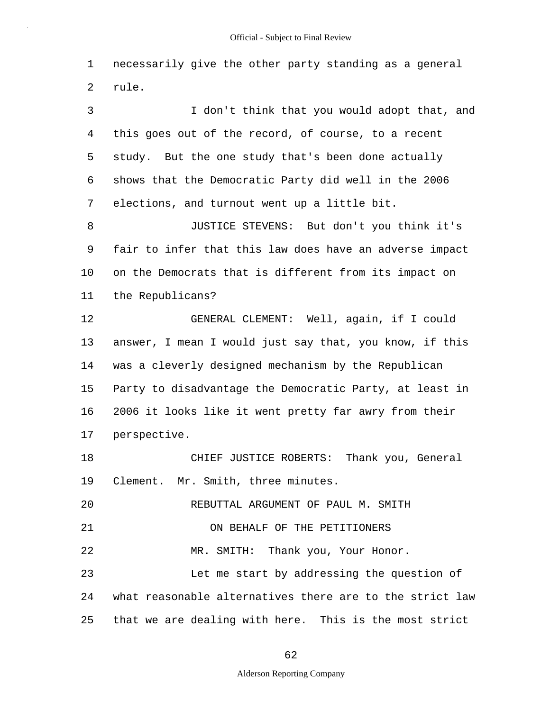1 2 necessarily give the other party standing as a general rule.

3 4 5 6 7 8 9 10 11 12 13 14 15 16 17 18 19 20 21 22 23 24 25 I don't think that you would adopt that, and this goes out of the record, of course, to a recent study. But the one study that's been done actually shows that the Democratic Party did well in the 2006 elections, and turnout went up a little bit. JUSTICE STEVENS: But don't you think it's fair to infer that this law does have an adverse impact on the Democrats that is different from its impact on the Republicans? GENERAL CLEMENT: Well, again, if I could answer, I mean I would just say that, you know, if this was a cleverly designed mechanism by the Republican Party to disadvantage the Democratic Party, at least in 2006 it looks like it went pretty far awry from their perspective. CHIEF JUSTICE ROBERTS: Thank you, General Clement. Mr. Smith, three minutes. REBUTTAL ARGUMENT OF PAUL M. SMITH ON BEHALF OF THE PETITIONERS MR. SMITH: Thank you, Your Honor. Let me start by addressing the question of what reasonable alternatives there are to the strict law that we are dealing with here. This is the most strict

#### 62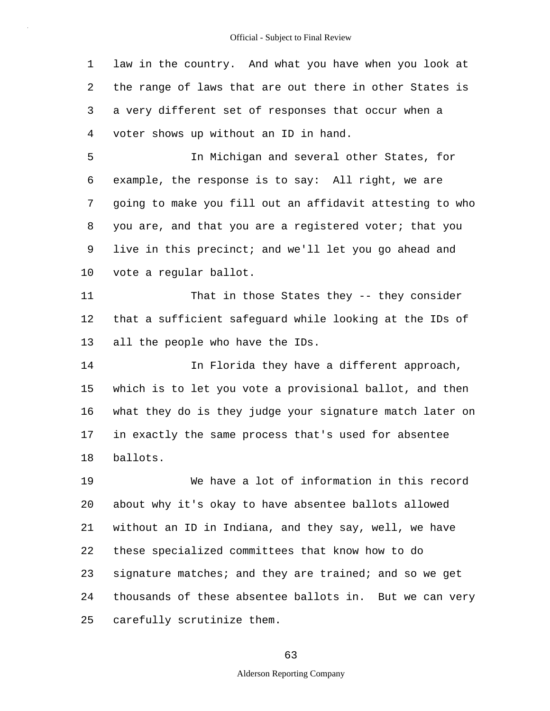1 2 3 4 law in the country. And what you have when you look at the range of laws that are out there in other States is a very different set of responses that occur when a voter shows up without an ID in hand.

5 6 7 8 9 10 In Michigan and several other States, for example, the response is to say: All right, we are going to make you fill out an affidavit attesting to who you are, and that you are a registered voter; that you live in this precinct; and we'll let you go ahead and vote a regular ballot.

11 12 13 That in those States they -- they consider that a sufficient safeguard while looking at the IDs of all the people who have the IDs.

14 15 16 17 18 In Florida they have a different approach, which is to let you vote a provisional ballot, and then what they do is they judge your signature match later on in exactly the same process that's used for absentee ballots.

19 20 21 22 23 24 25 We have a lot of information in this record about why it's okay to have absentee ballots allowed without an ID in Indiana, and they say, well, we have these specialized committees that know how to do signature matches; and they are trained; and so we get thousands of these absentee ballots in. But we can very carefully scrutinize them.

#### 63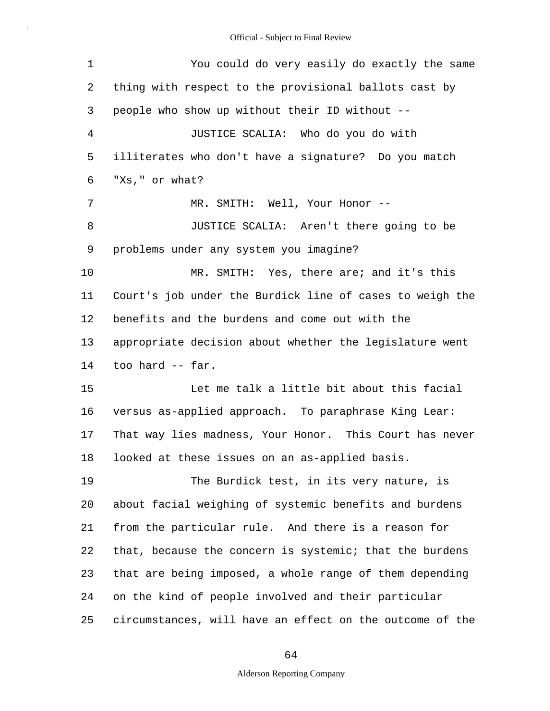| 1              | You could do very easily do exactly the same             |  |  |  |  |  |
|----------------|----------------------------------------------------------|--|--|--|--|--|
| 2              | thing with respect to the provisional ballots cast by    |  |  |  |  |  |
| 3              | people who show up without their ID without --           |  |  |  |  |  |
| $\overline{4}$ | JUSTICE SCALIA: Who do you do with                       |  |  |  |  |  |
| 5              | illiterates who don't have a signature? Do you match     |  |  |  |  |  |
| 6              | "Xs," or what?                                           |  |  |  |  |  |
| 7              | MR. SMITH: Well, Your Honor --                           |  |  |  |  |  |
| 8              | JUSTICE SCALIA: Aren't there going to be                 |  |  |  |  |  |
| 9              | problems under any system you imagine?                   |  |  |  |  |  |
| 10             | MR. SMITH: Yes, there are; and it's this                 |  |  |  |  |  |
| 11             | Court's job under the Burdick line of cases to weigh the |  |  |  |  |  |
| 12             | benefits and the burdens and come out with the           |  |  |  |  |  |
| 13             | appropriate decision about whether the legislature went  |  |  |  |  |  |
| 14             | too hard -- far.                                         |  |  |  |  |  |
| 15             | Let me talk a little bit about this facial               |  |  |  |  |  |
| 16             | versus as-applied approach. To paraphrase King Lear:     |  |  |  |  |  |
| 17             | That way lies madness, Your Honor. This Court has never  |  |  |  |  |  |
| 18             | looked at these issues on an as-applied basis.           |  |  |  |  |  |
| 19             | The Burdick test, in its very nature, is                 |  |  |  |  |  |
| 20             | about facial weighing of systemic benefits and burdens   |  |  |  |  |  |
| 21             | from the particular rule. And there is a reason for      |  |  |  |  |  |
| 22             | that, because the concern is systemic; that the burdens  |  |  |  |  |  |
| 23             | that are being imposed, a whole range of them depending  |  |  |  |  |  |
| 24             | on the kind of people involved and their particular      |  |  |  |  |  |
| 25             | circumstances, will have an effect on the outcome of the |  |  |  |  |  |

# 64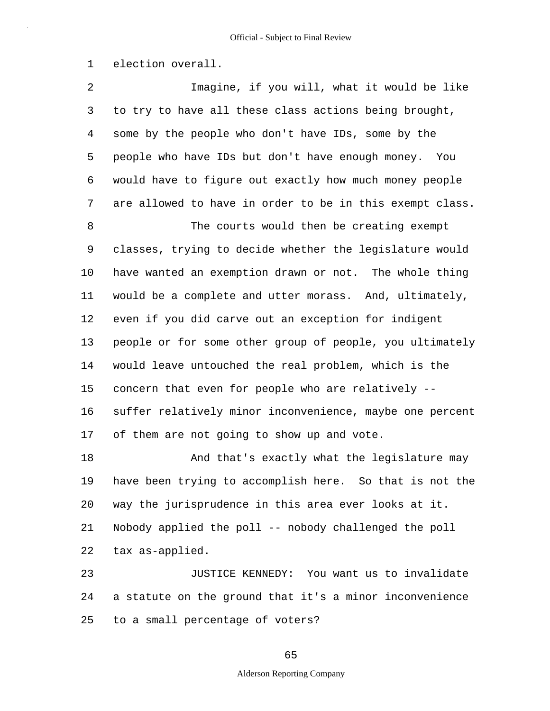1 election overall.

2 3 4 5 6 7 8 9 10 11 12 13 14 15 16 17 18 19 20 21 22 23 24 Imagine, if you will, what it would be like to try to have all these class actions being brought, some by the people who don't have IDs, some by the people who have IDs but don't have enough money. You would have to figure out exactly how much money people are allowed to have in order to be in this exempt class. The courts would then be creating exempt classes, trying to decide whether the legislature would have wanted an exemption drawn or not. The whole thing would be a complete and utter morass. And, ultimately, even if you did carve out an exception for indigent people or for some other group of people, you ultimately would leave untouched the real problem, which is the concern that even for people who are relatively - suffer relatively minor inconvenience, maybe one percent of them are not going to show up and vote. And that's exactly what the legislature may have been trying to accomplish here. So that is not the way the jurisprudence in this area ever looks at it. Nobody applied the poll -- nobody challenged the poll tax as-applied. JUSTICE KENNEDY: You want us to invalidate a statute on the ground that it's a minor inconvenience

to a small percentage of voters?

25

65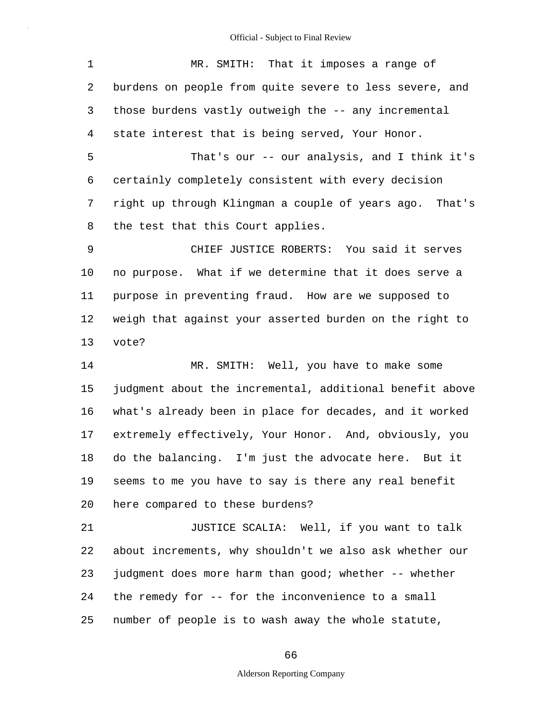| $\mathbf 1$ | MR. SMITH: That it imposes a range of                    |  |  |  |  |  |
|-------------|----------------------------------------------------------|--|--|--|--|--|
| 2           | burdens on people from quite severe to less severe, and  |  |  |  |  |  |
| 3           | those burdens vastly outweigh the -- any incremental     |  |  |  |  |  |
| 4           | state interest that is being served, Your Honor.         |  |  |  |  |  |
| 5           | That's our -- our analysis, and I think it's             |  |  |  |  |  |
| 6           | certainly completely consistent with every decision      |  |  |  |  |  |
| 7           | right up through Klingman a couple of years ago. That's  |  |  |  |  |  |
| 8           | the test that this Court applies.                        |  |  |  |  |  |
| $\mathsf 9$ | CHIEF JUSTICE ROBERTS: You said it serves                |  |  |  |  |  |
| 10          | no purpose. What if we determine that it does serve a    |  |  |  |  |  |
| 11          | purpose in preventing fraud. How are we supposed to      |  |  |  |  |  |
| 12          | weigh that against your asserted burden on the right to  |  |  |  |  |  |
| 13          | vote?                                                    |  |  |  |  |  |
| 14          | MR. SMITH: Well, you have to make some                   |  |  |  |  |  |
| 15          | judgment about the incremental, additional benefit above |  |  |  |  |  |
| 16          | what's already been in place for decades, and it worked  |  |  |  |  |  |
| 17          | extremely effectively, Your Honor. And, obviously, you   |  |  |  |  |  |
| 18          | do the balancing. I'm just the advocate here. But it     |  |  |  |  |  |
| 19          | seems to me you have to say is there any real benefit    |  |  |  |  |  |
| 20          | here compared to these burdens?                          |  |  |  |  |  |
| 21          | JUSTICE SCALIA: Well, if you want to talk                |  |  |  |  |  |
| 22          | about increments, why shouldn't we also ask whether our  |  |  |  |  |  |
| 23          | judgment does more harm than good; whether -- whether    |  |  |  |  |  |
| 24          | the remedy for -- for the inconvenience to a small       |  |  |  |  |  |
| 25          | number of people is to wash away the whole statute,      |  |  |  |  |  |

# 66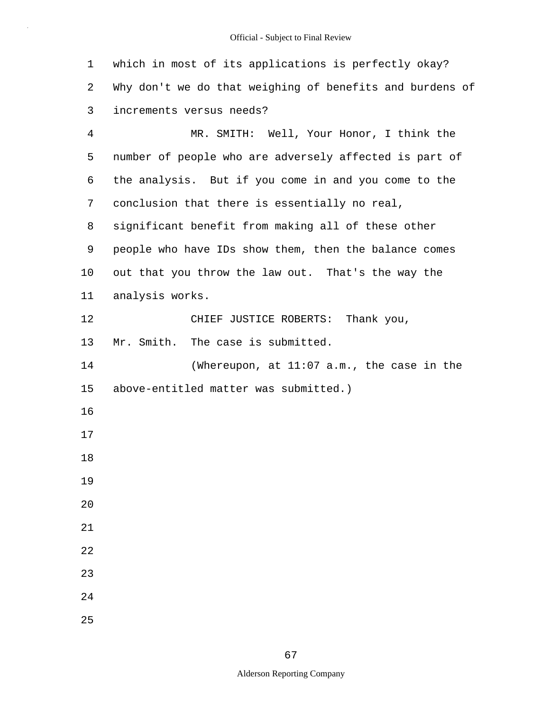which in most of its applications is perfectly okay? Why don't we do that weighing of benefits and burdens of increments versus needs? MR. SMITH: Well, Your Honor, I think the number of people who are adversely affected is part of the analysis. But if you come in and you come to the conclusion that there is essentially no real, significant benefit from making all of these other people who have IDs show them, then the balance comes out that you throw the law out. That's the way the analysis works. CHIEF JUSTICE ROBERTS: Thank you, Mr. Smith. The case is submitted. (Whereupon, at 11:07 a.m., the case in the above-entitled matter was submitted.)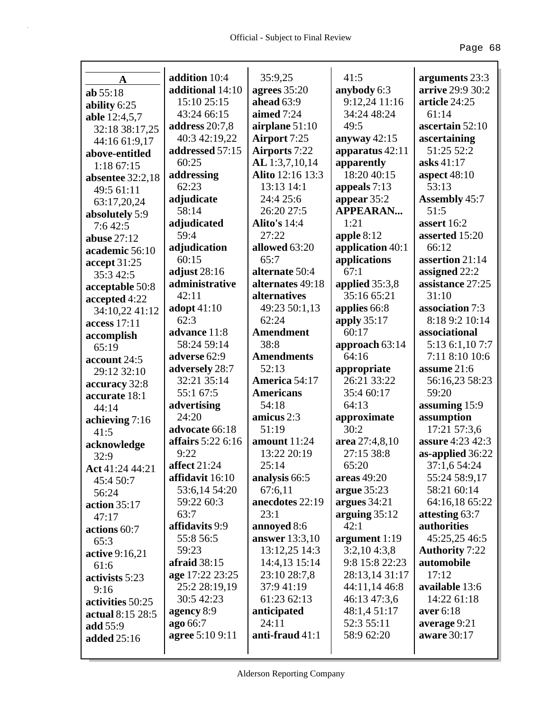| A                             | addition 10:4               | 35:9,25                   | 41:5                          | arguments 23:3                |
|-------------------------------|-----------------------------|---------------------------|-------------------------------|-------------------------------|
| ab 55:18                      | additional 14:10            | agrees 35:20              | anybody 6:3                   | arrive 29:9 30:2              |
|                               | 15:10 25:15                 | ahead $63:9$              | 9:12,24 11:16                 | article 24:25                 |
| ability 6:25<br>able 12:4,5,7 | 43:24 66:15                 | aimed 7:24                | 34:24 48:24                   | 61:14                         |
| 32:18 38:17,25                | address $20:7,8$            | airplane 51:10            | 49:5                          | ascertain 52:10               |
| 44:16 61:9,17                 | 40:3 42:19,22               | Airport 7:25              | anyway 42:15                  | ascertaining                  |
| above-entitled                | addressed 57:15             | <b>Airports</b> 7:22      | apparatus $42:11$             | 51:25 52:2                    |
| 1:18 67:15                    | 60:25                       | AL 1:3,7,10,14            | apparently                    | asks $41:17$                  |
| absentee $32:2,18$            | addressing                  | Alito 12:16 13:3          | 18:20 40:15                   | aspect $48:10$                |
| 49:5 61:11                    | 62:23                       | 13:13 14:1                | appeals 7:13                  | 53:13                         |
| 63:17,20,24                   | adjudicate                  | 24:4 25:6                 | appear 35:2                   | <b>Assembly 45:7</b>          |
| absolutely 5:9                | 58:14                       | 26:20 27:5                | <b>APPEARAN</b>               | 51:5                          |
| 7:642:5                       | adjudicated                 | <b>Alito's 14:4</b>       | 1:21                          | assert 16:2                   |
| abuse $27:12$                 | 59:4                        | 27:22                     | apple $8:12$                  | asserted 15:20                |
| academic 56:10                | adjudication                | allowed 63:20             | application 40:1              | 66:12                         |
| accept 31:25                  | 60:15                       | 65:7                      | applications                  | assertion 21:14               |
| 35:3 42:5                     | adjust $28:16$              | alternate 50:4            | 67:1                          | assigned 22:2                 |
| acceptable 50:8               | administrative              | alternates 49:18          | applied 35:3,8                | assistance 27:25              |
| accepted 4:22                 | 42:11                       | alternatives              | 35:16 65:21                   | 31:10                         |
| 34:10,22 41:12                | adopt $41:10$               | 49:23 50:1,13             | applies 66:8                  | association 7:3               |
| access 17:11                  | 62:3                        | 62:24                     | apply $35:17$                 | 8:18 9:2 10:14                |
| accomplish                    | advance 11:8                | <b>Amendment</b>          | 60:17                         | associational                 |
| 65:19                         | 58:24 59:14                 | 38:8                      | approach 63:14                | 5:13 6:1,10 7:7               |
| account 24:5                  | adverse 62:9                | <b>Amendments</b>         | 64:16                         | 7:11 8:10 10:6                |
| 29:12 32:10                   | adversely 28:7              | 52:13                     | appropriate                   | assume 21:6                   |
| accuracy 32:8                 | 32:21 35:14                 | America 54:17             | 26:21 33:22                   | 56:16,23 58:23                |
| accurate 18:1                 | 55:1 67:5                   | <b>Americans</b>          | 35:4 60:17                    | 59:20                         |
| 44:14                         | advertising                 | 54:18                     | 64:13                         | assuming 15:9                 |
| achieving 7:16                | 24:20                       | amicus 2:3                | approximate                   | assumption                    |
| 41:5                          | advocate 66:18              | 51:19                     | 30:2                          | 17:21 57:3,6                  |
| acknowledge                   | affairs 5:22 6:16           | amount $11:24$            | area 27:4,8,10                | assure 4:23 42:3              |
| 32:9                          | 9:22                        | 13:22 20:19               | 27:15 38:8                    | as-applied 36:22              |
| Act 41:24 44:21               | affect 21:24                | 25:14                     | 65:20                         | 37:1,6 54:24                  |
| 45:4 50:7                     | affidavit 16:10             | analysis 66:5             | areas $49:20$                 | 55:24 58:9,17                 |
| 56:24                         | 53:6,14 54:20               | 67:6,11                   | argue $35:23$                 | 58:21 60:14                   |
| action $35:17$                | 59:22 60:3                  | anecdotes 22:19           | argues 34:21                  | 64:16,18 65:22                |
| 47:17                         | 63:7                        | 23:1                      | arguing $35:12$               | attesting 63:7                |
| actions 60:7                  | affidavits 9:9              | annoyed 8:6               | 42:1                          | authorities                   |
| 65:3                          | 55:8 56:5                   | <b>answer</b> 13:3,10     | argument 1:19                 | 45:25,25 46:5                 |
| active 9:16,21                | 59:23                       | 13:12,25 14:3             | 3:2,104:3,8                   | <b>Authority 7:22</b>         |
| 61:6                          | afraid $38:15$              | 14:4,13 15:14             | 9:8 15:8 22:23                | automobile<br>17:12           |
| activists 5:23                | age 17:22 23:25             | 23:10 28:7,8              | 28:13,14 31:17                |                               |
| 9:16                          | 25:2 28:19,19<br>30:5 42:23 | 37:9 41:19<br>61:23 62:13 | 44:11,14 46:8<br>46:13 47:3,6 | available 13:6<br>14:22 61:18 |
| activities 50:25              | agency 8:9                  |                           | 48:1,4 51:17                  | aver 6:18                     |
| actual 8:15 28:5              | ago 66:7                    | anticipated<br>24:11      | 52:3 55:11                    | average 9:21                  |
| add 55:9                      | <b>agree</b> 5:10 9:11      | anti-fraud 41:1           | 58:9 62:20                    | aware 30:17                   |
| added 25:16                   |                             |                           |                               |                               |
|                               |                             |                           |                               |                               |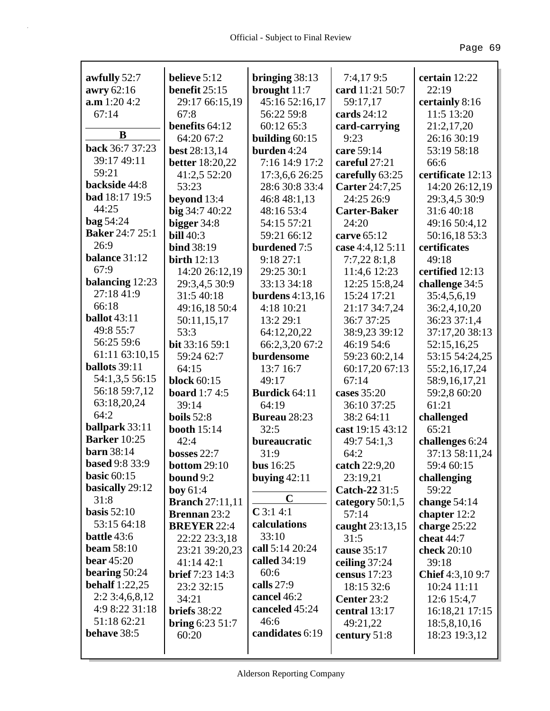|                            | believe 5:12              |                                  | 7:4,179:5           | certain 12:22     |
|----------------------------|---------------------------|----------------------------------|---------------------|-------------------|
| awfully 52:7<br>awry 62:16 | benefit $25:15$           | bringing $38:13$<br>brought 11:7 | card 11:21 50:7     | 22:19             |
| a.m 1:20 4:2               | 29:17 66:15,19            | 45:16 52:16,17                   | 59:17,17            | certainly 8:16    |
| 67:14                      | 67:8                      | 56:22 59:8                       | cards $24:12$       | 11:5 13:20        |
|                            | benefits 64:12            | 60:12 65:3                       | card-carrying       | 21:2,17,20        |
| B                          | 64:20 67:2                | building $60:15$                 | 9:23                | 26:16 30:19       |
| back 36:7 37:23            | <b>best</b> 28:13,14      | burden 4:24                      | care 59:14          | 53:19 58:18       |
| 39:17 49:11                | <b>better</b> 18:20,22    | 7:16 14:9 17:2                   | careful 27:21       | 66:6              |
| 59:21                      | 41:2,5 52:20              | 17:3,6,6 26:25                   | carefully 63:25     | certificate 12:13 |
| backside 44:8              | 53:23                     | 28:6 30:8 33:4                   | Carter 24:7,25      | 14:20 26:12,19    |
| <b>bad</b> 18:17 19:5      | beyond 13:4               | 46:8 48:1,13                     | 24:25 26:9          | 29:3,4,5 30:9     |
| 44:25                      | big 34:7 40:22            | 48:16 53:4                       | <b>Carter-Baker</b> | 31:6 40:18        |
| <b>bag 54:24</b>           | bigger 34:8               | 54:15 57:21                      | 24:20               | 49:16 50:4,12     |
| <b>Baker</b> 24:7 25:1     | <b>bill</b> 40:3          | 59:21 66:12                      | carve 65:12         | 50:16,18 53:3     |
| 26:9                       | <b>bind</b> 38:19         | burdened 7:5                     | case 4:4,12 5:11    | certificates      |
| balance 31:12              | birth $12:13$             | 9:1827:1                         | 7:7,228:1,8         | 49:18             |
| 67:9                       | 14:20 26:12,19            | 29:25 30:1                       | 11:4,6 12:23        | certified 12:13   |
| balancing 12:23            | 29:3,4,5 30:9             | 33:13 34:18                      | 12:25 15:8,24       | challenge 34:5    |
| 27:18 41:9                 | 31:5 40:18                | burdens $4:13,16$                | 15:24 17:21         | 35:4,5,6,19       |
| 66:18                      | 49:16,18 50:4             | 4:18 10:21                       | 21:17 34:7,24       | 36:2,4,10,20      |
| <b>ballot</b> 43:11        | 50:11,15,17               | 13:2 29:1                        | 36:7 37:25          | 36:23 37:1,4      |
| 49:8 55:7                  | 53:3                      | 64:12,20,22                      | 38:9,23 39:12       | 37:17,20 38:13    |
| 56:25 59:6                 | bit 33:16 59:1            | 66:2,3,20 67:2                   | 46:19 54:6          | 52:15,16,25       |
| 61:11 63:10,15             | 59:24 62:7                | burdensome                       | 59:23 60:2,14       | 53:15 54:24,25    |
| ballots 39:11              | 64:15                     | 13:7 16:7                        | 60:17,20 67:13      | 55:2,16,17,24     |
| 54:1,3,5 56:15             | <b>block</b> 60:15        | 49:17                            | 67:14               | 58:9,16,17,21     |
| 56:18 59:7,12              | <b>board</b> 1:7 4:5      | <b>Burdick 64:11</b>             | cases 35:20         | 59:2,8 60:20      |
| 63:18,20,24                | 39:14                     | 64:19                            | 36:10 37:25         | 61:21             |
| 64:2                       | boils $52:8$              | <b>Bureau</b> 28:23              | 38:2 64:11          | challenged        |
| ballpark 33:11             | <b>booth</b> 15:14        | 32:5                             | cast 19:15 43:12    | 65:21             |
| <b>Barker</b> 10:25        | 42:4                      | bureaucratic                     | 49:7 54:1,3         | challenges 6:24   |
| <b>barn</b> 38:14          | bosses 22:7               | 31:9                             | 64:2                | 37:13 58:11,24    |
| <b>based</b> 9:8 33:9      | <b>bottom 29:10</b>       | <b>bus</b> 16:25                 | catch 22:9,20       | 59:4 60:15        |
| basic $60:15$              | bound 9:2                 | buying $42:11$                   | 23:19,21            | challenging       |
| basically 29:12            | boy 61:4                  |                                  | Catch-22 31:5       | 59:22             |
| 31:8                       | <b>Branch</b> 27:11,11    | $\mathbf C$                      | category $50:1,5$   | change $54:14$    |
| basis $52:10$              | <b>Brennan 23:2</b>       | $C$ 3:1 4:1                      | 57:14               | chapter $12:2$    |
| 53:15 64:18                | <b>BREYER 22:4</b>        | calculations                     | caught 23:13,15     | charge 25:22      |
| <b>battle</b> 43:6         | 22:22 23:3,18             | 33:10                            | 31:5                | cheat 44:7        |
| <b>beam</b> 58:10          | 23:21 39:20,23            | call 5:14 20:24                  | cause 35:17         | check 20:10       |
| <b>bear</b> 45:20          | 41:14 42:1                | called 34:19                     | ceiling 37:24       | 39:18             |
| bearing $50:24$            | <b>brief</b> 7:23 14:3    | 60:6                             | census $17:23$      | Chief 4:3,10 9:7  |
| behalf $1:22,25$           | 23:2 32:15                | calls 27:9                       | 18:15 32:6          | 10:24 11:11       |
| 2:23:4,6,8,12              | 34:21                     | cancel 46:2                      | Center 23:2         | 12:6 15:4,7       |
| 4:9 8:22 31:18             | briefs 38:22              | canceled 45:24                   | central 13:17       | 16:18,21 17:15    |
| 51:18 62:21                | <b>bring</b> $6:23\,51:7$ | 46:6                             | 49:21,22            | 18:5,8,10,16      |
| behave 38:5                | 60:20                     | candidates 6:19                  | century $51:8$      | 18:23 19:3,12     |
|                            |                           |                                  |                     |                   |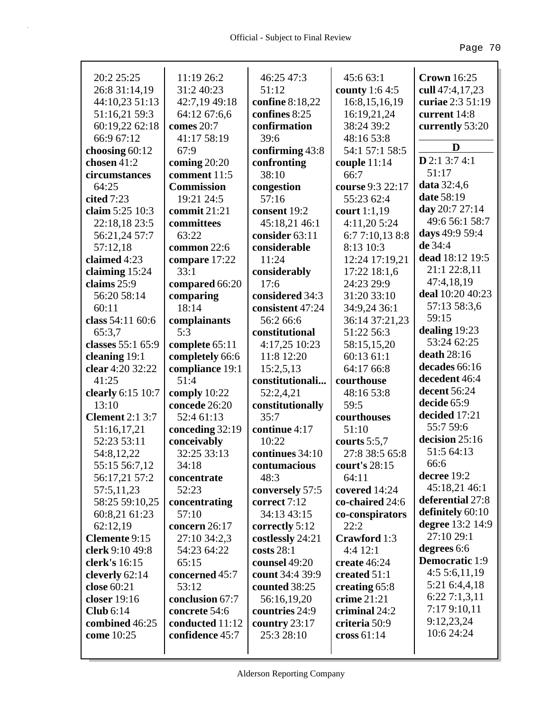| 20:2 25:25             | 11:19 26:2        | 46:25 47:3       | 45:6 63:1        | <b>Crown</b> 16:25        |
|------------------------|-------------------|------------------|------------------|---------------------------|
| 26:8 31:14,19          | 31:2 40:23        | 51:12            | county 1:6 4:5   | cull 47:4,17,23           |
| 44:10,23 51:13         | 42:7,19 49:18     | confine 8:18,22  | 16:8, 15, 16, 19 | curiae 2:3 51:19          |
| 51:16,21 59:3          | 64:12 67:6,6      | confines 8:25    | 16:19,21,24      | current 14:8              |
| 60:19,22 62:18         | comes 20:7        | confirmation     | 38:24 39:2       | currently 53:20           |
| 66:9 67:12             | 41:17 58:19       | 39:6             | 48:16 53:8       | D                         |
| choosing $60:12$       | 67:9              | confirming 43:8  | 54:1 57:1 58:5   | $D$ 2:1 3:7 4:1           |
| chosen 41:2            | coming $20:20$    | confronting      | couple $11:14$   | 51:17                     |
| circumstances          | comment 11:5      | 38:10            | 66:7             | <b>data</b> 32:4,6        |
| 64:25                  | <b>Commission</b> | congestion       | course 9:3 22:17 | date 58:19                |
| cited 7:23             | 19:21 24:5        | 57:16            | 55:23 62:4       | day 20:7 27:14            |
| claim 5:25 10:3        | commit $21:21$    | consent 19:2     | court 1:1,19     | 49:6 56:1 58:7            |
| 22:18,18 23:5          | committees        | 45:18,21 46:1    | 4:11,20 5:24     |                           |
| 56:21,24 57:7          | 63:22             | consider 63:11   | 6:7 7:10,13 8:8  | days 49:9 59:4<br>de 34:4 |
| 57:12,18               | common 22:6       | considerable     | 8:13 10:3        |                           |
| claimed 4:23           | compare 17:22     | 11:24            | 12:24 17:19,21   | dead 18:12 19:5           |
| claiming 15:24         | 33:1              | considerably     | 17:22 18:1,6     | 21:1 22:8,11              |
| claims 25:9            | compared 66:20    | 17:6             | 24:23 29:9       | 47:4,18,19                |
| 56:20 58:14            | comparing         | considered 34:3  | 31:20 33:10      | deal 10:20 40:23          |
| 60:11                  | 18:14             | consistent 47:24 | 34:9,24 36:1     | 57:13 58:3,6              |
| class 54:11 60:6       | complainants      | 56:2 66:6        | 36:14 37:21,23   | 59:15                     |
| 65:3,7                 | 5:3               | constitutional   | 51:22 56:3       | dealing 19:23             |
| classes 55:1 65:9      | complete 65:11    | 4:17,25 10:23    | 58:15,15,20      | 53:24 62:25               |
| cleaning 19:1          | completely 66:6   | 11:8 12:20       | 60:13 61:1       | death 28:16               |
| clear 4:20 32:22       | compliance 19:1   | 15:2,5,13        | 64:17 66:8       | decades 66:16             |
| 41:25                  | 51:4              | constitutionali  | courthouse       | decedent 46:4             |
| clearly 6:15 10:7      | comply $10:22$    | 52:2,4,21        | 48:16 53:8       | decent 56:24              |
| 13:10                  | concede 26:20     | constitutionally | 59:5             | decide 65:9               |
| <b>Clement</b> 2:1 3:7 | 52:4 61:13        | 35:7             | courthouses      | decided 17:21             |
| 51:16,17,21            | conceding 32:19   | continue 4:17    | 51:10            | 55:7 59:6                 |
| 52:23 53:11            | conceivably       | 10:22            | courts $5:5,7$   | decision 25:16            |
| 54:8,12,22             | 32:25 33:13       | continues 34:10  | 27:8 38:5 65:8   | 51:5 64:13                |
| 55:15 56:7,12          | 34:18             | contumacious     | court's $28:15$  | 66:6                      |
| 56:17,21 57:2          | concentrate       | 48:3             | 64:11            | decree 19:2               |
| 57:5,11,23             | 52:23             | conversely 57:5  | covered 14:24    | 45:18,21 46:1             |
| 58:25 59:10,25         | concentrating     | correct 7:12     | co-chaired 24:6  | deferential 27:8          |
| 60:8,21 61:23          | 57:10             | 34:13 43:15      | co-conspirators  | definitely 60:10          |
| 62:12,19               | concern 26:17     | correctly 5:12   | 22:2             | degree 13:2 14:9          |
| Clemente 9:15          | 27:10 34:2,3      | costlessly 24:21 | Crawford 1:3     | 27:10 29:1                |
| clerk 9:10 49:8        | 54:23 64:22       | costs 28:1       | 4:4 12:1         | degrees 6:6               |
| clerk's 16:15          | 65:15             | counsel 49:20    | create 46:24     | <b>Democratic 1:9</b>     |
| cleverly 62:14         | concerned 45:7    | count 34:4 39:9  | created 51:1     | 4:55:6,11,19              |
| close 60:21            | 53:12             | counted 38:25    | creating 65:8    | 5:21 6:4,4,18             |
| closer 19:16           | conclusion 67:7   | 56:16,19,20      | crime 21:21      | 6:227:1,3,11              |
| Club $6:14$            | concrete 54:6     | countries 24:9   | criminal 24:2    | 7:17 9:10,11              |
| combined 46:25         | conducted 11:12   | country $23:17$  | criteria 50:9    | 9:12,23,24                |
| come 10:25             | confidence 45:7   | 25:3 28:10       | cross $61:14$    | 10:6 24:24                |
|                        |                   |                  |                  |                           |
|                        |                   |                  |                  |                           |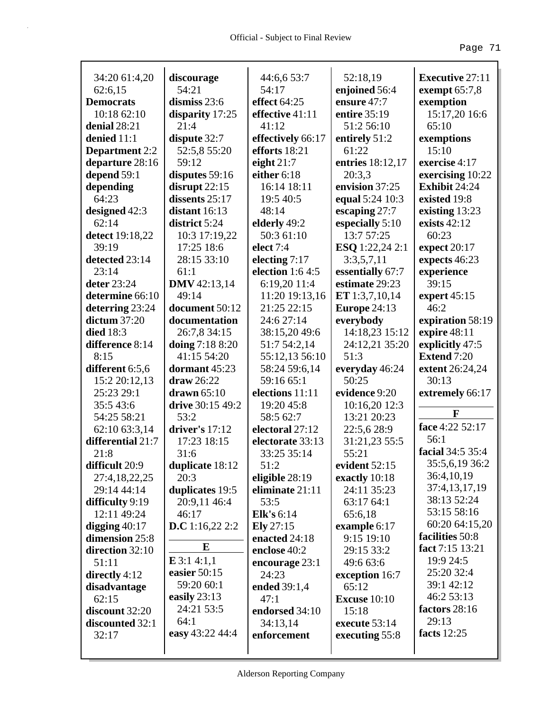| 34:20 61:4,20                            | discourage<br>54:21               | 44:6,6 53:7<br>54:17               | 52:18,19                   | <b>Executive 27:11</b>            |
|------------------------------------------|-----------------------------------|------------------------------------|----------------------------|-----------------------------------|
| 62:6,15                                  |                                   |                                    | enjoined 56:4              | exempt $65:7,8$                   |
| <b>Democrats</b><br>10:18 62:10          | dismiss 23:6                      | effect $64:25$<br>effective 41:11  | ensure 47:7                | exemption<br>15:17,20 16:6        |
|                                          | disparity 17:25<br>21:4           |                                    | entire 35:19               | 65:10                             |
| denial 28:21                             |                                   | 41:12                              | 51:2 56:10                 |                                   |
| denied 11:1                              | dispute 32:7                      | effectively 66:17<br>efforts 18:21 | entirely 51:2<br>61:22     | exemptions<br>15:10               |
| <b>Department</b> 2:2<br>departure 28:16 | 52:5,8 55:20<br>59:12             |                                    |                            | exercise 4:17                     |
|                                          |                                   | eight $21:7$<br>either 6:18        | entries 18:12,17<br>20:3,3 |                                   |
| depend 59:1                              | disputes 59:16                    |                                    | envision 37:25             | exercising 10:22<br>Exhibit 24:24 |
| depending<br>64:23                       | disrupt $22:15$<br>dissents 25:17 | 16:14 18:11                        |                            |                                   |
|                                          |                                   | 19:5 40:5                          | equal 5:24 10:3            | existed 19:8                      |
| designed 42:3                            | distant $16:13$                   | 48:14                              | escaping 27:7              | existing 13:23                    |
| 62:14                                    | district 5:24                     | elderly 49:2                       | especially 5:10            | exists $42:12$                    |
| detect 19:18,22                          | 10:3 17:19,22                     | 50:3 61:10                         | 13:7 57:25                 | 60:23                             |
| 39:19                                    | 17:25 18:6                        | elect 7:4                          | <b>ESQ</b> 1:22,24 2:1     | expect $20:17$                    |
| detected 23:14                           | 28:15 33:10                       | electing 7:17                      | 3:3,5,7,11                 | expects 46:23                     |
| 23:14                                    | 61:1                              | election $1:64:5$                  | essentially 67:7           | experience                        |
| deter 23:24                              | <b>DMV</b> 42:13,14               | 6:19,20 11:4                       | estimate 29:23             | 39:15                             |
| determine 66:10                          | 49:14                             | 11:20 19:13,16                     | ET 1:3,7,10,14             | expert $45:15$                    |
| deterring 23:24                          | document 50:12                    | 21:25 22:15                        | <b>Europe 24:13</b>        | 46:2                              |
| dictum $37:20$                           | documentation                     | 24:6 27:14                         | everybody                  | expiration 58:19                  |
| <b>died</b> 18:3                         | 26:7,8 34:15                      | 38:15,20 49:6                      | 14:18,23 15:12             | expire 48:11                      |
| difference 8:14                          | doing 7:18 8:20                   | 51:7 54:2,14                       | 24:12,21 35:20             | explicitly 47:5                   |
| 8:15                                     | 41:15 54:20                       | 55:12,13 56:10                     | 51:3                       | <b>Extend 7:20</b>                |
| different 6:5,6                          | dormant 45:23                     | 58:24 59:6,14                      | everyday 46:24             | extent 26:24,24                   |
| 15:2 20:12,13                            | draw 26:22                        | 59:16 65:1                         | 50:25                      | 30:13                             |
| 25:23 29:1                               | drawn $65:10$                     | elections 11:11                    | evidence 9:20              | extremely 66:17                   |
| 35:543:6                                 | drive 30:15 49:2                  | 19:20 45:8                         | 10:16,20 12:3              |                                   |
| 54:25 58:21                              | 53:2                              | 58:5 62:7                          | 13:21 20:23                | $\mathbf{F}$                      |
| 62:10 63:3,14                            | driver's $17:12$                  | electoral 27:12                    | 22:5,6 28:9                | face 4:22 52:17                   |
| differential 21:7                        | 17:23 18:15                       | electorate 33:13                   | 31:21,23 55:5              | 56:1                              |
| 21:8                                     | 31:6                              | 33:25 35:14                        | 55:21                      | facial 34:5 35:4                  |
| difficult 20:9                           | duplicate 18:12                   | 51:2                               | evident 52:15              | 35:5,6,19 36:2                    |
| 27:4,18,22,25                            | 20:3                              | eligible 28:19                     | exactly 10:18              | 36:4,10,19                        |
| 29:14 44:14                              | duplicates 19:5                   | eliminate 21:11                    | 24:11 35:23                | 37:4,13,17,19                     |
| difficulty 9:19                          | 20:9,11 46:4                      | 53:5                               | 63:17 64:1                 | 38:13 52:24                       |
| 12:11 49:24                              | 46:17                             | <b>Elk's</b> 6:14                  | 65:6,18                    | 53:15 58:16                       |
| digging $40:17$                          | D.C 1:16,22 2:2                   | Ely 27:15                          | example 6:17               | 60:20 64:15,20                    |
| dimension 25:8                           |                                   | enacted 24:18                      | 9:15 19:10                 | facilities 50:8                   |
| direction 32:10                          | E                                 | enclose 40:2                       | 29:15 33:2                 | fact 7:15 13:21                   |
| 51:11                                    | $E$ 3:1 4:1,1                     | encourage 23:1                     | 49:6 63:6                  | 19:9 24:5                         |
| directly $4:12$                          | easier $50:15$                    | 24:23                              | exception 16:7             | 25:20 32:4                        |
| disadvantage                             | 59:20 60:1                        | ended 39:1,4                       | 65:12                      | 39:1 42:12                        |
| 62:15                                    | easily $23:13$                    | 47:1                               | <b>Excuse 10:10</b>        | 46:2 53:13                        |
| discount 32:20                           | 24:21 53:5                        | endorsed 34:10                     | 15:18                      | factors 28:16                     |
| discounted 32:1                          | 64:1                              | 34:13,14                           | execute 53:14              | 29:13                             |
| 32:17                                    | easy 43:22 44:4                   | enforcement                        | executing 55:8             | facts $12:25$                     |
|                                          |                                   |                                    |                            |                                   |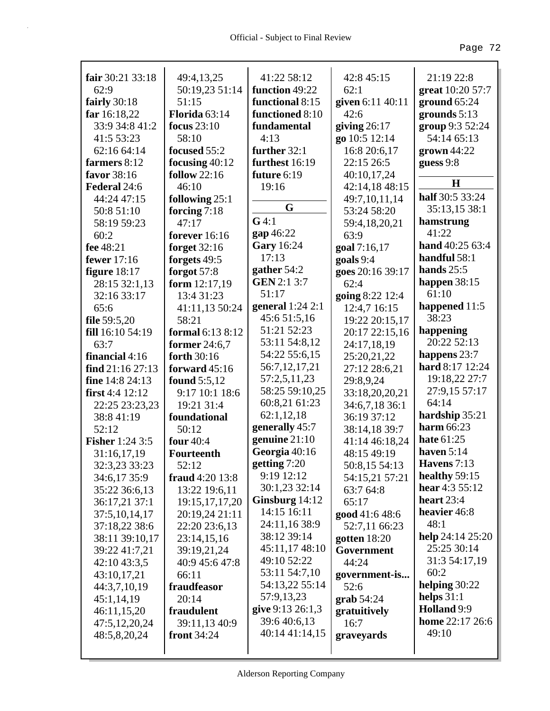| fair 30:21 33:18       | 49:4,13,25             | 41:22 58:12        | 42:8 45:15       | 21:19 22:8        |
|------------------------|------------------------|--------------------|------------------|-------------------|
| 62:9                   | 50:19,23 51:14         | function 49:22     | 62:1             | great 10:20 57:7  |
| fairly $30:18$         | 51:15                  | functional 8:15    | given 6:11 40:11 | ground 65:24      |
| far $16:18,22$         | Florida 63:14          | functioned 8:10    | 42:6             | grounds $5:13$    |
| 33:9 34:8 41:2         | focus $23:10$          | fundamental        | giving $26:17$   | group 9:3 52:24   |
| 41:5 53:23             | 58:10                  | 4:13               | go 10:5 12:14    | 54:14 65:13       |
| 62:16 64:14            | focused 55:2           | further 32:1       | 16:8 20:6,17     | $grown 44:22$     |
| farmers 8:12           | focusing 40:12         | furthest 16:19     | 22:15 26:5       | guess 9:8         |
| favor 38:16            | follow $22:16$         | future 6:19        | 40:10,17,24      |                   |
| Federal 24:6           | 46:10                  | 19:16              | 42:14,18 48:15   | $\bf H$           |
| 44:24 47:15            | following 25:1         |                    | 49:7,10,11,14    | half 30:5 33:24   |
| 50:8 51:10             | forcing $7:18$         | G                  | 53:24 58:20      | 35:13,15 38:1     |
| 58:19 59:23            | 47:17                  | $G$ 4:1            | 59:4,18,20,21    | hamstrung         |
| 60:2                   | forever $16:16$        | gap 46:22          | 63:9             | 41:22             |
| fee 48:21              | forget 32:16           | <b>Gary</b> 16:24  | goal 7:16,17     | hand 40:25 63:4   |
| <b>fewer</b> 17:16     | forgets 49:5           | 17:13              | goals 9:4        | handful 58:1      |
| figure $18:17$         | forgot $57:8$          | gather $54:2$      | goes 20:16 39:17 | hands $25:5$      |
| 28:15 32:1,13          | form 12:17,19          | <b>GEN 2:1 3:7</b> | 62:4             | happen $38:15$    |
| 32:16 33:17            | 13:4 31:23             | 51:17              | going 8:22 12:4  | 61:10             |
| 65:6                   | 41:11,13 50:24         | general $1:24$ 2:1 | 12:4,7 16:15     | happened 11:5     |
| file 59:5,20           | 58:21                  | 45:6 51:5,16       | 19:22 20:15,17   | 38:23             |
| fill 16:10 54:19       | formal 6:13 8:12       | 51:21 52:23        | 20:17 22:15,16   | happening         |
| 63:7                   | <b>former</b> 24:6,7   | 53:11 54:8,12      | 24:17,18,19      | 20:22 52:13       |
| financial $4:16$       | forth 30:16            | 54:22 55:6,15      | 25:20,21,22      | happens 23:7      |
| find $21:16\ 27:13$    | forward $45:16$        | 56:7, 12, 17, 21   | 27:12 28:6,21    | hard 8:17 12:24   |
| fine 14:8 24:13        | <b>found</b> 5:5,12    | 57:2,5,11,23       | 29:8,9,24        | 19:18,22 27:7     |
| first $4:4$ 12:12      | 9:17 10:1 18:6         | 58:25 59:10,25     | 33:18,20,20,21   | 27:9,15 57:17     |
| 22:25 23:23,23         | 19:21 31:4             | 60:8,21 61:23      | 34:6,7,18 36:1   | 64:14             |
| 38:8 41:19             | foundational           | 62:1,12,18         | 36:19 37:12      | hardship 35:21    |
| 52:12                  | 50:12                  | generally 45:7     | 38:14,18 39:7    | <b>harm</b> 66:23 |
| <b>Fisher</b> 1:24 3:5 | four 40:4              | genuine $21:10$    | 41:14 46:18,24   | hate 61:25        |
| 31:16,17,19            | <b>Fourteenth</b>      | Georgia 40:16      | 48:15 49:19      | haven $5:14$      |
| 32:3,23 33:23          | 52:12                  | getting 7:20       | 50:8,15 54:13    | Havens $7:13$     |
| 34:6,17 35:9           | <b>fraud</b> 4:20 13:8 | 9:19 12:12         | 54:15,21 57:21   | healthy 59:15     |
| 35:22 36:6,13          | 13:22 19:6,11          | 30:1,23 32:14      | 63:7 64:8        | hear $4:355:12$   |
| 36:17,21 37:1          | 19:15,17,17,20         | Ginsburg $14:12$   | 65:17            | heart $23:4$      |
| 37:5,10,14,17          | 20:19,24 21:11         | 14:15 16:11        | good 41:6 48:6   | heavier 46:8      |
| 37:18,22 38:6          | 22:20 23:6,13          | 24:11,16 38:9      | 52:7,11 66:23    | 48:1              |
| 38:11 39:10,17         | 23:14,15,16            | 38:12 39:14        | gotten $18:20$   | help 24:14 25:20  |
| 39:22 41:7,21          | 39:19,21,24            | 45:11,17 48:10     | Government       | 25:25 30:14       |
| 42:10 43:3,5           | 40:9 45:6 47:8         | 49:10 52:22        | 44:24            | 31:3 54:17,19     |
| 43:10,17,21            | 66:11                  | 53:11 54:7,10      | government-is    | 60:2              |
| 44:3,7,10,19           | fraudfeasor            | 54:13,22 55:14     | 52:6             | helping $30:22$   |
| 45:1,14,19             | 20:14                  | 57:9,13,23         | $graph 54:24$    | helps $31:1$      |
| 46:11,15,20            | fraudulent             | give 9:13 26:1,3   | gratuitively     | Holland 9:9       |
| 47:5,12,20,24          | 39:11,13 40:9          | 39:6 40:6,13       | 16:7             | home 22:17 26:6   |
| 48:5,8,20,24           | front $34:24$          | 40:14 41:14,15     | graveyards       | 49:10             |
|                        |                        |                    |                  |                   |
|                        |                        |                    |                  |                   |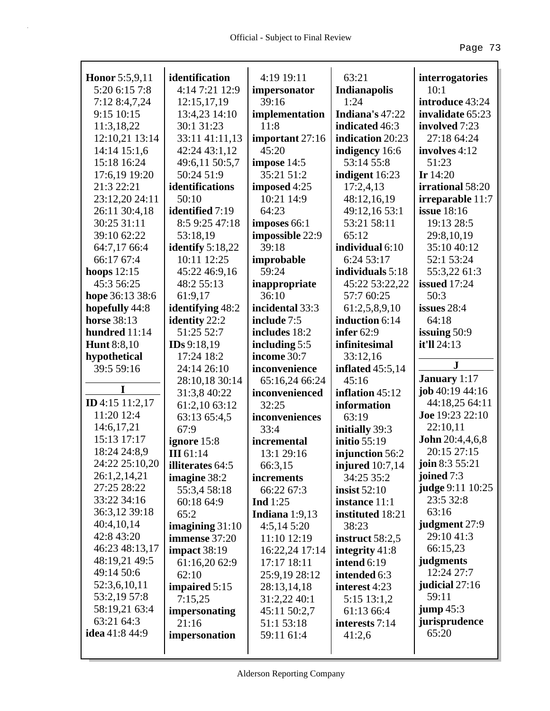| <b>Honor</b> 5:5,9,11 | identification     | 4:19 19:11      | 63:21               | interrogatories          |
|-----------------------|--------------------|-----------------|---------------------|--------------------------|
| 5:20 6:15 7:8         | 4:14 7:21 12:9     | impersonator    | Indianapolis        | 10:1                     |
| 7:12 8:4,7,24         | 12:15,17,19        | 39:16           | 1:24                | introduce 43:24          |
| 9:15 10:15            | 13:4,23 14:10      | implementation  | Indiana's 47:22     | invalidate 65:23         |
| 11:3,18,22            | 30:1 31:23         | 11:8            | indicated 46:3      | involved 7:23            |
| 12:10,21 13:14        | 33:11 41:11,13     | important 27:16 | indication 20:23    | 27:18 64:24              |
| 14:14 15:1,6          | 42:24 43:1,12      | 45:20           | indigency 16:6      | involves 4:12            |
| 15:18 16:24           | 49:6,11 50:5,7     | impose 14:5     | 53:14 55:8          | 51:23                    |
| 17:6,19 19:20         | 50:24 51:9         | 35:21 51:2      | indigent 16:23      | Ir $14:20$               |
| 21:3 22:21            | identifications    | imposed 4:25    | 17:2,4,13           | irrational 58:20         |
| 23:12,20 24:11        | 50:10              | 10:21 14:9      | 48:12,16,19         | irreparable 11:7         |
| 26:11 30:4,18         | identified 7:19    | 64:23           | 49:12,16 53:1       | <b>issue</b> 18:16       |
| 30:25 31:11           | 8:5 9:25 47:18     | imposes 66:1    | 53:21 58:11         | 19:13 28:5               |
| 39:10 62:22           | 53:18,19           | impossible 22:9 | 65:12               | 29:8,10,19               |
| 64:7,17 66:4          | identify $5:18,22$ | 39:18           | individual 6:10     | 35:10 40:12              |
| 66:17 67:4            | 10:11 12:25        | improbable      | 6:24 53:17          | 52:1 53:24               |
| hoops $12:15$         | 45:22 46:9,16      | 59:24           | individuals 5:18    | 55:3,22 61:3             |
| 45:3 56:25            | 48:2 55:13         | inappropriate   | 45:22 53:22,22      | <b>issued</b> 17:24      |
| hope 36:13 38:6       | 61:9,17            | 36:10           | 57:7 60:25          | 50:3                     |
| hopefully 44:8        | identifying 48:2   | incidental 33:3 | 61:2,5,8,9,10       | issues 28:4              |
| <b>horse</b> 38:13    | identity 22:2      | include 7:5     | induction 6:14      | 64:18                    |
| hundred 11:14         | 51:25 52:7         | includes 18:2   | infer $62:9$        | issuing $50:9$           |
| <b>Hunt</b> 8:8,10    | IDs 9:18,19        | including 5:5   | infinitesimal       | it'll 24:13              |
| hypothetical          | 17:24 18:2         | income 30:7     | 33:12,16            |                          |
| 39:5 59:16            | 24:14 26:10        | inconvenience   | inflated $45:5,14$  | $\mathbf{J}$             |
|                       | 28:10,18 30:14     | 65:16,24 66:24  | 45:16               | <b>January</b> 1:17      |
| I                     | 31:3,8 40:22       | inconvenienced  | inflation 45:12     | job $40:19$ $44:16$      |
| ID 4:15 11:2,17       | 61:2,10 63:12      | 32:25           | information         | 44:18,25 64:11           |
| 11:20 12:4            | 63:13 65:4,5       | inconveniences  | 63:19               | Joe 19:23 22:10          |
| 14:6,17,21            | 67:9               | 33:4            | initially 39:3      | 22:10,11                 |
| 15:13 17:17           | ignore 15:8        | incremental     | <b>initio 55:19</b> | <b>John</b> $20:4,4,6,8$ |
| 18:24 24:8,9          | <b>III</b> 61:14   | 13:1 29:16      | injunction 56:2     | 20:15 27:15              |
| 24:22 25:10,20        | illiterates 64:5   | 66:3,15         | injured $10:7,14$   | join 8:3 55:21           |
| 26:1,2,14,21          | imagine 38:2       | increments      | 34:25 35:2          | joined 7:3               |
| 27:25 28:22           | 55:3,4 58:18       | 66:22 67:3      | <b>insist 52:10</b> | judge 9:11 10:25         |
| 33:22 34:16           | 60:18 64:9         | Ind $1:25$      | instance 11:1       | 23:5 32:8                |
| 36:3,12 39:18         | 65:2               | Indiana 1:9,13  | instituted 18:21    | 63:16                    |
| 40:4,10,14            | imagining $31:10$  | 4:5,145:20      | 38:23               | judgment 27:9            |
| 42:8 43:20            | immense 37:20      | 11:10 12:19     | instruct $58:2,5$   | 29:10 41:3               |
| 46:23 48:13,17        | impact 38:19       | 16:22,24 17:14  | integrity 41:8      | 66:15,23                 |
| 48:19,21 49:5         | 61:16,20 62:9      | 17:17 18:11     | intend 6:19         | judgments                |
| 49:14 50:6            | 62:10              | 25:9,19 28:12   | intended 6:3        | 12:24 27:7               |
| 52:3,6,10,11          | impaired 5:15      | 28:13,14,18     | interest 4:23       | judicial 27:16           |
| 53:2,19 57:8          | 7:15,25            | 31:2,22 40:1    | 5:15 13:1,2         | 59:11                    |
| 58:19,21 63:4         | impersonating      | 45:11 50:2,7    | 61:13 66:4          | $jump\,45:3$             |
| 63:21 64:3            | 21:16              | 51:1 53:18      | interests 7:14      | jurisprudence            |
| <b>idea</b> 41:8 44:9 | impersonation      | 59:11 61:4      | 41:2,6              | 65:20                    |
|                       |                    |                 |                     |                          |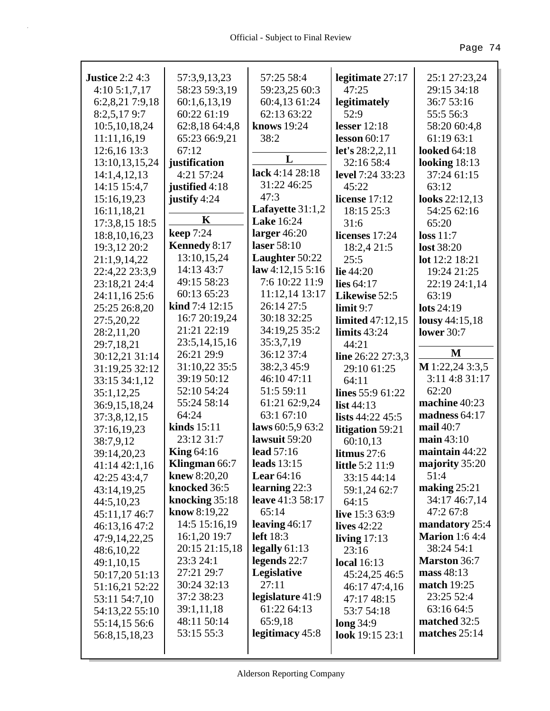| <b>Justice 2:2 4:3</b>         | 57:3,9,13,23            | 57:25 58:4              | legitimate 27:17        | 25:1 27:23,24                  |
|--------------------------------|-------------------------|-------------------------|-------------------------|--------------------------------|
| 4:105:1,7,17                   | 58:23 59:3,19           | 59:23,25 60:3           | 47:25                   | 29:15 34:18                    |
| 6:2,8,21 7:9,18                | 60:1,6,13,19            | 60:4,13 61:24           | legitimately            | 36:7 53:16                     |
| 8:2,5,179:7                    | 60:22 61:19             | 62:13 63:22             | 52:9                    | 55:5 56:3                      |
| 10:5, 10, 18, 24               | 62:8,18 64:4,8          | knows 19:24             | lesser $12:18$          | 58:20 60:4,8                   |
| 11:11,16,19                    | 65:23 66:9,21           | 38:2                    | lesson $60:17$          | 61:19 63:1                     |
| 12:6,16 13:3                   | 67:12                   | L                       | let's 28:2,2,11         | <b>looked</b> 64:18            |
| 13:10,13,15,24                 | justification           | lack 4:14 28:18         | 32:16 58:4              | looking $18:13$                |
| 14:1,4,12,13                   | 4:21 57:24              | 31:22 46:25             | <b>level</b> 7:24 33:23 | 37:24 61:15                    |
| 14:15 15:4,7                   | justified 4:18          | 47:3                    | 45:22                   | 63:12                          |
| 15:16,19,23                    | justify 4:24            | Lafayette 31:1,2        | license 17:12           | looks 22:12,13                 |
| 16:11,18,21                    | K                       | <b>Lake</b> 16:24       | 18:15 25:3              | 54:25 62:16                    |
| 17:3,8,15 18:5                 | <b>keep</b> 7:24        | larger $46:20$          | 31:6                    | 65:20                          |
| 18:8, 10, 16, 23               | <b>Kennedy 8:17</b>     | laser 58:10             | licenses 17:24          | loss 11:7<br><b>lost</b> 38:20 |
| 19:3,12 20:2                   | 13:10,15,24             | Laughter 50:22          | 18:2,4 21:5<br>25:5     | lot 12:2 18:21                 |
| 21:1,9,14,22<br>22:4,22 23:3,9 | 14:13 43:7              | law $4:12,15\ 5:16$     | lie $44:20$             | 19:24 21:25                    |
| 23:18,21 24:4                  | 49:15 58:23             | 7:6 10:22 11:9          | lies $64:17$            | 22:19 24:1,14                  |
| 24:11,16 25:6                  | 60:13 65:23             | 11:12,14 13:17          | Likewise 52:5           | 63:19                          |
| 25:25 26:8,20                  | <b>kind</b> $7:4$ 12:15 | 26:14 27:5              | limit 9:7               | lots $24:19$                   |
| 27:5,20,22                     | 16:7 20:19,24           | 30:18 32:25             | limited 47:12,15        | lousy 44:15,18                 |
| 28:2,11,20                     | 21:21 22:19             | 34:19,25 35:2           | limits $43:24$          | <b>lower</b> 30:7              |
| 29:7,18,21                     | 23:5, 14, 15, 16        | 35:3,7,19               | 44:21                   |                                |
| 30:12,21 31:14                 | 26:21 29:9              | 36:12 37:4              | line 26:22 27:3,3       | M                              |
| 31:19,25 32:12                 | 31:10,22 35:5           | 38:2,3 45:9             | 29:10 61:25             | $M$ 1:22,24 3:3,5              |
| 33:15 34:1,12                  | 39:19 50:12             | 46:10 47:11             | 64:11                   | 3:11 4:8 31:17                 |
| 35:1,12,25                     | 52:10 54:24             | 51:5 59:11              | lines 55:9 61:22        | 62:20                          |
| 36:9,15,18,24                  | 55:24 58:14             | 61:21 62:9,24           | list $44:13$            | machine 40:23                  |
| 37:3,8,12,15                   | 64:24                   | 63:1 67:10              | lists 44:22 45:5        | madness 64:17                  |
| 37:16,19,23                    | kinds $15:11$           | laws 60:5,9 63:2        | litigation 59:21        | mail $40:7$                    |
| 38:7,9,12                      | 23:12 31:7              | lawsuit 59:20           | 60:10,13                | main 43:10                     |
| 39:14,20,23                    | <b>King 64:16</b>       | lead 57:16              | litmus $27:6$           | maintain 44:22                 |
| 41:14 42:1,16                  | Klingman 66:7           | leads $13:15$           | <b>little</b> 5:2 11:9  | majority 35:20                 |
| 42:25 43:4,7                   | <b>knew</b> 8:20,20     | Lear $64:16$            | 33:15 44:14             | 51:4                           |
| 43:14,19,25                    | knocked 36:5            | learning $22:3$         | 59:1,24 62:7            | making $25:21$                 |
| 44:5,10,23                     | knocking $35:18$        | <b>leave</b> 41:3 58:17 | 64:15                   | 34:17 46:7,14                  |
| 45:11,17 46:7                  | <b>know</b> 8:19,22     | 65:14                   | live 15:3 63:9          | 47:2 67:8                      |
| 46:13,16 47:2                  | 14:5 15:16,19           | leaving $46:17$         | lives $42:22$           | mandatory 25:4                 |
| 47:9,14,22,25                  | 16:1,20 19:7            | left 18:3               | living $17:13$          | <b>Marion</b> 1:6 4:4          |
| 48:6,10,22                     | 20:15 21:15,18          | legally $61:13$         | 23:16                   | 38:24 54:1                     |
| 49:1,10,15                     | 23:3 24:1               | legends $22:7$          | <b>local</b> 16:13      | <b>Marston</b> 36:7            |
| 50:17,20 51:13                 | 27:21 29:7              | Legislative             | 45:24,25 46:5           | mass $48:13$                   |
| 51:16,21 52:22                 | 30:24 32:13             | 27:11                   | 46:17 47:4,16           | <b>match</b> 19:25             |
| 53:11 54:7,10                  | 37:2 38:23              | legislature 41:9        | 47:17 48:15             | 23:25 52:4                     |
| 54:13,22 55:10                 | 39:1,11,18              | 61:22 64:13             | 53:7 54:18              | 63:16 64:5                     |
| 55:14,15 56:6                  | 48:11 50:14             | 65:9,18                 | long 34:9               | matched 32:5                   |
| 56:8,15,18,23                  | 53:15 55:3              | legitimacy 45:8         | look 19:15 23:1         | matches $25:14$                |
|                                |                         |                         |                         |                                |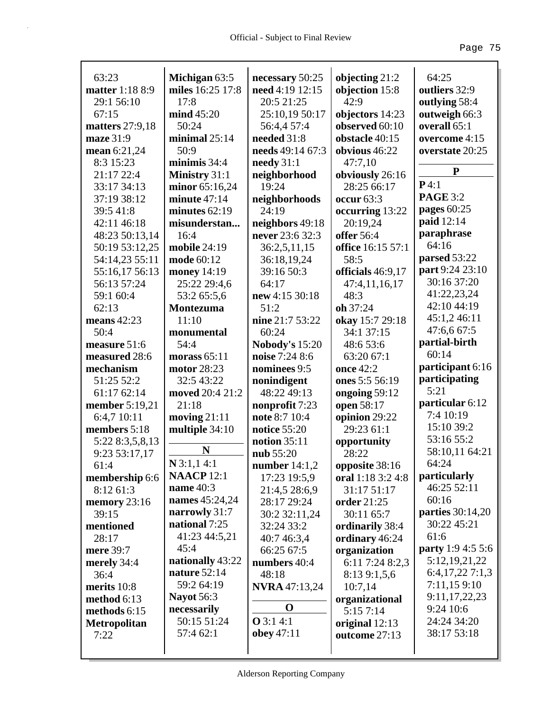| 63:23                   | Michigan 63:5       | necessary 50:25               | objecting 21:2                      | 64:25                    |
|-------------------------|---------------------|-------------------------------|-------------------------------------|--------------------------|
| matter 1:18 8:9         | miles 16:25 17:8    | need 4:19 12:15               | objection 15:8                      | outliers 32:9            |
| 29:1 56:10              | 17:8                | 20:5 21:25                    | 42:9                                | outlying 58:4            |
| 67:15                   | mind 45:20          | 25:10,19 50:17                | objectors 14:23                     | outweigh 66:3            |
| matters 27:9,18         | 50:24               | 56:4,4 57:4                   | observed 60:10                      | overall 65:1             |
| maze 31:9               | minimal $25:14$     | needed 31:8                   | obstacle 40:15                      | overcome 4:15            |
| mean 6:21,24            | 50:9                | needs 49:14 67:3              | obvious 46:22                       | overstate 20:25          |
| 8:3 15:23               | minimis 34:4        | needy $31:1$                  | 47:7,10                             | ${\bf P}$                |
| 21:17 22:4              | Ministry 31:1       | neighborhood                  | obviously 26:16                     |                          |
| 33:17 34:13             | minor 65:16,24      | 19:24                         | 28:25 66:17                         | P4:1                     |
| 37:19 38:12             | minute $47:14$      | neighborhoods                 | occur 63:3                          | <b>PAGE 3:2</b>          |
| 39:5 41:8               | minutes $62:19$     | 24:19                         | occurring 13:22                     | pages 60:25              |
| 42:11 46:18             | misunderstan        | neighbors 49:18               | 20:19,24                            | paid 12:14               |
| 48:23 50:13,14          | 16:4                | never 23:6 32:3               | offer 56:4                          | paraphrase               |
| 50:19 53:12,25          | <b>mobile 24:19</b> | 36:2,5,11,15                  | office 16:15 57:1                   | 64:16                    |
| 54:14,23 55:11          | mode 60:12          | 36:18,19,24                   | 58:5                                | parsed 53:22             |
| 55:16,17 56:13          | money 14:19         | 39:16 50:3                    | officials 46:9,17                   | part 9:24 23:10          |
| 56:13 57:24             | 25:22 29:4,6        | 64:17                         | 47:4,11,16,17                       | 30:16 37:20              |
| 59:1 60:4               | 53:2 65:5,6         | new 4:15 30:18                | 48:3                                | 41:22,23,24              |
| 62:13                   | <b>Montezuma</b>    | 51:2                          | oh 37:24                            | 42:10 44:19              |
| means $42:23$           | 11:10               | nine 21:7 53:22               | okay 15:7 29:18                     | 45:1,2 46:11             |
| 50:4                    | monumental          | 60:24                         | 34:1 37:15                          | 47:6,6 67:5              |
| measure 51:6            | 54:4                | <b>Nobody's 15:20</b>         | 48:6 53:6                           | partial-birth            |
| measured 28:6           | morass $65:11$      | noise 7:24 8:6                | 63:20 67:1                          | 60:14                    |
| mechanism               | motor 28:23         | nominees 9:5                  | once 42:2                           | participant 6:16         |
| 51:25 52:2              | 32:5 43:22          | nonindigent                   | ones 5:5 56:19                      | participating            |
| 61:17 62:14             |                     |                               |                                     |                          |
|                         | moved 20:4 21:2     | 48:22 49:13                   | ongoing 59:12                       | 5:21                     |
| member 5:19,21          | 21:18               | nonprofit 7:23                | open 58:17                          | particular 6:12          |
| 6:4,7 10:11             | moving $21:11$      | note 8:7 10:4                 | opinion 29:22                       | 7:4 10:19                |
| members 5:18            | multiple 34:10      | notice 55:20                  | 29:23 61:1                          | 15:10 39:2               |
| 5:22 8:3,5,8,13         |                     | notion 35:11                  | opportunity                         | 53:16 55:2               |
| 9:23 53:17,17           | N                   | nub 55:20                     | 28:22                               | 58:10,11 64:21           |
| 61:4                    | $N$ 3:1,14:1        |                               |                                     | 64:24                    |
| membership 6:6          | <b>NAACP</b> 12:1   | number 14:1,2<br>17:23 19:5,9 | opposite 38:16<br>oral 1:18 3:2 4:8 | particularly             |
| 8:12 61:3               | name $40:3$         | 21:4,5 28:6,9                 | 31:17 51:17                         | 46:25 52:11              |
|                         | names 45:24,24      | 28:17 29:24                   | <b>order</b> 21:25                  | 60:16                    |
| memory $23:16$<br>39:15 | narrowly 31:7       | 30:2 32:11,24                 | 30:11 65:7                          | parties 30:14,20         |
| mentioned               | national 7:25       | 32:24 33:2                    | ordinarily 38:4                     | 30:22 45:21              |
| 28:17                   | 41:23 44:5,21       |                               |                                     | 61:6                     |
|                         | 45:4                | 40:7 46:3,4<br>66:25 67:5     | ordinary 46:24                      | <b>party</b> 1:9 4:5 5:6 |
| mere 39:7               | nationally 43:22    |                               | organization                        | 5:12, 19, 21, 22         |
| merely 34:4<br>36:4     | nature 52:14        | numbers 40:4                  | 6:11 7:24 8:2,3                     | 6:4,17,227:1,3           |
|                         | 59:2 64:19          | 48:18                         | 8:13 9:1,5,6                        | 7:11,15 9:10             |
| merits 10:8             | <b>Nayot</b> 56:3   | <b>NVRA</b> 47:13,24          | 10:7,14                             | 9:11,17,22,23            |
| method 6:13             | necessarily         | O                             | organizational                      | 9:24 10:6                |
| methods 6:15            | 50:15 51:24         | <b>O</b> 3:1 4:1              | 5:15 7:14                           | 24:24 34:20              |
| <b>Metropolitan</b>     | 57:4 62:1           | obey $47:11$                  | original 12:13                      | 38:17 53:18              |
| 7:22                    |                     |                               | outcome 27:13                       |                          |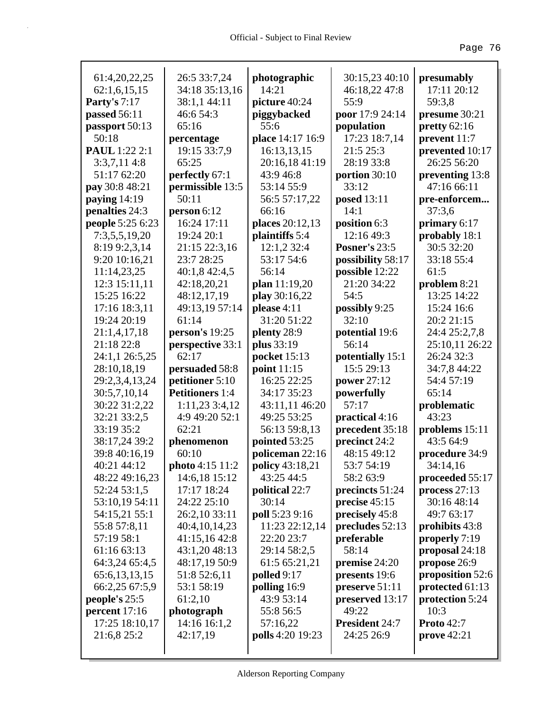| 61:4,20,22,25        | 26:5 33:7,24           | photographic     | 30:15,23 40:10        | presumably        |
|----------------------|------------------------|------------------|-----------------------|-------------------|
| 62:1,6,15,15         | 34:18 35:13,16         | 14:21            | 46:18,22 47:8         | 17:11 20:12       |
| <b>Party's 7:17</b>  | 38:1,1 44:11           | picture 40:24    | 55:9                  | 59:3,8            |
| passed 56:11         | 46:6 54:3              | piggybacked      | poor 17:9 24:14       | presume 30:21     |
| passport 50:13       | 65:16                  | 55:6             | population            | pretty $62:16$    |
| 50:18                | percentage             | place 14:17 16:9 | 17:23 18:7,14         | prevent 11:7      |
| <b>PAUL</b> 1:22 2:1 | 19:15 33:7,9           | 16:13,13,15      | 21:5 25:3             | prevented 10:17   |
| 3:3,7,114:8          | 65:25                  | 20:16,18 41:19   | 28:19 33:8            | 26:25 56:20       |
| 51:17 62:20          | perfectly 67:1         | 43:9 46:8        | portion 30:10         | preventing 13:8   |
| pay 30:8 48:21       | permissible 13:5       | 53:14 55:9       | 33:12                 | 47:16 66:11       |
| paying $14:19$       | 50:11                  | 56:5 57:17,22    | <b>posed</b> 13:11    | pre-enforcem      |
| penalties 24:3       | person 6:12            | 66:16            | 14:1                  | 37:3,6            |
| people 5:25 6:23     | 16:24 17:11            | places 20:12,13  | position 6:3          | primary 6:17      |
| 7:3,5,5,19,20        | 19:24 20:1             | plaintiffs 5:4   | 12:16 49:3            | probably 18:1     |
| 8:19 9:2,3,14        | 21:15 22:3,16          | 12:1,2 32:4      | <b>Posner's 23:5</b>  | 30:5 32:20        |
| 9:20 10:16,21        | 23:7 28:25             | 53:17 54:6       | possibility 58:17     | 33:18 55:4        |
| 11:14,23,25          | 40:1,8 42:4,5          | 56:14            | possible 12:22        | 61:5              |
| 12:3 15:11,11        | 42:18,20,21            | plan $11:19,20$  | 21:20 34:22           | problem 8:21      |
| 15:25 16:22          | 48:12,17,19            | play 30:16,22    | 54:5                  | 13:25 14:22       |
| 17:16 18:3,11        | 49:13,19 57:14         | please 4:11      | possibly 9:25         | 15:24 16:6        |
| 19:24 20:19          | 61:14                  | 31:20 51:22      | 32:10                 | 20:2 21:15        |
| 21:1,4,17,18         | person's 19:25         | plenty 28:9      | potential 19:6        | 24:4 25:2,7,8     |
| 21:18 22:8           | perspective 33:1       | plus 33:19       | 56:14                 | 25:10,11 26:22    |
| 24:1,1 26:5,25       | 62:17                  | pocket 15:13     | potentially 15:1      | 26:24 32:3        |
| 28:10,18,19          | persuaded 58:8         | point 11:15      | 15:5 29:13            | 34:7,8 44:22      |
| 29:2,3,4,13,24       | petitioner 5:10        | 16:25 22:25      | power 27:12           | 54:4 57:19        |
| 30:5,7,10,14         | <b>Petitioners</b> 1:4 | 34:17 35:23      | powerfully            | 65:14             |
| 30:22 31:2,22        | $1:11,23$ 3:4,12       | 43:11,11 46:20   | 57:17                 | problematic       |
| 32:21 33:2,5         | 4:9 49:20 52:1         | 49:25 53:25      | practical 4:16        | 43:23             |
| 33:19 35:2           | 62:21                  | 56:13 59:8,13    | precedent 35:18       | problems 15:11    |
| 38:17,24 39:2        | phenomenon             | pointed 53:25    | precinct 24:2         | 43:5 64:9         |
| 39:8 40:16,19        | 60:10                  | policeman 22:16  | 48:15 49:12           | procedure 34:9    |
| 40:21 44:12          | photo 4:15 11:2        | policy 43:18,21  | 53:7 54:19            | 34:14,16          |
| 48:22 49:16,23       | 14:6,18 15:12          | 43:25 44:5       | 58:2 63:9             | proceeded 55:17   |
| 52:24 53:1,5         | 17:17 18:24            | political 22:7   | precincts 51:24       | process $27:13$   |
| 53:10,19 54:11       | 24:22 25:10            | 30:14            | precise $45:15$       | 30:16 48:14       |
| 54:15,21 55:1        | 26:2,10 33:11          | poll 5:23 9:16   | precisely 45:8        | 49:7 63:17        |
| 55:8 57:8,11         | 40:4,10,14,23          | 11:23 22:12,14   | precludes 52:13       | prohibits 43:8    |
| 57:19 58:1           | 41:15,16 42:8          | 22:20 23:7       | preferable            | properly 7:19     |
| 61:16 63:13          | 43:1,20 48:13          | 29:14 58:2,5     | 58:14                 | proposal 24:18    |
| 64:3,24 65:4,5       | 48:17,19 50:9          | 61:5 65:21,21    | premise 24:20         | propose 26:9      |
| 65:6, 13, 13, 15     | 51:8 52:6,11           | polled $9:17$    | presents 19:6         | proposition 52:6  |
| 66:2,25 67:5,9       | 53:1 58:19             | polling 16:9     | preserve 51:11        | protected 61:13   |
| people's 25:5        | 61:2,10                | 43:9 53:14       | preserved 13:17       | protection 5:24   |
| percent 17:16        | photograph             | 55:8 56:5        | 49:22                 | 10:3              |
| 17:25 18:10,17       | 14:16 16:1,2           | 57:16,22         | <b>President 24:7</b> | <b>Proto</b> 42:7 |
| 21:6,8 25:2          | 42:17,19               | polls 4:20 19:23 | 24:25 26:9            | prove $42:21$     |
|                      |                        |                  |                       |                   |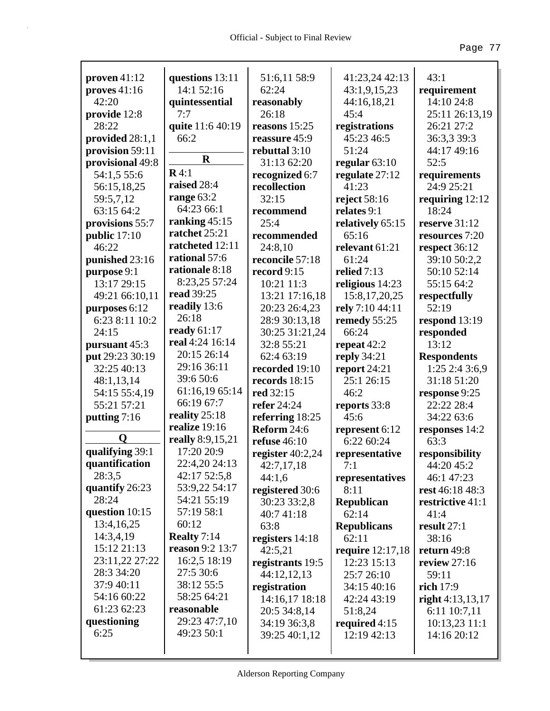| proven 41:12      | questions 13:11        | 51:6,11 58:9       | 41:23,24 42:13     | 43:1               |
|-------------------|------------------------|--------------------|--------------------|--------------------|
| proves $41:16$    | 14:1 52:16             | 62:24              | 43:1,9,15,23       | requirement        |
| 42:20             | quintessential         | reasonably         | 44:16,18,21        | 14:10 24:8         |
| provide 12:8      | 7:7                    | 26:18              | 45:4               | 25:11 26:13,19     |
| 28:22             | quite 11:6 40:19       | reasons $15:25$    | registrations      | 26:21 27:2         |
| provided $28:1,1$ | 66:2                   | reassure 45:9      | 45:23 46:5         | 36:3,3 39:3        |
| provision 59:11   |                        | rebuttal $3:10$    | 51:24              | 44:17 49:16        |
| provisional 49:8  | $\mathbf R$            | 31:13 62:20        | regular $63:10$    | 52:5               |
| 54:1,5 55:6       | R4:1                   | recognized 6:7     | regulate 27:12     | requirements       |
| 56:15,18,25       | raised 28:4            | recollection       | 41:23              | 24:9 25:21         |
| 59:5,7,12         | range 63:2             | 32:15              | reject $58:16$     | requiring $12:12$  |
| 63:15 64:2        | 64:23 66:1             | recommend          | relates 9:1        | 18:24              |
| provisions 55:7   | ranking $45:15$        | 25:4               | relatively 65:15   | reserve 31:12      |
| public $17:10$    | ratchet 25:21          | recommended        | 65:16              | resources 7:20     |
| 46:22             | ratcheted 12:11        | 24:8,10            | relevant 61:21     | respect 36:12      |
| punished 23:16    | rational 57:6          | reconcile 57:18    | 61:24              | 39:10 50:2,2       |
| purpose 9:1       | rationale 8:18         | record 9:15        | relied $7:13$      | 50:10 52:14        |
| 13:17 29:15       | 8:23,25 57:24          | 10:21 11:3         | religious 14:23    | 55:15 64:2         |
| 49:21 66:10,11    | read 39:25             | 13:21 17:16,18     | 15:8,17,20,25      | respectfully       |
| purposes 6:12     | readily 13:6           | 20:23 26:4,23      | rely 7:10 44:11    | 52:19              |
| 6:23 8:11 10:2    | 26:18                  | 28:9 30:13,18      | remedy 55:25       | respond 13:19      |
| 24:15             | ready $61:17$          | 30:25 31:21,24     | 66:24              | responded          |
| pursuant 45:3     | real 4:24 16:14        | 32:8 55:21         | repeat $42:2$      | 13:12              |
| put 29:23 30:19   | 20:15 26:14            | 62:4 63:19         | reply $34:21$      | <b>Respondents</b> |
| 32:25 40:13       | 29:16 36:11            | recorded 19:10     | report 24:21       | 1:25 2:4 3:6,9     |
| 48:1,13,14        | 39:6 50:6              | records 18:15      | 25:1 26:15         | 31:18 51:20        |
| 54:15 55:4,19     | 61:16,19 65:14         | red 32:15          | 46:2               | response 9:25      |
| 55:21 57:21       | 66:19 67:7             | refer 24:24        | reports 33:8       | 22:22 28:4         |
| putting 7:16      | reality $25:18$        | referring 18:25    | 45:6               | 34:22 63:6         |
|                   | realize 19:16          | Reform 24:6        | represent 6:12     | responses 14:2     |
| Q                 | really 8:9,15,21       | refuse $46:10$     | 6:22 60:24         | 63:3               |
| qualifying 39:1   | 17:20 20:9             | register $40:2,24$ | representative     | responsibility     |
| quantification    | 22:4,20 24:13          | 42:7,17,18         | 7:1                | 44:20 45:2         |
| 28:3,5            | 42:17 52:5,8           | 44:1,6             | representatives    | 46:1 47:23         |
| quantify 26:23    | 53:9,22 54:17          | registered 30:6    | 8:11               | rest 46:18 48:3    |
| 28:24             | 54:21 55:19            | 30:23 33:2,8       | <b>Republican</b>  | restrictive 41:1   |
| question 10:15    | 57:19 58:1             | 40:7 41:18         | 62:14              | 41:4               |
| 13:4,16,25        | 60:12                  | 63:8               | <b>Republicans</b> | result 27:1        |
| 14:3,4,19         | Realty $7:14$          | registers 14:18    | 62:11              | 38:16              |
| 15:12 21:13       | <b>reason</b> 9:2 13:7 | 42:5,21            | require 12:17,18   | return 49:8        |
| 23:11,22 27:22    | 16:2,5 18:19           | registrants 19:5   | 12:23 15:13        | review $27:16$     |
| 28:3 34:20        | 27:5 30:6              | 44:12,12,13        | 25:7 26:10         | 59:11              |
| 37:9 40:11        | 38:12 55:5             | registration       | 34:15 40:16        | rich 17:9          |
| 54:16 60:22       | 58:25 64:21            | 14:16,17 18:18     | 42:24 43:19        | right $4:13,13,17$ |
| 61:23 62:23       | reasonable             | 20:5 34:8,14       | 51:8,24            | 6:11 10:7,11       |
| questioning       | 29:23 47:7,10          | 34:19 36:3,8       | required 4:15      | $10:13,23$ 11:1    |
| 6:25              | 49:23 50:1             | 39:25 40:1,12      | 12:19 42:13        | 14:16 20:12        |
|                   |                        |                    |                    |                    |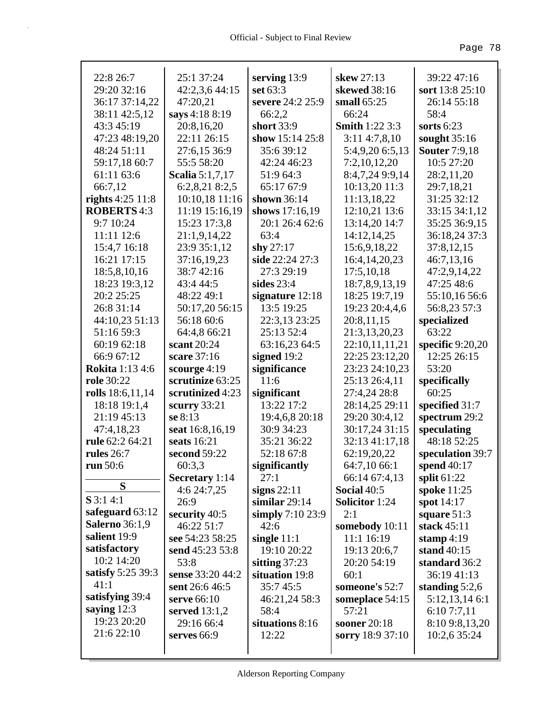| 22:8 26:7              | 25:1 37:24             | serving 13:9        | skew 27:13            | 39:22 47:16          |
|------------------------|------------------------|---------------------|-----------------------|----------------------|
| 29:20 32:16            | 42:2,3,6 44:15         | set 63:3            | skewed 38:16          | sort 13:8 25:10      |
| 36:17 37:14,22         | 47:20,21               | severe 24:2 25:9    | small $65:25$         | 26:14 55:18          |
| 38:11 42:5,12          | says 4:18 8:19         | 66:2,2              | 66:24                 | 58:4                 |
| 43:3 45:19             | 20:8,16,20             | short 33:9          | <b>Smith 1:22 3:3</b> | sorts $6:23$         |
| 47:23 48:19,20         | 22:11 26:15            | show 15:14 25:8     | 3:114:7,8,10          | sought 35:16         |
| 48:24 51:11            | 27:6,15 36:9           | 35:639:12           | 5:4,9,20 6:5,13       | <b>Souter</b> 7:9,18 |
| 59:17,18 60:7          | 55:5 58:20             | 42:24 46:23         | 7:2,10,12,20          | 10:5 27:20           |
| 61:11 63:6             | <b>Scalia</b> 5:1,7,17 | 51:9 64:3           | 8:4,7,24 9:9,14       | 28:2,11,20           |
| 66:7,12                | 6:2,8,21 8:2,5         | 65:17 67:9          | 10:13,20 11:3         | 29:7,18,21           |
| rights $4:25$ 11:8     | 10:10,18 11:16         | shown 36:14         | 11:13,18,22           | 31:25 32:12          |
| <b>ROBERTS</b> 4:3     | 11:19 15:16,19         | shows 17:16,19      | 12:10,21 13:6         | 33:15 34:1,12        |
| 9:7 10:24              | 15:23 17:3,8           | 20:1 26:4 62:6      | 13:14,20 14:7         | 35:25 36:9,15        |
| 11:11 12:6             | 21:1,9,14,22           | 63:4                | 14:12,14,25           | 36:18,24 37:3        |
| 15:4,7 16:18           | 23:9 35:1,12           | shy $27:17$         | 15:6,9,18,22          | 37:8,12,15           |
| 16:21 17:15            | 37:16,19,23            | side 22:24 27:3     | 16:4, 14, 20, 23      | 46:7,13,16           |
| 18:5,8,10,16           | 38:7 42:16             | 27:3 29:19          | 17:5,10,18            | 47:2,9,14,22         |
| 18:23 19:3,12          | 43:4 44:5              | sides $23:4$        | 18:7,8,9,13,19        | 47:25 48:6           |
| 20:2 25:25             | 48:22 49:1             | signature 12:18     | 18:25 19:7,19         | 55:10,16 56:6        |
| 26:8 31:14             | 50:17,20 56:15         | 13:5 19:25          | 19:23 20:4,4,6        | 56:8,23 57:3         |
| 44:10,23 51:13         | 56:18 60:6             | 22:3,13 23:25       | 20:8,11,15            | specialized          |
| 51:16 59:3             | 64:4,8 66:21           | 25:13 52:4          | 21:3,13,20,23         | 63:22                |
| 60:19 62:18            | scant 20:24            | 63:16,23 64:5       | 22:10,11,11,21        | specific $9:20,20$   |
| 66:9 67:12             | scare 37:16            | signed 19:2         | 22:25 23:12,20        | 12:25 26:15          |
| <b>Rokita</b> 1:13 4:6 | scourge 4:19           | significance        | 23:23 24:10,23        | 53:20                |
| role 30:22             | scrutinize 63:25       | 11:6                | 25:13 26:4,11         | specifically         |
| rolls 18:6,11,14       | scrutinized 4:23       | significant         | 27:4,24 28:8          | 60:25                |
| 18:18 19:1,4           | scurry $33:21$         | 13:22 17:2          | 28:14,25 29:11        | specified 31:7       |
| 21:19 45:13            | se 8:13                | 19:4,6,8 20:18      | 29:20 30:4,12         | spectrum 29:2        |
| 47:4,18,23             | seat 16:8,16,19        | 30:9 34:23          | 30:17,24 31:15        | speculating          |
| rule 62:2 64:21        | seats 16:21            | 35:21 36:22         | 32:13 41:17,18        | 48:18 52:25          |
| rules $26:7$           | second 59:22           | 52:18 67:8          | 62:19,20,22           | speculation 39:7     |
| run 50:6               | 60:3,3                 | significantly       | 64:7,10 66:1          | spend 40:17          |
|                        | Secretary 1:14         | 27:1                | 66:14 67:4,13         | split $61:22$        |
| S                      | 4:6 24:7,25            | signs $22:11$       | <b>Social 40:5</b>    | spoke 11:25          |
| $S$ 3:1 4:1            | 26:9                   | similar $29:14$     | <b>Solicitor</b> 1:24 | spot 14:17           |
| safeguard 63:12        | security 40:5          | simply $7:10\,23:9$ | 2:1                   | square $51:3$        |
| <b>Salerno</b> 36:1,9  | 46:22 51:7             | 42:6                | somebody 10:11        | stack 45:11          |
| salient 19:9           | see 54:23 58:25        | single $11:1$       | 11:1 16:19            | stamp $4:19$         |
| satisfactory           | send 45:23 53:8        | 19:10 20:22         | 19:13 20:6,7          | stand $40:15$        |
| 10:2 14:20             | 53:8                   | sitting $37:23$     | 20:20 54:19           | standard 36:2        |
| satisfy 5:25 39:3      | sense 33:20 44:2       | situation 19:8      | 60:1                  | 36:19 41:13          |
| 41:1                   | sent 26:6 46:5         | 35:745:5            | someone's 52:7        | standing $5:2,6$     |
| satisfying 39:4        | serve 66:10            | 46:21,24 58:3       | someplace 54:15       | 5:12,13,146:1        |
| saying $12:3$          | served $13:1,2$        | 58:4                | 57:21                 | 6:107:7,11           |
| 19:23 20:20            | 29:16 66:4             | situations 8:16     | sooner 20:18          | 8:10 9:8,13,20       |
| 21:6 22:10             | serves 66:9            | 12:22               | sorry 18:9 37:10      | 10:2,6 35:24         |
|                        |                        |                     |                       |                      |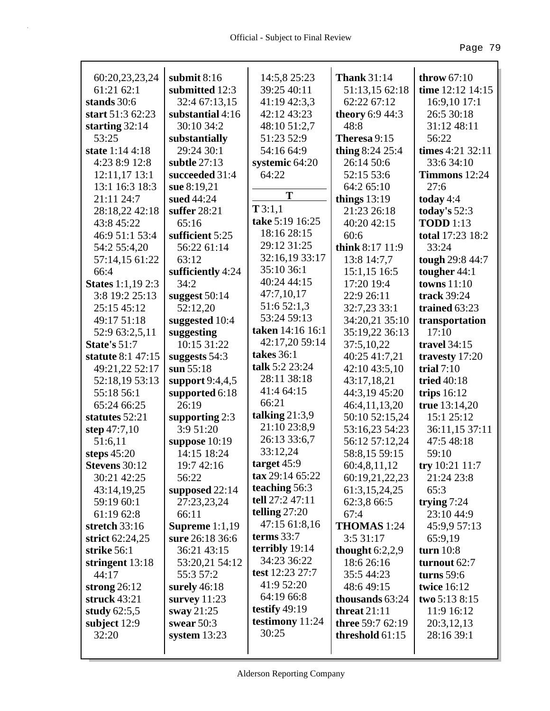| 60:20,23,23,24           | submit $8:16$         | 14:5,8 25:23     | <b>Thank 31:14</b>      | throw $67:10$    |
|--------------------------|-----------------------|------------------|-------------------------|------------------|
| 61:21 62:1               | submitted 12:3        | 39:25 40:11      | 51:13,15 62:18          | time 12:12 14:15 |
| stands 30:6              | 32:4 67:13,15         | 41:19 42:3,3     | 62:22 67:12             | 16:9,10 17:1     |
| start 51:3 62:23         | substantial 4:16      | 42:12 43:23      | <b>theory</b> 6:9 44:3  | 26:5 30:18       |
| starting $32:14$         | 30:10 34:2            | 48:10 51:2,7     | 48:8                    | 31:12 48:11      |
| 53:25                    | substantially         | 51:23 52:9       | Theresa 9:15            | 56:22            |
| state 1:14 4:18          | 29:24 30:1            | 54:16 64:9       | thing 8:24 25:4         | times 4:21 32:11 |
| 4:23 8:9 12:8            | subtle $27:13$        | systemic 64:20   | 26:14 50:6              | 33:6 34:10       |
| 12:11,17 13:1            | succeeded 31:4        | 64:22            | 52:15 53:6              | Timmons 12:24    |
| 13:1 16:3 18:3           | sue 8:19,21           |                  | 64:2 65:10              | 27:6             |
| 21:11 24:7               | sued 44:24            | T                | things $13:19$          | today $4:4$      |
| 28:18,22 42:18           | suffer 28:21          | T3:1,1           | 21:23 26:18             | today's $52:3$   |
| 43:8 45:22               | 65:16                 | take 5:19 16:25  | 40:20 42:15             | <b>TODD</b> 1:13 |
| 46:9 51:1 53:4           | sufficient 5:25       | 18:16 28:15      | 60:6                    | total 17:23 18:2 |
| 54:2 55:4,20             | 56:22 61:14           | 29:12 31:25      | think 8:17 11:9         | 33:24            |
| 57:14,15 61:22           | 63:12                 | 32:16,19 33:17   | 13:8 14:7,7             | tough 29:8 44:7  |
| 66:4                     | sufficiently 4:24     | 35:10 36:1       | $15:1,15$ 16:5          | tougher 44:1     |
| <b>States</b> 1:1,19 2:3 | 34:2                  | 40:24 44:15      | 17:20 19:4              | towns $11:10$    |
| 3:8 19:2 25:13           | suggest 50:14         | 47:7,10,17       | 22:9 26:11              | track 39:24      |
| 25:15 45:12              | 52:12,20              | 51:6 52:1,3      | 32:7,23 33:1            | trained 63:23    |
| 49:17 51:18              | suggested 10:4        | 53:24 59:13      | 34:20,21 35:10          | transportation   |
| 52:9 63:2,5,11           | suggesting            | taken 14:16 16:1 | 35:19,22 36:13          | 17:10            |
| State's 51:7             | 10:15 31:22           | 42:17,20 59:14   | 37:5,10,22              | travel 34:15     |
| statute 8:1 47:15        | suggests $54:3$       | takes $36:1$     | 40:25 41:7,21           | travesty 17:20   |
| 49:21,22 52:17           | sun $55:18$           | talk 5:2 23:24   | 42:10 43:5,10           | trial $7:10$     |
| 52:18,19 53:13           | support $9:4,4,5$     | 28:11 38:18      | 43:17,18,21             | tried 40:18      |
| 55:18 56:1               | supported 6:18        | 41:4 64:15       | 44:3,19 45:20           | trips $16:12$    |
| 65:24 66:25              | 26:19                 | 66:21            | 46:4,11,13,20           | true 13:14,20    |
| statutes 52:21           | supporting $2:3$      | talking $21:3,9$ | 50:10 52:15,24          | 15:1 25:12       |
| step 47:7,10             | 3:9 51:20             | 21:10 23:8,9     | 53:16,23 54:23          | 36:11,15 37:11   |
| 51:6,11                  | suppose $10:19$       | 26:13 33:6,7     | 56:12 57:12,24          | 47:5 48:18       |
| steps 45:20              | 14:15 18:24           | 33:12,24         | 58:8,15 59:15           | 59:10            |
| <b>Stevens</b> 30:12     | 19:7 42:16            | target 45:9      | 60:4,8,11,12            | try $10:21$ 11:7 |
| 30:21 42:25              | 56:22                 | tax 29:14 65:22  | 60:19,21,22,23          | 21:24 23:8       |
| 43:14,19,25              | supposed 22:14        | teaching 56:3    | 61:3,15,24,25           | 65:3             |
| 59:19 60:1               | 27:23,23,24           | tell 27:2 47:11  | 62:3,8 66:5             | trying $7:24$    |
| 61:19 62:8               | 66:11                 | telling $27:20$  | 67:4                    | 23:10 44:9       |
| stretch $33:16$          | <b>Supreme</b> 1:1,19 | 47:15 61:8,16    | THOMAS 1:24             | 45:9,9 57:13     |
| strict 62:24,25          | sure 26:18 36:6       | terms $33:7$     | 3:531:17                | 65:9,19          |
| strike 56:1              | 36:21 43:15           | terribly 19:14   | thought $6:2,2,9$       | turn $10:8$      |
| stringent 13:18          | 53:20,21 54:12        | 34:23 36:22      | 18:6 26:16              | turnout 62:7     |
| 44:17                    | 55:3 57:2             | test 12:23 27:7  | 35:5 44:23              | turns $59:6$     |
| strong 26:12             | surely $46:18$        | 41:9 52:20       | 48:6 49:15              | twice 16:12      |
| struck $43:21$           | survey $11:23$        | 64:19 66:8       | thousands 63:24         | two 5:13 8:15    |
| study $62:5,5$           | sway 21:25            | testify $49:19$  | threat $21:11$          | 11:9 16:12       |
| subject 12:9             | swear $50:3$          | testimony 11:24  | <b>three</b> 59:7 62:19 | 20:3,12,13       |
| 32:20                    | system $13:23$        | 30:25            | threshold $61:15$       | 28:16 39:1       |
|                          |                       |                  |                         |                  |
|                          |                       |                  |                         |                  |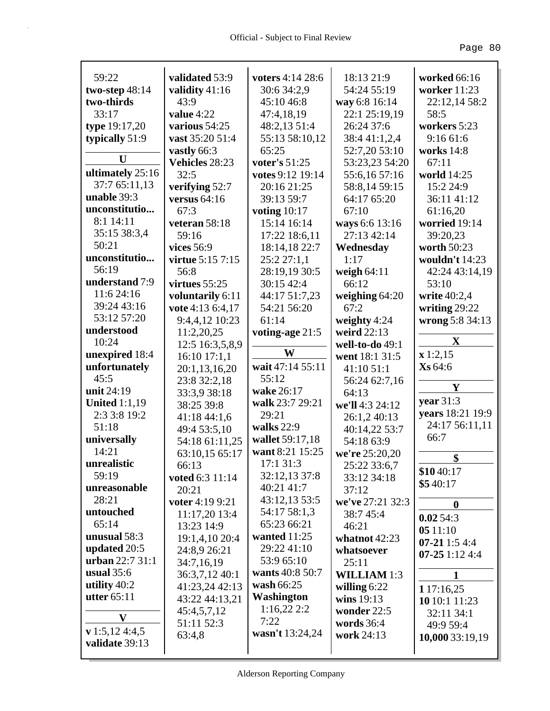| 59:22                                       | validated 53:9        | voters 4:14 28:6  | 18:13 21:9         | worked 66:16           |
|---------------------------------------------|-----------------------|-------------------|--------------------|------------------------|
| two-step $48:14$                            | validity 41:16        | 30:6 34:2,9       | 54:24 55:19        | worker 11:23           |
| two-thirds                                  | 43:9                  | 45:10 46:8        | way 6:8 16:14      | 22:12,14 58:2          |
| 33:17                                       | value $4:22$          | 47:4,18,19        | 22:1 25:19,19      | 58:5                   |
| type 19:17,20                               | various 54:25         | 48:2,13 51:4      | 26:24 37:6         | workers 5:23           |
| typically 51:9                              | vast 35:20 51:4       | 55:13 58:10,12    | 38:4 41:1,2,4      | 9:1661:6               |
|                                             | vastly 66:3           | 65:25             | 52:7,20 53:10      | works 14:8             |
| $\mathbf{U}$                                | <b>Vehicles 28:23</b> | voter's 51:25     | 53:23,23 54:20     | 67:11                  |
| ultimately 25:16                            | 32:5                  | votes 9:12 19:14  | 55:6,16 57:16      | world 14:25            |
| 37:7 65:11,13                               | verifying 52:7        | 20:16 21:25       | 58:8,14 59:15      | 15:2 24:9              |
| unable 39:3                                 | versus $64:16$        | 39:13 59:7        | 64:17 65:20        | 36:11 41:12            |
| unconstitutio                               | 67:3                  | voting $10:17$    | 67:10              | 61:16,20               |
| 8:1 14:11                                   | veteran 58:18         | 15:14 16:14       | ways 6:6 13:16     | worried 19:14          |
| 35:15 38:3,4                                | 59:16                 | 17:22 18:6,11     | 27:13 42:14        | 39:20,23               |
| 50:21                                       | vices 56:9            | 18:14,18 22:7     | Wednesday          | worth 50:23            |
| unconstitutio                               | virtue 5:15 7:15      | 25:2 27:1,1       | 1:17               | wouldn't 14:23         |
| 56:19                                       | 56:8                  | 28:19,19 30:5     | weigh $64:11$      | 42:24 43:14,19         |
| understand 7:9                              | virtues $55:25$       | 30:15 42:4        | 66:12              | 53:10                  |
| 11:6 24:16                                  | voluntarily 6:11      | 44:17 51:7,23     | weighing $64:20$   | write 40:2,4           |
| 39:24 43:16                                 | vote 4:13 6:4,17      | 54:21 56:20       | 67:2               | writing $29:22$        |
| 53:12 57:20                                 | 9:4,4,12 10:23        | 61:14             | weighty 4:24       | wrong 5:8 34:13        |
| understood                                  | 11:2,20,25            | voting-age 21:5   | weird 22:13        |                        |
| 10:24                                       | 12:5 16:3,5,8,9       |                   | well-to-do 49:1    | $\mathbf X$            |
| unexpired 18:4                              | $16:10$ 17:1,1        | W                 | went 18:1 31:5     | x 1:2,15               |
| unfortunately                               | 20:1,13,16,20         | wait 47:14 55:11  | 41:10 51:1         | Xs 64:6                |
| 45:5                                        | 23:8 32:2,18          | 55:12             | 56:24 62:7,16      |                        |
| unit 24:19                                  | 33:3,9 38:18          | wake 26:17        | 64:13              | Y                      |
| <b>United 1:1,19</b>                        | 38:25 39:8            | walk 23:7 29:21   | we'll 4:3 24:12    | year $31:3$            |
| 2:3 3:8 19:2                                | 41:18 44:1,6          | 29:21             | 26:1,2 40:13       | years 18:21 19:9       |
| 51:18                                       | 49:4 53:5,10          | walks 22:9        | 40:14,22 53:7      | 24:17 56:11,11         |
| universally                                 | 54:18 61:11,25        | wallet 59:17,18   | 54:18 63:9         | 66:7                   |
| 14:21                                       | 63:10,15 65:17        | want 8:21 15:25   | we're 25:20,20     | \$                     |
| unrealistic                                 | 66:13                 | 17:131:3          | 25:22 33:6,7       |                        |
| 59:19                                       | voted 6:3 11:14       | 32:12,13 37:8     | 33:12 34:18        | \$10 40:17<br>\$540:17 |
| unreasonable                                | 20:21                 | 40:21 41:7        | 37:12              |                        |
| 28:21                                       | voter 4:19 9:21       | 43:12,13 53:5     | we've 27:21 32:3   | $\boldsymbol{0}$       |
| untouched                                   | 11:17,20 13:4         | 54:17 58:1,3      | 38:7 45:4          | 0.0254:3               |
| 65:14                                       | 13:23 14:9            | 65:23 66:21       | 46:21              | 0511:10                |
| unusual 58:3                                | 19:1,4,10 20:4        | wanted $11:25$    | whatnot $42:23$    | $07-211:54:4$          |
| updated 20:5                                | 24:8,9 26:21          | 29:22 41:10       | whatsoever         | $07 - 251 : 124 : 4$   |
| urban 22:7 31:1                             | 34:7,16,19            | 53:9 65:10        | 25:11              |                        |
| usual $35:6$                                | 36:3,7,12 40:1        | wants 40:8 50:7   | <b>WILLIAM 1:3</b> | 1                      |
| utility $40:2$                              | 41:23,24 42:13        | wash 66:25        | willing $6:22$     | 1 17:16,25             |
| utter $65:11$                               | 43:22 44:13,21        | <b>Washington</b> | wins 19:13         | 10 10:1 11:23          |
| $\mathbf{V}$                                | 45:4,5,7,12           | 1:16,222:2        | wonder 22:5        | 32:11 34:1             |
|                                             |                       |                   |                    |                        |
|                                             | 51:11 52:3            | 7:22              | words $36:4$       | 49:9 59:4              |
| $\mathbf{v}$ 1:5,12 4:4,5<br>validate 39:13 | 63:4,8                | wasn't 13:24,24   | work 24:13         | 10,000 33:19,19        |